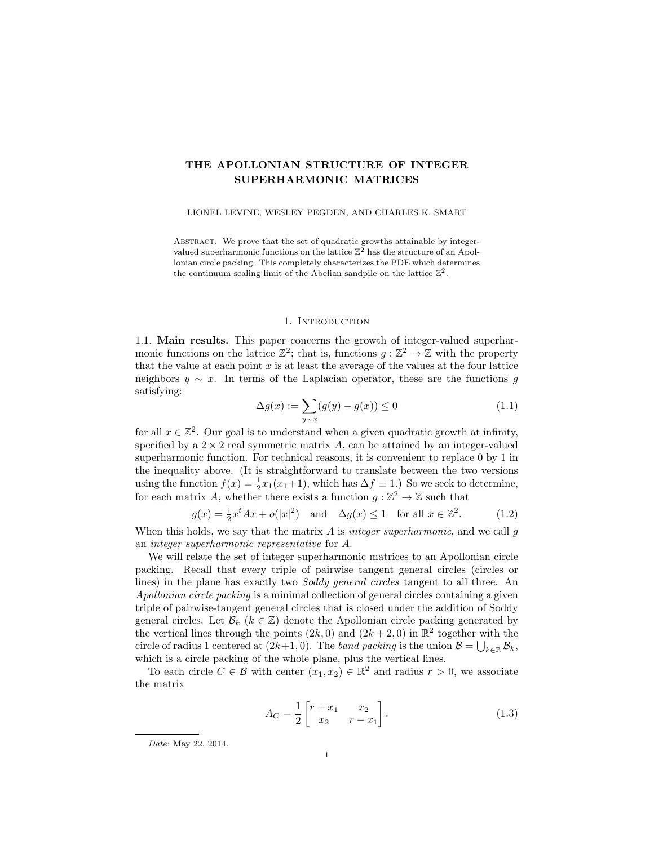# THE APOLLONIAN STRUCTURE OF INTEGER SUPERHARMONIC MATRICES

LIONEL LEVINE, WESLEY PEGDEN, AND CHARLES K. SMART

ABSTRACT. We prove that the set of quadratic growths attainable by integervalued superharmonic functions on the lattice  $\mathbb{Z}^2$  has the structure of an Apollonian circle packing. This completely characterizes the PDE which determines the continuum scaling limit of the Abelian sandpile on the lattice  $\mathbb{Z}^2$ .

## 1. INTRODUCTION

1.1. Main results. This paper concerns the growth of integer-valued superharmonic functions on the lattice  $\mathbb{Z}^2$ ; that is, functions  $g : \mathbb{Z}^2 \to \mathbb{Z}$  with the property that the value at each point  $x$  is at least the average of the values at the four lattice neighbors  $y \sim x$ . In terms of the Laplacian operator, these are the functions g satisfying:

$$
\Delta g(x) := \sum_{y \sim x} (g(y) - g(x)) \le 0 \tag{1.1}
$$

for all  $x \in \mathbb{Z}^2$ . Our goal is to understand when a given quadratic growth at infinity, specified by a  $2 \times 2$  real symmetric matrix A, can be attained by an integer-valued superharmonic function. For technical reasons, it is convenient to replace 0 by 1 in the inequality above. (It is straightforward to translate between the two versions using the function  $f(x) = \frac{1}{2}x_1(x_1+1)$ , which has  $\Delta f \equiv 1$ .) So we seek to determine, for each matrix A, whether there exists a function  $g: \mathbb{Z}^2 \to \mathbb{Z}$  such that

<span id="page-0-0"></span>
$$
g(x) = \frac{1}{2}x^t A x + o(|x|^2) \quad \text{and} \quad \Delta g(x) \le 1 \quad \text{for all } x \in \mathbb{Z}^2. \tag{1.2}
$$

When this holds, we say that the matrix  $A$  is integer superharmonic, and we call  $g$ an integer superharmonic representative for A.

We will relate the set of integer superharmonic matrices to an Apollonian circle packing. Recall that every triple of pairwise tangent general circles (circles or lines) in the plane has exactly two Soddy general circles tangent to all three. An Apollonian circle packing is a minimal collection of general circles containing a given triple of pairwise-tangent general circles that is closed under the addition of Soddy general circles. Let  $\mathcal{B}_k$  ( $k \in \mathbb{Z}$ ) denote the Apollonian circle packing generated by the vertical lines through the points  $(2k, 0)$  and  $(2k + 2, 0)$  in  $\mathbb{R}^2$  together with the circle of radius 1 centered at  $(2k+1,0)$ . The *band packing* is the union  $\mathcal{B} = \bigcup_{k \in \mathbb{Z}} \mathcal{B}_k$ , which is a circle packing of the whole plane, plus the vertical lines.

To each circle  $C \in \mathcal{B}$  with center  $(x_1, x_2) \in \mathbb{R}^2$  and radius  $r > 0$ , we associate the matrix

$$
A_C = \frac{1}{2} \begin{bmatrix} r + x_1 & x_2 \\ x_2 & r - x_1 \end{bmatrix} . \tag{1.3}
$$

Date: May 22, 2014.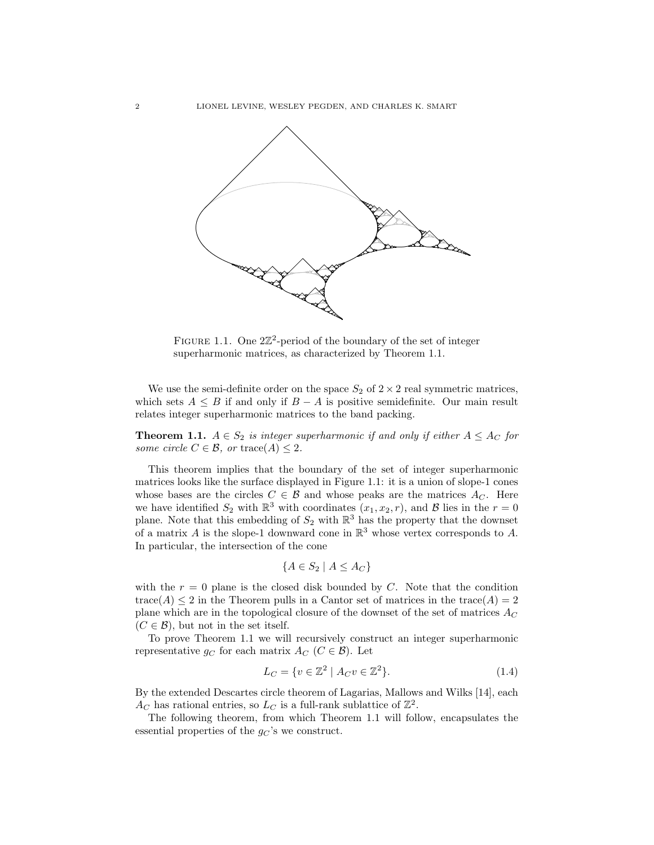

<span id="page-1-1"></span>FIGURE 1.1. One  $2\mathbb{Z}^2$ -period of the boundary of the set of integer superharmonic matrices, as characterized by Theorem [1.1.](#page-1-0)

We use the semi-definite order on the space  $S_2$  of  $2 \times 2$  real symmetric matrices, which sets  $A \leq B$  if and only if  $B - A$  is positive semidefinite. Our main result relates integer superharmonic matrices to the band packing.

<span id="page-1-0"></span>**Theorem 1.1.**  $A \in S_2$  is integer superharmonic if and only if either  $A \leq A_C$  for some circle  $C \in \mathcal{B}$ , or trace(A)  $\leq 2$ .

This theorem implies that the boundary of the set of integer superharmonic matrices looks like the surface displayed in Figure [1.1:](#page-1-1) it is a union of slope-1 cones whose bases are the circles  $C \in \mathcal{B}$  and whose peaks are the matrices  $A_C$ . Here we have identified  $S_2$  with  $\mathbb{R}^3$  with coordinates  $(x_1, x_2, r)$ , and  $\mathcal B$  lies in the  $r = 0$ plane. Note that this embedding of  $S_2$  with  $\mathbb{R}^3$  has the property that the downset of a matrix A is the slope-1 downward cone in  $\mathbb{R}^3$  whose vertex corresponds to A. In particular, the intersection of the cone

$$
\{A \in S_2 \mid A \le A_C\}
$$

with the  $r = 0$  plane is the closed disk bounded by C. Note that the condition trace(A)  $\leq$  2 in the Theorem pulls in a Cantor set of matrices in the trace(A) = 2 plane which are in the topological closure of the downset of the set of matrices  $A_C$  $(C \in \mathcal{B})$ , but not in the set itself.

To prove Theorem [1.1](#page-1-0) we will recursively construct an integer superharmonic representative  $g_C$  for each matrix  $A_C$  ( $C \in \mathcal{B}$ ). Let

<span id="page-1-2"></span>
$$
L_C = \{ v \in \mathbb{Z}^2 \mid A_C v \in \mathbb{Z}^2 \}. \tag{1.4}
$$

By the extended Descartes circle theorem of Lagarias, Mallows and Wilks [\[14\]](#page-48-0), each  $A_C$  has rational entries, so  $L_C$  is a full-rank sublattice of  $\mathbb{Z}^2$ .

The following theorem, from which Theorem [1.1](#page-1-0) will follow, encapsulates the essential properties of the  $g_C$ 's we construct.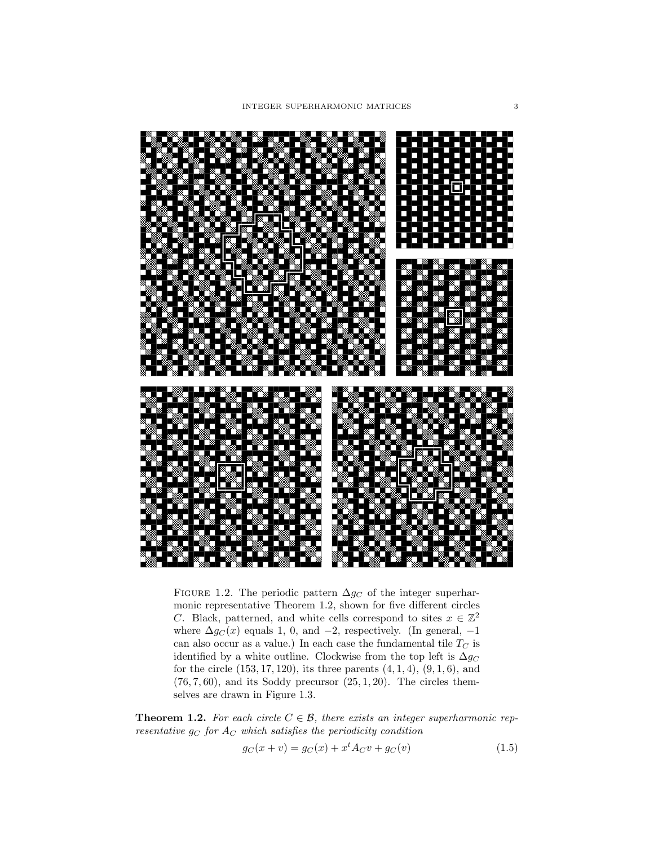

<span id="page-2-2"></span>FIGURE 1.2. The periodic pattern  $\Delta g_C$  of the integer superharmonic representative Theorem [1.2,](#page-2-0) shown for five different circles C. Black, patterned, and white cells correspond to sites  $x \in \mathbb{Z}^2$ where  $\Delta g_C(x)$  equals 1, 0, and -2, respectively. (In general, -1 can also occur as a value.) In each case the fundamental tile  $T_C$  is identified by a white outline. Clockwise from the top left is  $\Delta g_C$ for the circle  $(153, 17, 120)$ , its three parents  $(4, 1, 4)$ ,  $(9, 1, 6)$ , and  $(76, 7, 60)$ , and its Soddy precursor  $(25, 1, 20)$ . The circles themselves are drawn in Figure [1.3.](#page-3-0)

<span id="page-2-0"></span>**Theorem 1.2.** For each circle  $C \in \mathcal{B}$ , there exists an integer superharmonic representative  $g_C$  for  $A_C$  which satisfies the periodicity condition

<span id="page-2-1"></span>
$$
g_C(x + v) = g_C(x) + x^t A_C v + g_C(v)
$$
\n(1.5)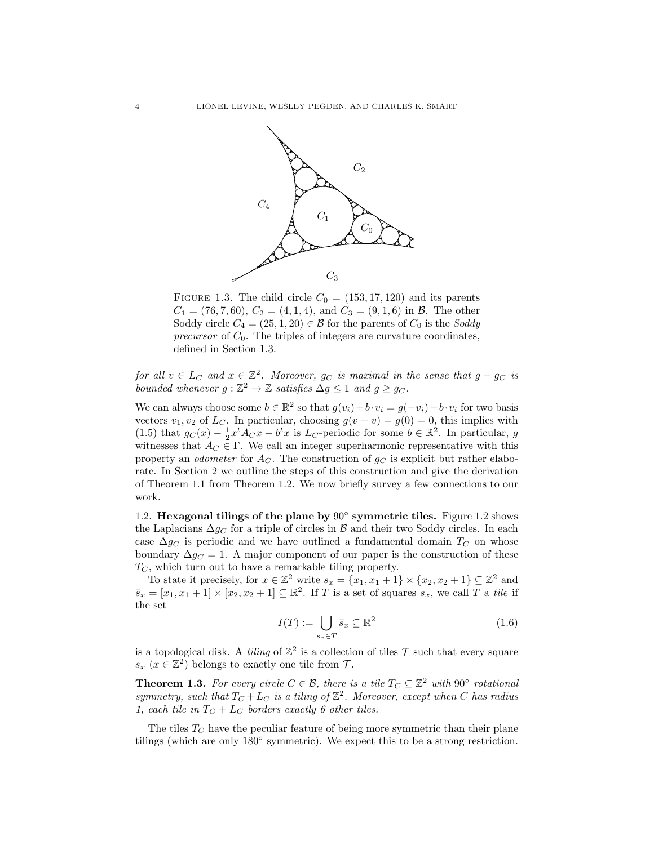

<span id="page-3-0"></span>FIGURE 1.3. The child circle  $C_0 = (153, 17, 120)$  and its parents  $C_1 = (76, 7, 60), C_2 = (4, 1, 4), \text{ and } C_3 = (9, 1, 6) \text{ in } \mathcal{B}.$  The other Soddy circle  $C_4 = (25, 1, 20) \in \mathcal{B}$  for the parents of  $C_0$  is the Soddy precursor of  $C_0$ . The triples of integers are curvature coordinates, defined in Section [1.3.](#page-4-0)

for all  $v \in L_C$  and  $x \in \mathbb{Z}^2$ . Moreover,  $g_C$  is maximal in the sense that  $g - g_C$  is bounded whenever  $g : \mathbb{Z}^2 \to \mathbb{Z}$  satisfies  $\Delta g \leq 1$  and  $g \geq g_C$ .

We can always choose some  $b \in \mathbb{R}^2$  so that  $g(v_i) + b \cdot v_i = g(-v_i) - b \cdot v_i$  for two basis vectors  $v_1, v_2$  of  $L_C$ . In particular, choosing  $g(v - v) = g(0) = 0$ , this implies with [\(1.5\)](#page-2-1) that  $g_C(x) - \frac{1}{2}x^t A_C x - b^t x$  is  $L_C$ -periodic for some  $b \in \mathbb{R}^2$ . In particular, g witnesses that  $A_C \in \Gamma$ . We call an integer superharmonic representative with this property an *odometer* for  $A_C$ . The construction of  $g_C$  is explicit but rather elaborate. In Section [2](#page-5-0) we outline the steps of this construction and give the derivation of Theorem [1.1](#page-1-0) from Theorem [1.2.](#page-2-0) We now briefly survey a few connections to our work.

<span id="page-3-3"></span>[1.2](#page-2-2). Hexagonal tilings of the plane by 90° symmetric tiles. Figure 1.2 shows the Laplacians  $\Delta g_C$  for a triple of circles in B and their two Soddy circles. In each case  $\Delta g_C$  is periodic and we have outlined a fundamental domain  $T_C$  on whose boundary  $\Delta g_C = 1$ . A major component of our paper is the construction of these  $T_{\text{C}}$ , which turn out to have a remarkable tiling property.

To state it precisely, for  $x \in \mathbb{Z}^2$  write  $s_x = \{x_1, x_1 + 1\} \times \{x_2, x_2 + 1\} \subseteq \mathbb{Z}^2$  and  $\bar{s}_x = [x_1, x_1 + 1] \times [x_2, x_2 + 1] \subseteq \mathbb{R}^2$ . If T is a set of squares  $s_x$ , we call T a tile if the set

<span id="page-3-2"></span>
$$
I(T) := \bigcup_{s_x \in T} \bar{s}_x \subseteq \mathbb{R}^2 \tag{1.6}
$$

is a topological disk. A *tiling* of  $\mathbb{Z}^2$  is a collection of tiles  $\mathcal T$  such that every square  $s_x$   $(x \in \mathbb{Z}^2)$  belongs to exactly one tile from  $\mathcal{T}$ .

<span id="page-3-1"></span>**Theorem 1.3.** For every circle  $C \in \mathcal{B}$ , there is a tile  $T_C \subseteq \mathbb{Z}^2$  with  $90^{\circ}$  rotational symmetry, such that  $T_C + L_C$  is a tiling of  $\mathbb{Z}^2$ . Moreover, except when C has radius 1, each tile in  $T_C + L_C$  borders exactly 6 other tiles.

The tiles  $T<sub>C</sub>$  have the peculiar feature of being more symmetric than their plane tilings (which are only 180◦ symmetric). We expect this to be a strong restriction.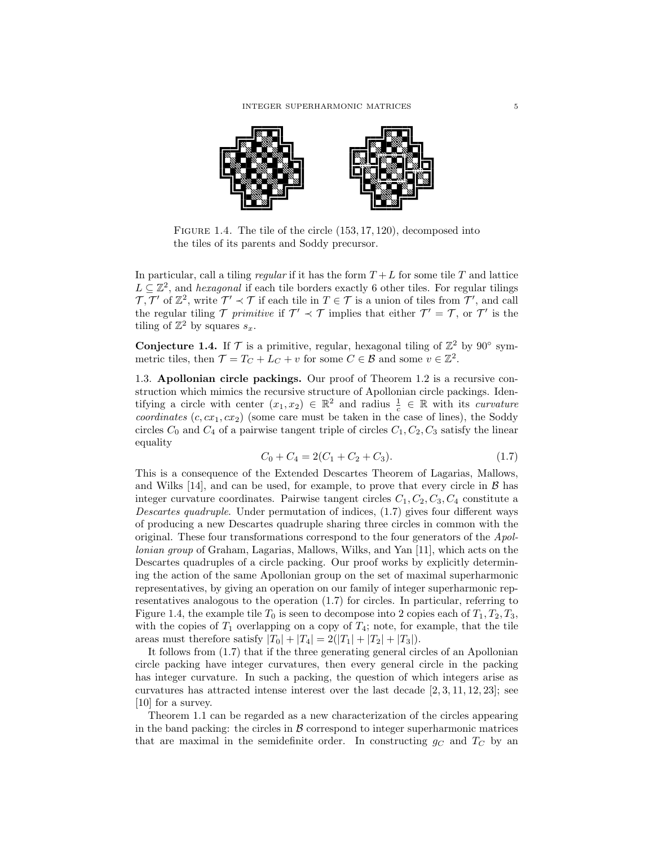

<span id="page-4-2"></span>FIGURE 1.4. The tile of the circle  $(153, 17, 120)$ , decomposed into the tiles of its parents and Soddy precursor.

In particular, call a tiling regular if it has the form  $T + L$  for some tile T and lattice  $L \subseteq \mathbb{Z}^2$ , and *hexagonal* if each tile borders exactly 6 other tiles. For regular tilings  $\mathcal{T}, \mathcal{T}'$  of  $\mathbb{Z}^2$ , write  $\mathcal{T}' \prec \mathcal{T}$  if each tile in  $T \in \mathcal{T}$  is a union of tiles from  $\mathcal{T}'$ , and call the regular tiling  $\mathcal{T}$  primitive if  $\mathcal{T}' \prec \mathcal{T}$  implies that either  $\mathcal{T}' = \mathcal{T}$ , or  $\mathcal{T}'$  is the tiling of  $\mathbb{Z}^2$  by squares  $s_x$ .

Conjecture 1.4. If  $\mathcal T$  is a primitive, regular, hexagonal tiling of  $\mathbb{Z}^2$  by 90° symmetric tiles, then  $\mathcal{T} = T_C + L_C + v$  for some  $C \in \mathcal{B}$  and some  $v \in \mathbb{Z}^2$ .

<span id="page-4-0"></span>1.3. Apollonian circle packings. Our proof of Theorem [1.2](#page-2-0) is a recursive construction which mimics the recursive structure of Apollonian circle packings. Identifying a circle with center  $(x_1, x_2) \in \mathbb{R}^2$  and radius  $\frac{1}{c} \in \mathbb{R}$  with its *curvature* coordinates  $(c, cx_1, cx_2)$  (some care must be taken in the case of lines), the Soddy circles  $C_0$  and  $C_4$  of a pairwise tangent triple of circles  $C_1, C_2, C_3$  satisfy the linear equality

<span id="page-4-1"></span>
$$
C_0 + C_4 = 2(C_1 + C_2 + C_3). \tag{1.7}
$$

This is a consequence of the Extended Descartes Theorem of Lagarias, Mallows, and Wilks  $[14]$ , and can be used, for example, to prove that every circle in  $\beta$  has integer curvature coordinates. Pairwise tangent circles  $C_1, C_2, C_3, C_4$  constitute a Descartes quadruple. Under permutation of indices, [\(1.7\)](#page-4-1) gives four different ways of producing a new Descartes quadruple sharing three circles in common with the original. These four transformations correspond to the four generators of the Apollonian group of Graham, Lagarias, Mallows, Wilks, and Yan [\[11\]](#page-48-1), which acts on the Descartes quadruples of a circle packing. Our proof works by explicitly determining the action of the same Apollonian group on the set of maximal superharmonic representatives, by giving an operation on our family of integer superharmonic representatives analogous to the operation [\(1.7\)](#page-4-1) for circles. In particular, referring to Figure [1.4,](#page-4-2) the example tile  $T_0$  is seen to decompose into 2 copies each of  $T_1, T_2, T_3$ , with the copies of  $T_1$  overlapping on a copy of  $T_4$ ; note, for example, that the tile areas must therefore satisfy  $|T_0| + |T_4| = 2(|T_1| + |T_2| + |T_3|).$ 

It follows from [\(1.7\)](#page-4-1) that if the three generating general circles of an Apollonian circle packing have integer curvatures, then every general circle in the packing has integer curvature. In such a packing, the question of which integers arise as curvatures has attracted intense interest over the last decade [\[2,](#page-47-0) [3,](#page-47-1) [11,](#page-48-1) [12,](#page-48-2) [23\]](#page-48-3); see [\[10\]](#page-48-4) for a survey.

Theorem [1.1](#page-1-0) can be regarded as a new characterization of the circles appearing in the band packing: the circles in  $\beta$  correspond to integer superharmonic matrices that are maximal in the semidefinite order. In constructing  $g_C$  and  $T_C$  by an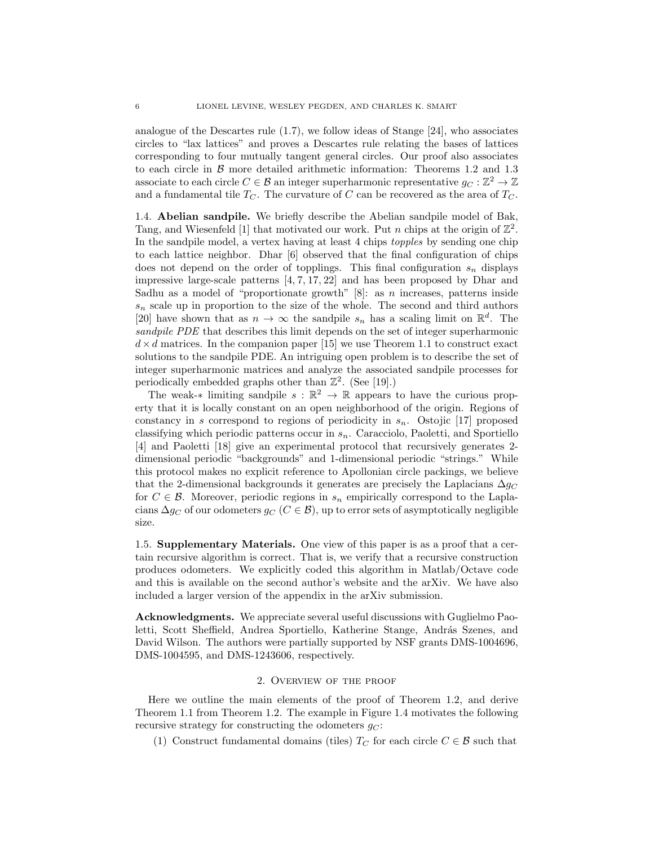analogue of the Descartes rule [\(1.7\)](#page-4-1), we follow ideas of Stange [\[24\]](#page-48-5), who associates circles to "lax lattices" and proves a Descartes rule relating the bases of lattices corresponding to four mutually tangent general circles. Our proof also associates to each circle in  $\beta$  more detailed arithmetic information: Theorems [1.2](#page-2-0) and [1.3](#page-3-1) associate to each circle  $C \in \mathcal{B}$  an integer superharmonic representative  $g_C : \mathbb{Z}^2 \to \mathbb{Z}$ and a fundamental tile  $T_C$ . The curvature of C can be recovered as the area of  $T_C$ .

1.4. Abelian sandpile. We briefly describe the Abelian sandpile model of Bak, Tang, and Wiesenfeld [\[1\]](#page-47-2) that motivated our work. Put n chips at the origin of  $\mathbb{Z}^2$ . In the sandpile model, a vertex having at least 4 chips topples by sending one chip to each lattice neighbor. Dhar [\[6\]](#page-48-6) observed that the final configuration of chips does not depend on the order of topplings. This final configuration  $s_n$  displays impressive large-scale patterns [\[4,](#page-48-7) [7,](#page-48-8) [17,](#page-48-9) [22\]](#page-48-10) and has been proposed by Dhar and Sadhu as a model of "proportionate growth"  $[8]$ : as *n* increases, patterns inside  $s_n$  scale up in proportion to the size of the whole. The second and third authors [\[20\]](#page-48-12) have shown that as  $n \to \infty$  the sandpile  $s_n$  has a scaling limit on  $\mathbb{R}^d$ . The sandpile PDE that describes this limit depends on the set of integer superharmonic  $d \times d$  matrices. In the companion paper [\[15\]](#page-48-13) we use Theorem [1.1](#page-1-0) to construct exact solutions to the sandpile PDE. An intriguing open problem is to describe the set of integer superharmonic matrices and analyze the associated sandpile processes for periodically embedded graphs other than  $\mathbb{Z}^2$ . (See [\[19\]](#page-48-14).)

The weak-\* limiting sandpile  $s : \mathbb{R}^2 \to \mathbb{R}$  appears to have the curious property that it is locally constant on an open neighborhood of the origin. Regions of constancy in s correspond to regions of periodicity in  $s_n$ . Ostojic [\[17\]](#page-48-9) proposed classifying which periodic patterns occur in  $s_n$ . Caracciolo, Paoletti, and Sportiello [\[4\]](#page-48-7) and Paoletti [\[18\]](#page-48-15) give an experimental protocol that recursively generates 2 dimensional periodic "backgrounds" and 1-dimensional periodic "strings." While this protocol makes no explicit reference to Apollonian circle packings, we believe that the 2-dimensional backgrounds it generates are precisely the Laplacians  $\Delta g_C$ for  $C \in \mathcal{B}$ . Moreover, periodic regions in  $s_n$  empirically correspond to the Laplacians  $\Delta g_C$  of our odometers  $g_C$  ( $C \in \mathcal{B}$ ), up to error sets of asymptotically negligible size.

1.5. Supplementary Materials. One view of this paper is as a proof that a certain recursive algorithm is correct. That is, we verify that a recursive construction produces odometers. We explicitly coded this algorithm in Matlab/Octave code and this is available on the second author's website and the arXiv. We have also included a larger version of the appendix in the arXiv submission.

Acknowledgments. We appreciate several useful discussions with Guglielmo Paoletti, Scott Sheffield, Andrea Sportiello, Katherine Stange, András Szenes, and David Wilson. The authors were partially supported by NSF grants [DMS-1004696,](http://nsf.gov/awardsearch/showAward?AWD_ID=1004696) [DMS-1004595,](http://www.nsf.gov/awardsearch/showAward?AWD_ID=1004595) and [DMS-1243606,](http://www.nsf.gov/awardsearch/showAward?AWD_ID=1243606) respectively.

## 2. Overview of the proof

<span id="page-5-0"></span>Here we outline the main elements of the proof of Theorem [1.2,](#page-2-0) and derive Theorem [1.1](#page-1-0) from Theorem [1.2.](#page-2-0) The example in Figure [1.4](#page-4-2) motivates the following recursive strategy for constructing the odometers  $q_C$ :

<span id="page-5-1"></span>(1) Construct fundamental domains (tiles)  $T_C$  for each circle  $C \in \mathcal{B}$  such that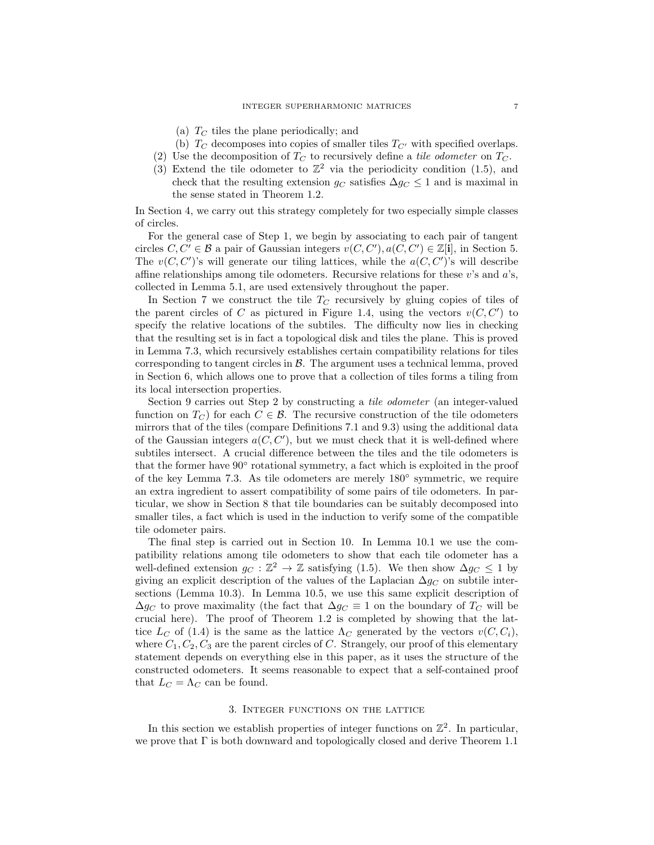- (a)  $T_C$  tiles the plane periodically; and
- (b)  $T_C$  decomposes into copies of smaller tiles  $T_{C'}$  with specified overlaps.
- <span id="page-6-0"></span>(2) Use the decomposition of  $T_C$  to recursively define a tile odometer on  $T_C$ .
- (3) Extend the tile odometer to  $\mathbb{Z}^2$  via the periodicity condition [\(1.5\)](#page-2-1), and check that the resulting extension  $g_C$  satisfies  $\Delta g_C \leq 1$  and is maximal in the sense stated in Theorem [1.2.](#page-2-0)

In Section [4,](#page-9-0) we carry out this strategy completely for two especially simple classes of circles.

For the general case of Step [1,](#page-5-1) we begin by associating to each pair of tangent circles  $C, C' \in \mathcal{B}$  a pair of Gaussian integers  $v(C, C'), a(C, C') \in \mathbb{Z}[i]$ , in Section [5.](#page-16-0) The  $v(C, C')$ 's will generate our tiling lattices, while the  $a(C, C')$ 's will describe affine relationships among tile odometers. Recursive relations for these  $v$ 's and  $a$ 's, collected in Lemma [5.1,](#page-18-0) are used extensively throughout the paper.

In Section [7](#page-24-0) we construct the tile  $T_C$  recursively by gluing copies of tiles of the parent circles of C as pictured in Figure [1.4,](#page-4-2) using the vectors  $v(C, C')$  to specify the relative locations of the subtiles. The difficulty now lies in checking that the resulting set is in fact a topological disk and tiles the plane. This is proved in Lemma [7.3,](#page-27-0) which recursively establishes certain compatibility relations for tiles corresponding to tangent circles in  $\beta$ . The argument uses a technical lemma, proved in Section [6,](#page-21-0) which allows one to prove that a collection of tiles forms a tiling from its local intersection properties.

Section [9](#page-37-0) carries out Step [2](#page-6-0) by constructing a tile odometer (an integer-valued function on  $T_C$ ) for each  $C \in \mathcal{B}$ . The recursive construction of the tile odometers mirrors that of the tiles (compare Definitions [7.1](#page-25-0) and [9.3\)](#page-37-1) using the additional data of the Gaussian integers  $a(C, C')$ , but we must check that it is well-defined where subtiles intersect. A crucial difference between the tiles and the tile odometers is that the former have 90° rotational symmetry, a fact which is exploited in the proof of the key Lemma [7.3.](#page-27-0) As tile odometers are merely 180◦ symmetric, we require an extra ingredient to assert compatibility of some pairs of tile odometers. In particular, we show in Section [8](#page-34-0) that tile boundaries can be suitably decomposed into smaller tiles, a fact which is used in the induction to verify some of the compatible tile odometer pairs.

The final step is carried out in Section [10.](#page-43-0) In Lemma [10.1](#page-44-0) we use the compatibility relations among tile odometers to show that each tile odometer has a well-defined extension  $g_C : \mathbb{Z}^2 \to \mathbb{Z}$  satisfying [\(1.5\)](#page-2-1). We then show  $\Delta g_C \leq 1$  by giving an explicit description of the values of the Laplacian  $\Delta g_C$  on subtile intersections (Lemma [10.3\)](#page-45-0). In Lemma [10.5,](#page-46-0) we use this same explicit description of  $\Delta g_C$  to prove maximality (the fact that  $\Delta g_C \equiv 1$  on the boundary of  $T_C$  will be crucial here). The proof of Theorem [1.2](#page-2-0) is completed by showing that the lattice  $L_C$  of [\(1.4\)](#page-1-2) is the same as the lattice  $\Lambda_C$  generated by the vectors  $v(C, C_i)$ , where  $C_1, C_2, C_3$  are the parent circles of C. Strangely, our proof of this elementary statement depends on everything else in this paper, as it uses the structure of the constructed odometers. It seems reasonable to expect that a self-contained proof that  $L_C = \Lambda_C$  can be found.

## 3. Integer functions on the lattice

In this section we establish properties of integer functions on  $\mathbb{Z}^2$ . In particular, we prove that Γ is both downward and topologically closed and derive Theorem [1.1](#page-1-0)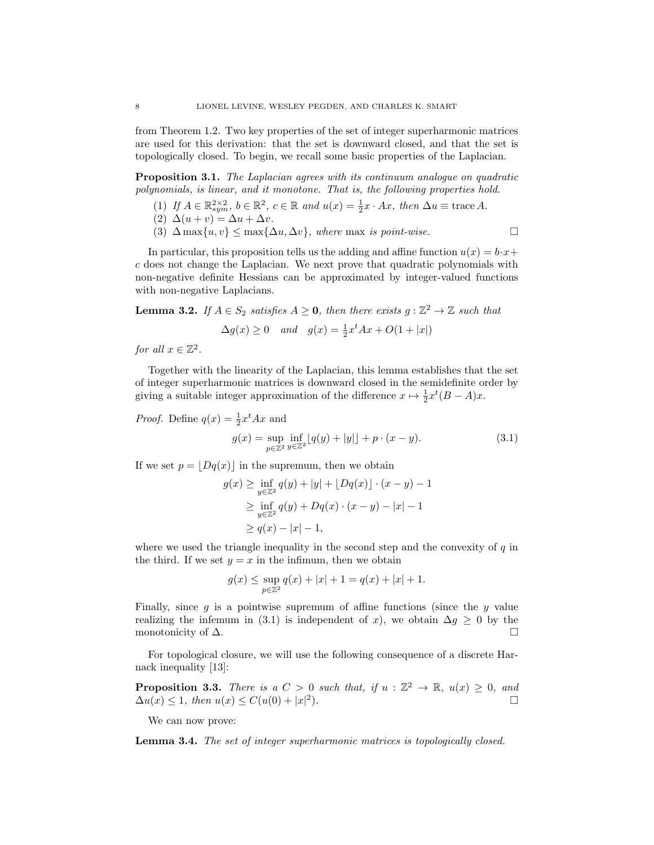from Theorem [1.2.](#page-2-0) Two key properties of the set of integer superharmonic matrices are used for this derivation: that the set is downward closed, and that the set is topologically closed. To begin, we recall some basic properties of the Laplacian.

**Proposition 3.1.** The Laplacian agrees with its continuum analogue on quadratic polynomials, is linear, and it monotone. That is, the following properties hold.

- (1) If  $A \in \mathbb{R}^{2 \times 2}_{sym}$ ,  $b \in \mathbb{R}^2$ ,  $c \in \mathbb{R}$  and  $u(x) = \frac{1}{2}x \cdot Ax$ , then  $\Delta u \equiv \text{trace } A$ .
- (2)  $\Delta(u + v) = \Delta u + \Delta v$ .
- (3)  $\Delta \max\{u, v\} \leq \max\{\Delta u, \Delta v\}$ , where max is point-wise.

In particular, this proposition tells us the adding and affine function  $u(x) = b \cdot x +$ c does not change the Laplacian. We next prove that quadratic polynomials with non-negative definite Hessians can be approximated by integer-valued functions with non-negative Laplacians.

**Lemma 3.2.** If  $A \in S_2$  satisfies  $A \ge 0$ , then there exists  $g: \mathbb{Z}^2 \to \mathbb{Z}$  such that

$$
\Delta g(x) \ge 0
$$
 and  $g(x) = \frac{1}{2}x^t A x + O(1 + |x|)$ 

for all  $x \in \mathbb{Z}^2$ .

Together with the linearity of the Laplacian, this lemma establishes that the set of integer superharmonic matrices is downward closed in the semidefinite order by giving a suitable integer approximation of the difference  $x \mapsto \frac{1}{2}x^t(B-A)x$ .

*Proof.* Define 
$$
q(x) = \frac{1}{2}x^t A x
$$
 and

<span id="page-7-0"></span>
$$
g(x) = \sup_{p \in \mathbb{Z}^2} \inf_{y \in \mathbb{Z}^2} \left[ q(y) + |y| \right] + p \cdot (x - y). \tag{3.1}
$$

If we set  $p = |Dq(x)|$  in the supremum, then we obtain

$$
g(x) \ge \inf_{y \in \mathbb{Z}^2} q(y) + |y| + \lfloor Dq(x) \rfloor \cdot (x - y) - 1
$$
  
 
$$
\ge \inf_{y \in \mathbb{Z}^2} q(y) + Dq(x) \cdot (x - y) - |x| - 1
$$
  
 
$$
\ge q(x) - |x| - 1,
$$

where we used the triangle inequality in the second step and the convexity of  $q$  in the third. If we set  $y = x$  in the infimum, then we obtain

$$
g(x) \le \sup_{p \in \mathbb{Z}^2} q(x) + |x| + 1 = q(x) + |x| + 1.
$$

Finally, since  $g$  is a pointwise supremum of affine functions (since the  $y$  value realizing the infemum in [\(3.1\)](#page-7-0) is independent of x), we obtain  $\Delta g \geq 0$  by the monotonicity of  $\Delta$ .

For topological closure, we will use the following consequence of a discrete Harnack inequality [\[13\]](#page-48-16):

**Proposition 3.3.** There is a  $C > 0$  such that, if  $u : \mathbb{Z}^2 \to \mathbb{R}$ ,  $u(x) \geq 0$ , and  $\Delta u(x) \leq 1$ , then  $u(x) \leq C(u(0) + |x|^2)$ ).  $\qquad \qquad \Box$ 

We can now prove:

<span id="page-7-1"></span>Lemma 3.4. The set of integer superharmonic matrices is topologically closed.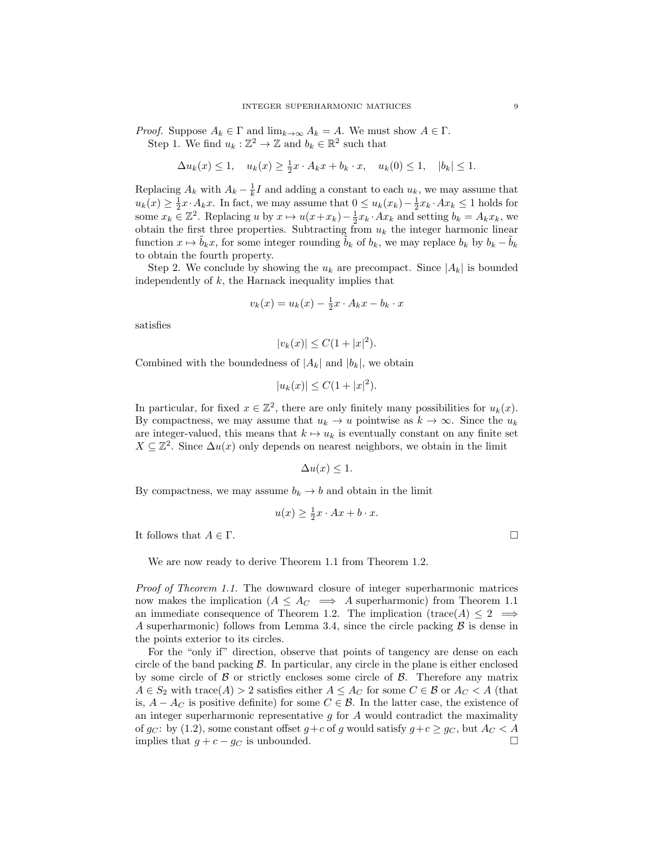*Proof.* Suppose  $A_k \in \Gamma$  and  $\lim_{k \to \infty} A_k = A$ . We must show  $A \in \Gamma$ . Step 1. We find  $u_k : \mathbb{Z}^2 \to \mathbb{Z}$  and  $b_k \in \mathbb{R}^2$  such that

$$
\Delta u_k(x) \le 1, \quad u_k(x) \ge \frac{1}{2}x \cdot A_k x + b_k \cdot x, \quad u_k(0) \le 1, \quad |b_k| \le 1.
$$

Replacing  $A_k$  with  $A_k - \frac{1}{k}I$  and adding a constant to each  $u_k$ , we may assume that  $u_k(x) \geq \frac{1}{2}x \cdot A_k x$ . In fact, we may assume that  $0 \leq u_k(x_k) - \frac{1}{2}x_k \cdot Ax_k \leq 1$  holds for some  $x_k \in \mathbb{Z}^2$ . Replacing u by  $x \mapsto u(x+x_k) - \frac{1}{2}x_k \cdot Ax_k$  and setting  $b_k = A_k x_k$ , we obtain the first three properties. Subtracting from  $u_k$  the integer harmonic linear function  $x \mapsto b_kx$ , for some integer rounding  $b_k$  of  $b_k$ , we may replace  $b_k$  by  $b_k - b_k$ to obtain the fourth property.

Step 2. We conclude by showing the  $u_k$  are precompact. Since  $|A_k|$  is bounded independently of  $k$ , the Harnack inequality implies that

$$
v_k(x) = u_k(x) - \frac{1}{2}x \cdot A_k x - b_k \cdot x
$$

satisfies

$$
|v_k(x)| \le C(1+|x|^2).
$$

Combined with the boundedness of  $|A_k|$  and  $|b_k|$ , we obtain

$$
|u_k(x)| \le C(1+|x|^2).
$$

In particular, for fixed  $x \in \mathbb{Z}^2$ , there are only finitely many possibilities for  $u_k(x)$ . By compactness, we may assume that  $u_k \to u$  pointwise as  $k \to \infty$ . Since the  $u_k$ are integer-valued, this means that  $k \mapsto u_k$  is eventually constant on any finite set  $X \subseteq \mathbb{Z}^2$ . Since  $\Delta u(x)$  only depends on nearest neighbors, we obtain in the limit

$$
\Delta u(x) \le 1.
$$

By compactness, we may assume  $b_k \to b$  and obtain in the limit

$$
u(x) \ge \frac{1}{2}x \cdot Ax + b \cdot x.
$$

It follows that  $A \in \Gamma$ .

We are now ready to derive Theorem [1.1](#page-1-0) from Theorem [1.2.](#page-2-0)

Proof of Theorem [1.1.](#page-1-0) The downward closure of integer superharmonic matrices now makes the implication ( $A \leq A_C \implies A$  superharmonic) from Theorem [1.1](#page-1-0) an immediate consequence of Theorem [1.2.](#page-2-0) The implication (trace(A)  $\leq 2 \implies$ A superharmonic) follows from Lemma [3.4,](#page-7-1) since the circle packing  $\beta$  is dense in the points exterior to its circles.

For the "only if" direction, observe that points of tangency are dense on each circle of the band packing  $\beta$ . In particular, any circle in the plane is either enclosed by some circle of  $\beta$  or strictly encloses some circle of  $\beta$ . Therefore any matrix  $A \in S_2$  with trace(A) > 2 satisfies either  $A \leq A_C$  for some  $C \in \mathcal{B}$  or  $A_C < A$  (that is,  $A - A_C$  is positive definite) for some  $C \in \mathcal{B}$ . In the latter case, the existence of an integer superharmonic representative  $g$  for  $A$  would contradict the maximality of g<sub>C</sub>: by [\(1.2\)](#page-0-0), some constant offset  $g+c$  of g would satisfy  $g+c \ge g_c$ , but  $A_c < A$ implies that  $g + c - g_C$  is unbounded.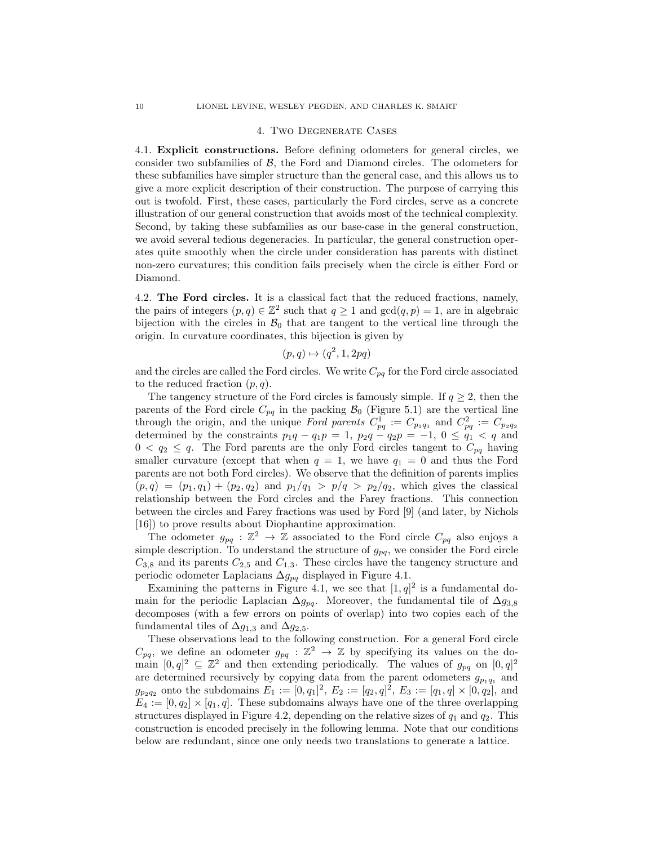#### 4. Two Degenerate Cases

<span id="page-9-0"></span>4.1. Explicit constructions. Before defining odometers for general circles, we consider two subfamilies of  $\beta$ , the Ford and Diamond circles. The odometers for these subfamilies have simpler structure than the general case, and this allows us to give a more explicit description of their construction. The purpose of carrying this out is twofold. First, these cases, particularly the Ford circles, serve as a concrete illustration of our general construction that avoids most of the technical complexity. Second, by taking these subfamilies as our base-case in the general construction, we avoid several tedious degeneracies. In particular, the general construction operates quite smoothly when the circle under consideration has parents with distinct non-zero curvatures; this condition fails precisely when the circle is either Ford or Diamond.

<span id="page-9-1"></span>4.2. The Ford circles. It is a classical fact that the reduced fractions, namely, the pairs of integers  $(p, q) \in \mathbb{Z}^2$  such that  $q \ge 1$  and  $gcd(q, p) = 1$ , are in algebraic bijection with the circles in  $\mathcal{B}_0$  that are tangent to the vertical line through the origin. In curvature coordinates, this bijection is given by

$$
(p,q)\mapsto (q^2,1,2pq)
$$

and the circles are called the Ford circles. We write  $C_{pq}$  for the Ford circle associated to the reduced fraction  $(p, q)$ .

The tangency structure of the Ford circles is famously simple. If  $q \geq 2$ , then the parents of the Ford circle  $C_{pq}$  in the packing  $\mathcal{B}_0$  (Figure [5.1\)](#page-17-0) are the vertical line through the origin, and the unique Ford parents  $C_{pq}^1 := C_{p_1q_1}$  and  $C_{pq}^2 := C_{p_2q_2}$ determined by the constraints  $p_1q - q_1p = 1$ ,  $p_2q - q_2p = -1$ ,  $0 \le q_1 < q$  and  $0 < q_2 \leq q$ . The Ford parents are the only Ford circles tangent to  $C_{pq}$  having smaller curvature (except that when  $q = 1$ , we have  $q_1 = 0$  and thus the Ford parents are not both Ford circles). We observe that the definition of parents implies  $(p, q) = (p_1, q_1) + (p_2, q_2)$  and  $p_1/q_1 > p/q > p_2/q_2$ , which gives the classical relationship between the Ford circles and the Farey fractions. This connection between the circles and Farey fractions was used by Ford [\[9\]](#page-48-17) (and later, by Nichols [\[16\]](#page-48-18)) to prove results about Diophantine approximation.

The odometer  $g_{pq}: \mathbb{Z}^2 \to \mathbb{Z}$  associated to the Ford circle  $C_{pq}$  also enjoys a simple description. To understand the structure of  $g_{pq}$ , we consider the Ford circle  $C_{3,8}$  and its parents  $C_{2,5}$  and  $C_{1,3}$ . These circles have the tangency structure and periodic odometer Laplacians  $\Delta g_{pq}$  displayed in Figure [4.1.](#page-10-0)

Examining the patterns in Figure [4.1,](#page-10-0) we see that  $[1, q]^2$  is a fundamental domain for the periodic Laplacian  $\Delta g_{pq}$ . Moreover, the fundamental tile of  $\Delta g_{3,8}$ decomposes (with a few errors on points of overlap) into two copies each of the fundamental tiles of  $\Delta g_{1,3}$  and  $\Delta g_{2,5}$ .

These observations lead to the following construction. For a general Ford circle  $C_{pq}$ , we define an odometer  $g_{pq} : \mathbb{Z}^2 \to \mathbb{Z}$  by specifying its values on the domain  $[0, q]^2 \subseteq \mathbb{Z}^2$  and then extending periodically. The values of  $g_{pq}$  on  $[0, q]^2$ are determined recursively by copying data from the parent odometers  $g_{p_1q_1}$  and  $g_{p_2q_2}$  onto the subdomains  $E_1 := [0, q_1]^2$ ,  $E_2 := [q_2, q]^2$ ,  $E_3 := [q_1, q] \times [0, q_2]$ , and  $E_4 := [0, q_2] \times [q_1, q]$ . These subdomains always have one of the three overlapping structures displayed in Figure [4.2,](#page-10-1) depending on the relative sizes of  $q_1$  and  $q_2$ . This construction is encoded precisely in the following lemma. Note that our conditions below are redundant, since one only needs two translations to generate a lattice.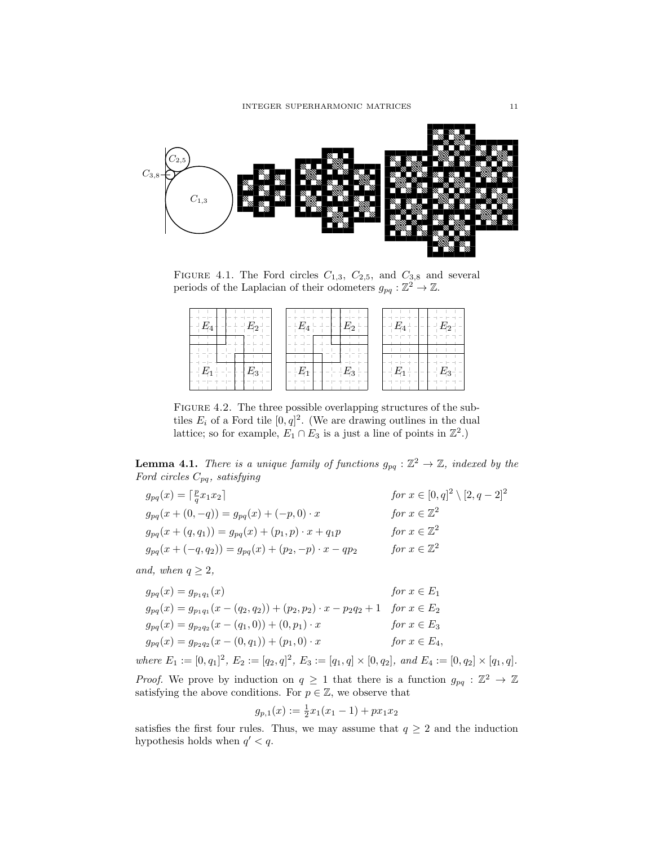

<span id="page-10-0"></span>FIGURE 4.1. The Ford circles  $C_{1,3}$ ,  $C_{2,5}$ , and  $C_{3,8}$  and several periods of the Laplacian of their odometers  $g_{pq} : \mathbb{Z}^2 \to \mathbb{Z}$ .

| $ E_{\rm Z}$<br>$\mathbf{r} = \mathbf{r} = -\mathbf{r} + \mathbf{r}$<br>- | $ E_4$ $-$<br>Γο                                                                                                                                                                                                                                                                                                                                                                                                                                                                                        | $  E_4$ $ -$<br>$- F_{D}$<br>$\sim$                       |
|---------------------------------------------------------------------------|---------------------------------------------------------------------------------------------------------------------------------------------------------------------------------------------------------------------------------------------------------------------------------------------------------------------------------------------------------------------------------------------------------------------------------------------------------------------------------------------------------|-----------------------------------------------------------|
| $- E_1$ – $-$<br>$E_3$ = $-$                                              | $F_{22}$ –<br>$- -F_{11}$<br>$\frac{1}{2} \left( \frac{1}{2} \right) \left( \frac{1}{2} \right) \left( \frac{1}{2} \right) \left( \frac{1}{2} \right) \left( \frac{1}{2} \right) \left( \frac{1}{2} \right) \left( \frac{1}{2} \right) \left( \frac{1}{2} \right) \left( \frac{1}{2} \right) \left( \frac{1}{2} \right) \left( \frac{1}{2} \right) \left( \frac{1}{2} \right) \left( \frac{1}{2} \right) \left( \frac{1}{2} \right) \left( \frac{1}{2} \right) \left( \frac{1}{2} \right) \left( \frac$ | $\vdash \, ^+E_1$ $\vdash$ $\lnot$ $\lnot$<br>$+ - E_3 -$ |

<span id="page-10-1"></span>FIGURE 4.2. The three possible overlapping structures of the subtiles  $E_i$  of a Ford tile  $[0, q]^2$ . (We are drawing outlines in the dual lattice; so for example,  $E_1 \cap E_3$  is a just a line of points in  $\mathbb{Z}^2$ .)

<span id="page-10-2"></span>**Lemma 4.1.** There is a unique family of functions  $g_{pq}: \mathbb{Z}^2 \to \mathbb{Z}$ , indexed by the Ford circles  $C_{pq}$ , satisfying

| $g_{pq}(x) = \lceil \frac{p}{q} x_1 x_2 \rceil$              | <i>for</i> $x \in [0, q]^2 \setminus [2, q-2]^2$ |
|--------------------------------------------------------------|--------------------------------------------------|
| $g_{pq}(x+(0,-q)) = g_{pq}(x) + (-p,0) \cdot x$              | for $x \in \mathbb{Z}^2$                         |
| $g_{pq}(x+(q,q_1)) = g_{pq}(x) + (p_1,p) \cdot x + q_1p$     | for $x \in \mathbb{Z}^2$                         |
| $g_{pq}(x+(-q, q_2)) = g_{pq}(x) + (p_2, -p) \cdot x - qp_2$ | for $x \in \mathbb{Z}^2$                         |
|                                                              |                                                  |

and, when  $q \geq 2$ ,

$$
g_{pq}(x) = g_{p_1q_1}(x)
$$
  
\n
$$
g_{pq}(x) = g_{p_1q_1}(x - (q_2, q_2)) + (p_2, p_2) \cdot x - p_2q_2 + 1
$$
  
\n
$$
g_{pq}(x) = g_{p_2q_2}(x - (q_1, 0)) + (0, p_1) \cdot x
$$
  
\n
$$
g_{pq}(x) = g_{p_2q_2}(x - (0, q_1)) + (p_1, 0) \cdot x
$$
  
\nfor  $x \in E_3$   
\nfor  $x \in E_4$ ,

where  $E_1 := [0, q_1]^2$ ,  $E_2 := [q_2, q]^2$ ,  $E_3 := [q_1, q] \times [0, q_2]$ , and  $E_4 := [0, q_2] \times [q_1, q]$ .

*Proof.* We prove by induction on  $q \geq 1$  that there is a function  $g_{pq} : \mathbb{Z}^2 \to \mathbb{Z}$ satisfying the above conditions. For  $p \in \mathbb{Z}$ , we observe that

$$
g_{p,1}(x) := \frac{1}{2}x_1(x_1 - 1) + px_1x_2
$$

satisfies the first four rules. Thus, we may assume that  $q \geq 2$  and the induction hypothesis holds when  $q' < q$ .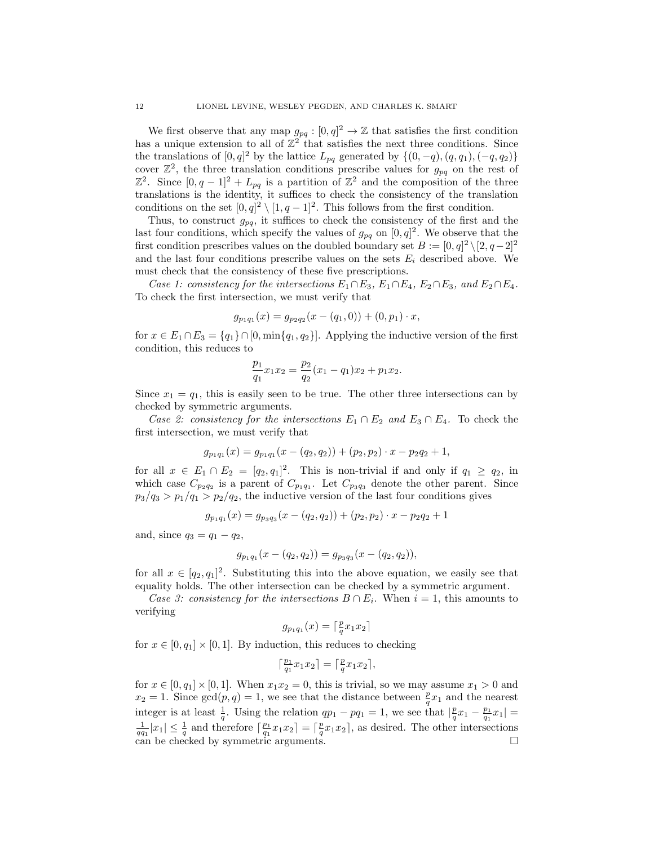We first observe that any map  $g_{pq} : [0, q]^2 \to \mathbb{Z}$  that satisfies the first condition has a unique extension to all of  $\mathbb{Z}^2$  that satisfies the next three conditions. Since the translations of  $[0, q]^2$  by the lattice  $L_{pq}$  generated by  $\{(0, -q), (q, q_1), (-q, q_2)\}\$ cover  $\mathbb{Z}^2$ , the three translation conditions prescribe values for  $g_{pq}$  on the rest of  $\mathbb{Z}^2$ . Since  $[0, q-1]^2 + L_{pq}$  is a partition of  $\mathbb{Z}^2$  and the composition of the three translations is the identity, it suffices to check the consistency of the translation conditions on the set  $[0, q]^2 \setminus [1, q-1]^2$ . This follows from the first condition.

Thus, to construct  $g_{pq}$ , it suffices to check the consistency of the first and the last four conditions, which specify the values of  $g_{pq}$  on  $[0, q]^2$ . We observe that the first condition prescribes values on the doubled boundary set  $B := [0, q]^2 \setminus [2, q-2]^2$ and the last four conditions prescribe values on the sets  $E_i$  described above. We must check that the consistency of these five prescriptions.

Case 1: consistency for the intersections  $E_1 \cap E_3$ ,  $E_1 \cap E_4$ ,  $E_2 \cap E_3$ , and  $E_2 \cap E_4$ . To check the first intersection, we must verify that

$$
g_{p_1q_1}(x) = g_{p_2q_2}(x - (q_1, 0)) + (0, p_1) \cdot x,
$$

for  $x \in E_1 \cap E_3 = \{q_1\} \cap [0, \min\{q_1, q_2\}]$ . Applying the inductive version of the first condition, this reduces to

$$
\frac{p_1}{q_1}x_1x_2 = \frac{p_2}{q_2}(x_1 - q_1)x_2 + p_1x_2.
$$

Since  $x_1 = q_1$ , this is easily seen to be true. The other three intersections can by checked by symmetric arguments.

Case 2: consistency for the intersections  $E_1 \cap E_2$  and  $E_3 \cap E_4$ . To check the first intersection, we must verify that

$$
g_{p_1q_1}(x) = g_{p_1q_1}(x - (q_2, q_2)) + (p_2, p_2) \cdot x - p_2q_2 + 1,
$$

for all  $x \in E_1 \cap E_2 = [q_2, q_1]^2$ . This is non-trivial if and only if  $q_1 \ge q_2$ , in which case  $C_{p_2q_2}$  is a parent of  $C_{p_1q_1}$ . Let  $C_{p_3q_3}$  denote the other parent. Since  $p_3/q_3 > p_1/q_1 > p_2/q_2$ , the inductive version of the last four conditions gives

$$
g_{p_1q_1}(x) = g_{p_3q_3}(x - (q_2, q_2)) + (p_2, p_2) \cdot x - p_2q_2 + 1
$$

and, since  $q_3 = q_1 - q_2$ ,

$$
g_{p_1q_1}(x - (q_2, q_2)) = g_{p_3q_3}(x - (q_2, q_2)),
$$

for all  $x \in [q_2, q_1]^2$ . Substituting this into the above equation, we easily see that equality holds. The other intersection can be checked by a symmetric argument.

Case 3: consistency for the intersections  $B \cap E_i$ . When  $i = 1$ , this amounts to verifying

$$
g_{p_1q_1}(x) = \lceil \frac{p}{q} x_1 x_2 \rceil
$$

for  $x \in [0, q_1] \times [0, 1]$ . By induction, this reduces to checking

$$
\lceil \tfrac{p_1}{q_1} x_1 x_2 \rceil = \lceil \tfrac{p}{q} x_1 x_2 \rceil,
$$

for  $x \in [0, q_1] \times [0, 1]$ . When  $x_1 x_2 = 0$ , this is trivial, so we may assume  $x_1 > 0$  and  $x_2 = 1$ . Since  $gcd(p, q) = 1$ , we see that the distance between  $\frac{p}{q}x_1$  and the nearest integer is at least  $\frac{1}{q}$ . Using the relation  $qp_1 - pq_1 = 1$ , we see that  $|\frac{p}{q}x_1 - \frac{p_1}{q_1}x_1|$  $\frac{1}{q_1}|x_1| \leq \frac{1}{q}$  and therefore  $\lceil \frac{p_1}{q_1}x_1x_2 \rceil = \lceil \frac{p}{q}x_1x_2 \rceil$ , as desired. The other intersections can be checked by symmetric arguments.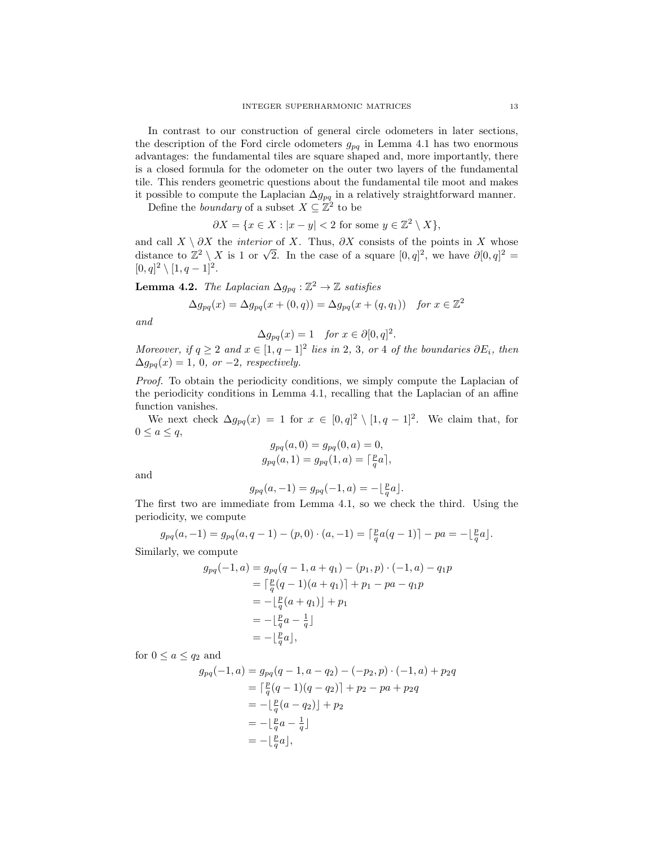In contrast to our construction of general circle odometers in later sections, the description of the Ford circle odometers  $g_{pq}$  in Lemma [4.1](#page-10-2) has two enormous advantages: the fundamental tiles are square shaped and, more importantly, there is a closed formula for the odometer on the outer two layers of the fundamental tile. This renders geometric questions about the fundamental tile moot and makes it possible to compute the Laplacian  $\Delta g_{pq}$  in a relatively straightforward manner.

Define the *boundary* of a subset  $X \subseteq \mathbb{Z}^2$  to be

 $\partial X = \{x \in X : |x - y| < 2 \text{ for some } y \in \mathbb{Z}^2 \setminus X\},\$ 

and call  $X \setminus \partial X$  the *interior* of X. Thus,  $\partial X$  consists of the points in X whose and can  $\Lambda \setminus \overline{OA}$  the *interior* of  $\Lambda$ . Thus,  $\overline{OA}$  consists of the points in  $\Lambda$  whose<br>distance to  $\mathbb{Z}^2 \setminus \overline{X}$  is 1 or  $\sqrt{2}$ . In the case of a square  $[0, q]^2$ , we have  $\partial [0, q]^2$  =  $[0, q]^2 \setminus [1, q-1]^2$ .

<span id="page-12-0"></span>**Lemma 4.2.** The Laplacian  $\Delta g_{pq} : \mathbb{Z}^2 \to \mathbb{Z}$  satisfies

$$
\Delta g_{pq}(x) = \Delta g_{pq}(x + (0, q)) = \Delta g_{pq}(x + (q, q_1)) \quad \text{for } x \in \mathbb{Z}^2
$$

and

$$
\Delta g_{pq}(x) = 1 \quad \text{for } x \in \partial [0, q]^2.
$$

Moreover, if  $q \ge 2$  and  $x \in [1, q-1]^2$  lies in 2, 3, or 4 of the boundaries  $\partial E_i$ , then  $\Delta g_{pq}(x) = 1, 0, or -2, respectively.$ 

Proof. To obtain the periodicity conditions, we simply compute the Laplacian of the periodicity conditions in Lemma [4.1,](#page-10-2) recalling that the Laplacian of an affine function vanishes.

We next check  $\Delta g_{pq}(x) = 1$  for  $x \in [0, q]^2 \setminus [1, q-1]^2$ . We claim that, for  $0 \leq a \leq q$ ,

$$
g_{pq}(a, 0) = g_{pq}(0, a) = 0,
$$
  
\n
$$
g_{pq}(a, 1) = g_{pq}(1, a) = \lceil \frac{p}{q} a \rceil,
$$

and

 $g_{pq}(a, -1) = g_{pq}(-1, a) = -\lfloor \frac{p}{q}a \rfloor.$ 

The first two are immediate from Lemma [4.1,](#page-10-2) so we check the third. Using the periodicity, we compute

$$
g_{pq}(a,-1) = g_{pq}(a,q-1) - (p,0) \cdot (a,-1) = \lceil \frac{p}{q}a(q-1) \rceil - pa = -\lfloor \frac{p}{q}a \rfloor.
$$

Similarly, we compute

$$
g_{pq}(-1, a) = g_{pq}(q - 1, a + q_1) - (p_1, p) \cdot (-1, a) - q_1 p
$$
  
=  $\lceil \frac{p}{q}(q - 1)(a + q_1) \rceil + p_1 - pa - q_1 p$   
=  $-\lfloor \frac{p}{q}(a + q_1) \rfloor + p_1$   
=  $-\lfloor \frac{p}{q}a - \frac{1}{q} \rfloor$   
=  $-\lfloor \frac{p}{q}a \rfloor$ ,

for  $0 \le a \le q_2$  and

$$
g_{pq}(-1, a) = g_{pq}(q - 1, a - q_2) - (-p_2, p) \cdot (-1, a) + p_2 q
$$
  
=  $\lceil \frac{p}{q}(q - 1)(q - q_2) \rceil + p_2 - pa + p_2 q$   
=  $-\lfloor \frac{p}{q}(a - q_2) \rfloor + p_2$   
=  $-\lfloor \frac{p}{q}a - \frac{1}{q} \rfloor$   
=  $-\lfloor \frac{p}{q}a \rfloor$ ,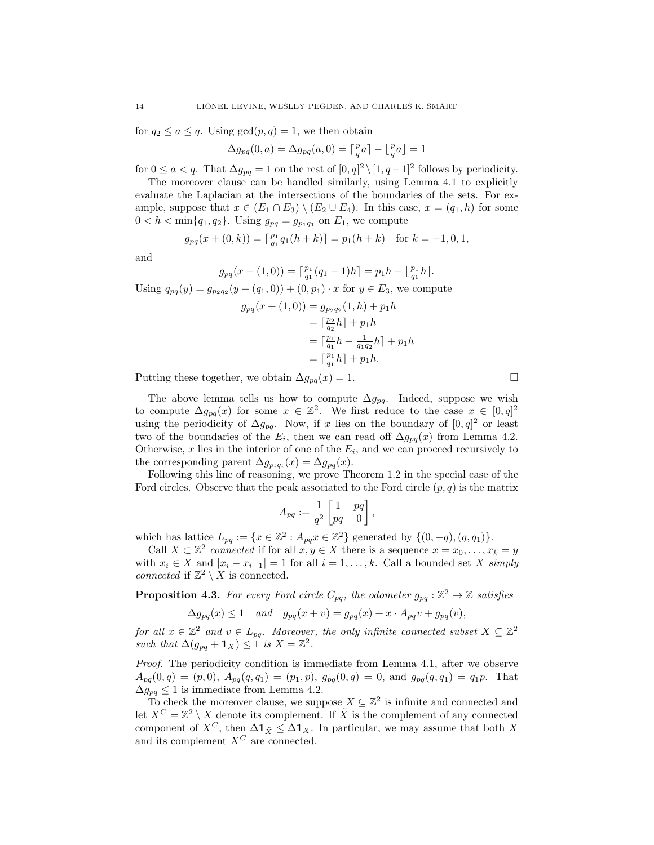for  $q_2 \leq a \leq q$ . Using  $gcd(p, q) = 1$ , we then obtain

$$
\Delta g_{pq}(0, a) = \Delta g_{pq}(a, 0) = \lceil \frac{p}{q}a \rceil - \lfloor \frac{p}{q}a \rfloor = 1
$$

for  $0 \le a < q$ . That  $\Delta g_{pq} = 1$  on the rest of  $[0, q]^2 \setminus [1, q-1]^2$  follows by periodicity.

The moreover clause can be handled similarly, using Lemma [4.1](#page-10-2) to explicitly evaluate the Laplacian at the intersections of the boundaries of the sets. For example, suppose that  $x \in (E_1 \cap E_3) \setminus (E_2 \cup E_4)$ . In this case,  $x = (q_1, h)$  for some  $0 < h < \min\{q_1, q_2\}$ . Using  $g_{pq} = g_{p_1q_1}$  on  $E_1$ , we compute

$$
g_{pq}(x + (0, k)) = \lceil \frac{p_1}{q_1} q_1(h + k) \rceil = p_1(h + k) \text{ for } k = -1, 0, 1,
$$

and

$$
g_{pq}(x-(1,0)) = \lceil \frac{p_1}{q_1}(q_1-1)h \rceil = p_1h - \lfloor \frac{p_1}{q_1}h \rfloor.
$$

Using  $q_{pq}(y) = g_{p_2q_2}(y - (q_1, 0)) + (0, p_1) \cdot x$  for  $y \in E_3$ , we compute

$$
g_{pq}(x + (1,0)) = g_{p_2q_2}(1,h) + p_1h
$$
  
=  $\lceil \frac{p_2}{q_2}h \rceil + p_1h$   
=  $\lceil \frac{p_1}{q_1}h - \frac{1}{q_1q_2}h \rceil + p_1h$   
=  $\lceil \frac{p_1}{q_1}h \rceil + p_1h$ .

Putting these together, we obtain  $\Delta g_{pq}(x) = 1$ .

The above lemma tells us how to compute  $\Delta g_{pq}$ . Indeed, suppose we wish to compute  $\Delta g_{pq}(x)$  for some  $x \in \mathbb{Z}^2$ . We first reduce to the case  $x \in [0, q]^2$ using the periodicity of  $\Delta g_{pq}$ . Now, if x lies on the boundary of  $[0, q]^2$  or least two of the boundaries of the  $E_i$ , then we can read off  $\Delta g_{pq}(x)$  from Lemma [4.2.](#page-12-0) Otherwise,  $x$  lies in the interior of one of the  $E_i$ , and we can proceed recursively to the corresponding parent  $\Delta g_{p_i q_i}(x) = \Delta g_{pq}(x)$ .

Following this line of reasoning, we prove Theorem [1.2](#page-2-0) in the special case of the Ford circles. Observe that the peak associated to the Ford circle  $(p, q)$  is the matrix

$$
A_{pq} := \frac{1}{q^2} \begin{bmatrix} 1 & pq \\ pq & 0 \end{bmatrix}
$$

,

which has lattice  $L_{pq} := \{x \in \mathbb{Z}^2 : A_{pq}x \in \mathbb{Z}^2\}$  generated by  $\{(0, -q), (q, q_1)\}.$ 

Call  $X \subset \mathbb{Z}^2$  connected if for all  $x, y \in X$  there is a sequence  $x = x_0, \ldots, x_k = y$ with  $x_i \in X$  and  $|x_i - x_{i-1}| = 1$  for all  $i = 1, ..., k$ . Call a bounded set X simply connected if  $\mathbb{Z}^2 \setminus X$  is connected.

<span id="page-13-0"></span>**Proposition 4.3.** For every Ford circle  $C_{pq}$ , the odometer  $g_{pq} : \mathbb{Z}^2 \to \mathbb{Z}$  satisfies

$$
\Delta g_{pq}(x) \le 1 \quad and \quad g_{pq}(x+v) = g_{pq}(x) + x \cdot A_{pq}v + g_{pq}(v),
$$

for all  $x \in \mathbb{Z}^2$  and  $v \in L_{pq}$ . Moreover, the only infinite connected subset  $X \subseteq \mathbb{Z}^2$ such that  $\Delta(g_{pq} + \mathbf{1}_X) \leq 1$  is  $X = \mathbb{Z}^2$ .

Proof. The periodicity condition is immediate from Lemma [4.1,](#page-10-2) after we observe  $A_{pq}(0,q) = (p,0), A_{pq}(q,q_1) = (p_1,p), g_{pq}(0,q) = 0, \text{ and } g_{pq}(q,q_1) = q_1p.$  That  $\Delta g_{pq} \leq 1$  is immediate from Lemma [4.2.](#page-12-0)

To check the moreover clause, we suppose  $X \subseteq \mathbb{Z}^2$  is infinite and connected and let  $X^C = \mathbb{Z}^2 \setminus X$  denote its complement. If  $\tilde{X}$  is the complement of any connected component of  $X^C$ , then  $\Delta \mathbf{1}_{\tilde{X}} \leq \Delta \mathbf{1}_X$ . In particular, we may assume that both X and its complement  $X^C$  are connected.

$$
\Box
$$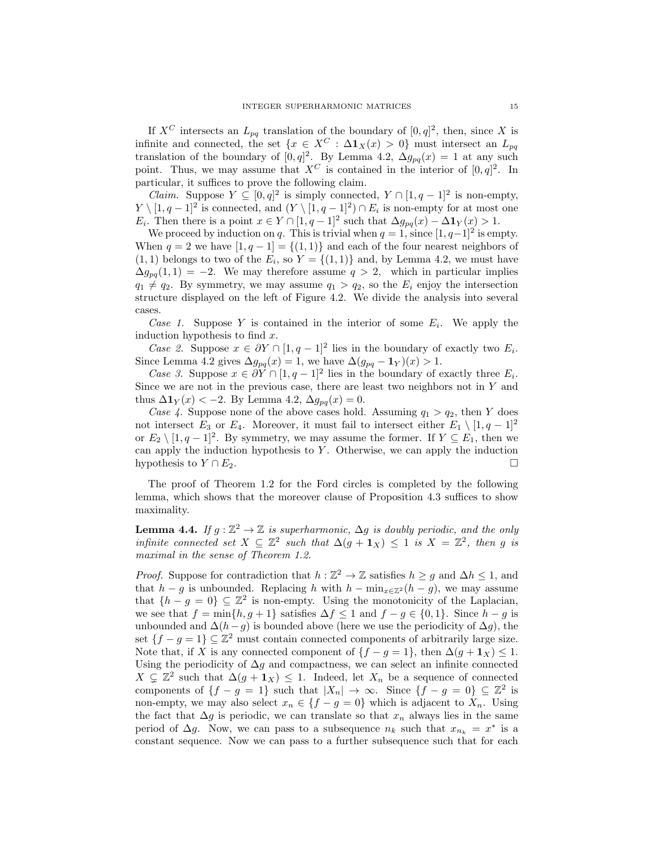If  $X^C$  intersects an  $L_{pq}$  translation of the boundary of  $[0, q]^2$ , then, since X is infinite and connected, the set  $\{x \in X^C : \Delta \mathbf{1}_X(x) > 0\}$  must intersect an  $L_{pq}$ translation of the boundary of  $[0, q]^2$ . By Lemma [4.2,](#page-12-0)  $\Delta g_{pq}(x) = 1$  at any such point. Thus, we may assume that  $X^C$  is contained in the interior of  $[0, q]^2$ . In particular, it suffices to prove the following claim.

*Claim.* Suppose  $Y \subseteq [0, q]^2$  is simply connected,  $Y \cap [1, q-1]^2$  is non-empty,  $Y \setminus [1, q-1]^2$  is connected, and  $(Y \setminus [1, q-1]^2) \cap E_i$  is non-empty for at most one E<sub>i</sub>. Then there is a point  $x \in Y \cap [1, q-1]^2$  such that  $\Delta g_{pq}(x) - \Delta \mathbf{1}_Y(x) > 1$ .

We proceed by induction on q. This is trivial when  $q = 1$ , since  $[1, q-1]^2$  is empty. When  $q = 2$  we have  $[1, q - 1] = \{(1, 1)\}\$  and each of the four nearest neighbors of  $(1, 1)$  belongs to two of the  $E_i$ , so  $Y = \{(1, 1)\}\$ and, by Lemma [4.2,](#page-12-0) we must have  $\Delta g_{pq}(1,1) = -2$ . We may therefore assume  $q > 2$ , which in particular implies  $q_1 \neq q_2$ . By symmetry, we may assume  $q_1 > q_2$ , so the  $E_i$  enjoy the intersection structure displayed on the left of Figure [4.2.](#page-10-1) We divide the analysis into several cases.

Case 1. Suppose Y is contained in the interior of some  $E_i$ . We apply the induction hypothesis to find  $x$ .

Case 2. Suppose  $x \in \partial Y \cap [1, q-1]^2$  lies in the boundary of exactly two  $E_i$ . Since Lemma [4.2](#page-12-0) gives  $\Delta g_{pq}(x) = 1$ , we have  $\Delta (g_{pq} - \mathbf{1}_Y)(x) > 1$ .

Case 3. Suppose  $x \in \partial Y \cap [1, q-1]^2$  lies in the boundary of exactly three  $E_i$ . Since we are not in the previous case, there are least two neighbors not in  $Y$  and thus  $\Delta \mathbf{1}_Y(x) < -2$ . By Lemma [4.2,](#page-12-0)  $\Delta g_{pq}(x) = 0$ .

Case 4. Suppose none of the above cases hold. Assuming  $q_1 > q_2$ , then Y does not intersect  $E_3$  or  $E_4$ . Moreover, it must fail to intersect either  $E_1 \setminus [1, q-1]^2$ or  $E_2 \setminus [1, q-1]^2$ . By symmetry, we may assume the former. If  $Y \subseteq E_1$ , then we can apply the induction hypothesis to  $Y$ . Otherwise, we can apply the induction hypothesis to  $Y \cap E_2$ .

The proof of Theorem [1.2](#page-2-0) for the Ford circles is completed by the following lemma, which shows that the moreover clause of Proposition [4.3](#page-13-0) suffices to show maximality.

**Lemma 4.4.** If  $g : \mathbb{Z}^2 \to \mathbb{Z}$  is superharmonic,  $\Delta g$  is doubly periodic, and the only infinite connected set  $X \subseteq \mathbb{Z}^2$  such that  $\Delta(g + 1_X) \leq 1$  is  $X = \mathbb{Z}^2$ , then g is maximal in the sense of Theorem [1.2.](#page-2-0)

*Proof.* Suppose for contradiction that  $h : \mathbb{Z}^2 \to \mathbb{Z}$  satisfies  $h \geq g$  and  $\Delta h \leq 1$ , and that  $h - g$  is unbounded. Replacing h with  $h - \min_{x \in \mathbb{Z}^2} (h - g)$ , we may assume that  $\{h - g = 0\} \subseteq \mathbb{Z}^2$  is non-empty. Using the monotonicity of the Laplacian, we see that  $f = \min\{h, g + 1\}$  satisfies  $\Delta f \le 1$  and  $f - g \in \{0, 1\}$ . Since  $h - g$  is unbounded and  $\Delta(h-g)$  is bounded above (here we use the periodicity of  $\Delta g$ ), the set  $\{f - g = 1\} \subseteq \mathbb{Z}^2$  must contain connected components of arbitrarily large size. Note that, if X is any connected component of  ${f - g = 1}$ , then  $\Delta(g + 1_X) \leq 1$ . Using the periodicity of  $\Delta g$  and compactness, we can select an infinite connected  $X \subsetneq \mathbb{Z}^2$  such that  $\Delta(g + 1_X) \leq 1$ . Indeed, let  $X_n$  be a sequence of connected components of  $\{f - g = 1\}$  such that  $|X_n| \to \infty$ . Since  $\{f - g = 0\} \subseteq \mathbb{Z}^2$  is non-empty, we may also select  $x_n \in \{f - g = 0\}$  which is adjacent to  $X_n$ . Using the fact that  $\Delta g$  is periodic, we can translate so that  $x_n$  always lies in the same period of  $\Delta g$ . Now, we can pass to a subsequence  $n_k$  such that  $x_{n_k} = x^*$  is a constant sequence. Now we can pass to a further subsequence such that for each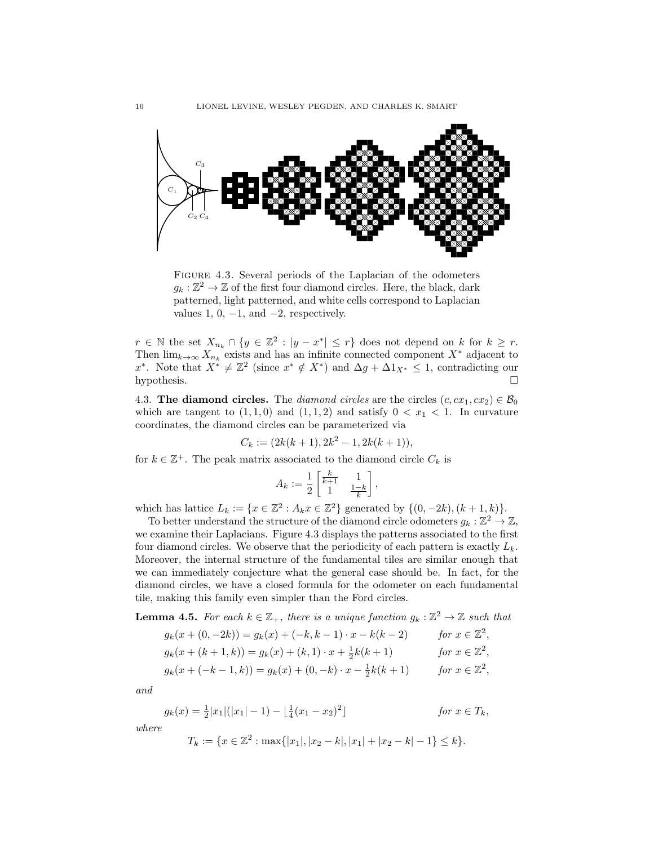

<span id="page-15-0"></span>Figure 4.3. Several periods of the Laplacian of the odometers  $g_k: \mathbb{Z}^2 \to \mathbb{Z}$  of the first four diamond circles. Here, the black, dark patterned, light patterned, and white cells correspond to Laplacian values 1, 0,  $-1$ , and  $-2$ , respectively.

 $r \in \mathbb{N}$  the set  $X_{n_k} \cap \{y \in \mathbb{Z}^2 : |y - x^*| \leq r\}$  does not depend on k for  $k \geq r$ . Then  $\lim_{k\to\infty} X_{n_k}$  exists and has an infinite connected component  $X^*$  adjacent to x<sup>\*</sup>. Note that  $X^* \neq \mathbb{Z}^2$  (since  $x^* \notin X^*$ ) and  $\Delta g + \Delta 1_{X^*} \leq 1$ , contradicting our hypothesis.  $\square$ 

<span id="page-15-2"></span>4.3. The diamond circles. The diamond circles are the circles  $(c, cx_1, cx_2) \in \mathcal{B}_0$ which are tangent to  $(1,1,0)$  and  $(1,1,2)$  and satisfy  $0 < x<sub>1</sub> < 1$ . In curvature coordinates, the diamond circles can be parameterized via

$$
C_k := (2k(k+1), 2k^2 - 1, 2k(k+1)),
$$

for  $k \in \mathbb{Z}^+$ . The peak matrix associated to the diamond circle  $C_k$  is

$$
A_k := \frac{1}{2} \begin{bmatrix} \frac{k}{k+1} & 1\\ 1 & \frac{1-k}{k} \end{bmatrix}
$$

,

which has lattice  $L_k := \{x \in \mathbb{Z}^2 : A_k x \in \mathbb{Z}^2\}$  generated by  $\{(0, -2k), (k+1, k)\}.$ 

To better understand the structure of the diamond circle odometers  $g_k : \mathbb{Z}^2 \to \mathbb{Z}$ , we examine their Laplacians. Figure [4.3](#page-15-0) displays the patterns associated to the first four diamond circles. We observe that the periodicity of each pattern is exactly  $L_k$ . Moreover, the internal structure of the fundamental tiles are similar enough that we can immediately conjecture what the general case should be. In fact, for the diamond circles, we have a closed formula for the odometer on each fundamental tile, making this family even simpler than the Ford circles.

<span id="page-15-1"></span>**Lemma 4.5.** For each  $k \in \mathbb{Z}_+$ , there is a unique function  $g_k : \mathbb{Z}^2 \to \mathbb{Z}$  such that

$$
g_k(x + (0, -2k)) = g_k(x) + (-k, k - 1) \cdot x - k(k - 2) \quad for \ x \in \mathbb{Z}^2,
$$
  
\n
$$
g_k(x + (k + 1, k)) = g_k(x) + (k, 1) \cdot x + \frac{1}{2}k(k + 1) \quad for \ x \in \mathbb{Z}^2,
$$
  
\n
$$
g_k(x + (-k - 1, k)) = g_k(x) + (0, -k) \cdot x - \frac{1}{2}k(k + 1) \quad for \ x \in \mathbb{Z}^2,
$$

and

$$
g_k(x) = \frac{1}{2}|x_1|(|x_1| - 1) - \left\lfloor \frac{1}{4}(x_1 - x_2)^2 \right\rfloor \qquad \text{for } x \in T_k,
$$
  
where

 $T_k := \{x \in \mathbb{Z}^2 : \max\{|x_1|, |x_2 - k|, |x_1| + |x_2 - k| - 1\} \le k\}.$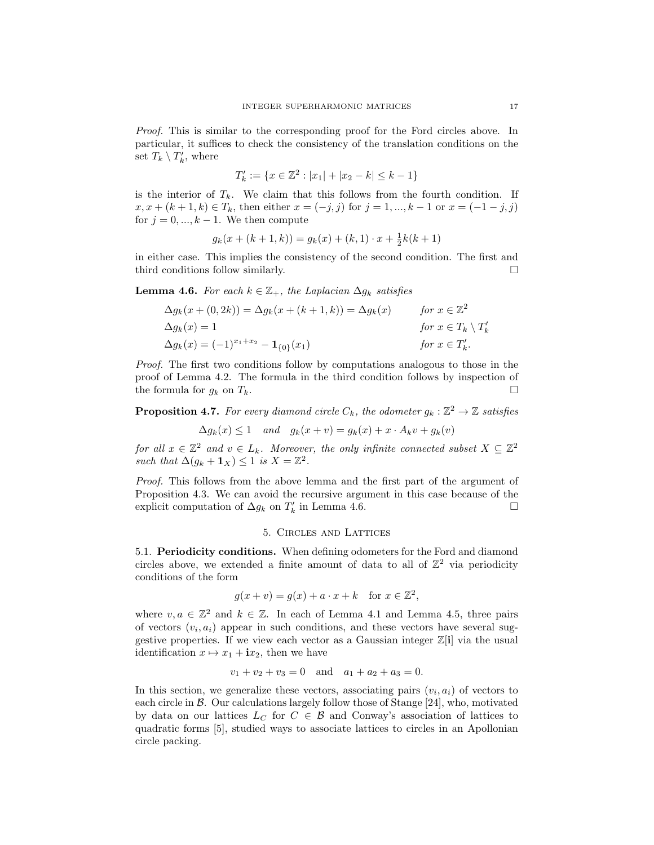Proof. This is similar to the corresponding proof for the Ford circles above. In particular, it suffices to check the consistency of the translation conditions on the set  $T_k \setminus T'_k$ , where

$$
T'_k := \{ x \in \mathbb{Z}^2 : |x_1| + |x_2 - k| \le k - 1 \}
$$

is the interior of  $T_k$ . We claim that this follows from the fourth condition. If  $x, x + (k+1, k) \in T_k$ , then either  $x = (-j, j)$  for  $j = 1, ..., k-1$  or  $x = (-1, -j, j)$ for  $j = 0, ..., k - 1$ . We then compute

$$
g_k(x + (k+1, k)) = g_k(x) + (k, 1) \cdot x + \frac{1}{2}k(k+1)
$$

in either case. This implies the consistency of the second condition. The first and third conditions follow similarly.

<span id="page-16-1"></span>**Lemma 4.6.** For each  $k \in \mathbb{Z}_+$ , the Laplacian  $\Delta g_k$  satisfies

$$
\Delta g_k(x + (0, 2k)) = \Delta g_k(x + (k+1, k)) = \Delta g_k(x) \quad \text{for } x \in \mathbb{Z}^2
$$
  
\n
$$
\Delta g_k(x) = 1 \quad \text{for } x \in T_k \setminus T'_k
$$
  
\n
$$
\Delta g_k(x) = (-1)^{x_1 + x_2} - \mathbf{1}_{\{0\}}(x_1) \quad \text{for } x \in T'_k.
$$

Proof. The first two conditions follow by computations analogous to those in the proof of Lemma [4.2.](#page-12-0) The formula in the third condition follows by inspection of the formula for  $g_k$  on  $T_k$ .

<span id="page-16-2"></span>**Proposition 4.7.** For every diamond circle  $C_k$ , the odometer  $g_k : \mathbb{Z}^2 \to \mathbb{Z}$  satisfies

$$
\Delta g_k(x) \le 1 \quad and \quad g_k(x+v) = g_k(x) + x \cdot A_k v + g_k(v)
$$

for all  $x \in \mathbb{Z}^2$  and  $v \in L_k$ . Moreover, the only infinite connected subset  $X \subseteq \mathbb{Z}^2$ such that  $\Delta(g_k + \mathbf{1}_X) \leq 1$  is  $X = \mathbb{Z}^2$ .

Proof. This follows from the above lemma and the first part of the argument of Proposition [4.3.](#page-13-0) We can avoid the recursive argument in this case because of the explicit computation of  $\Delta g_k$  on  $T'_k$  in Lemma [4.6.](#page-16-1)

## 5. Circles and Lattices

<span id="page-16-0"></span>5.1. Periodicity conditions. When defining odometers for the Ford and diamond circles above, we extended a finite amount of data to all of  $\mathbb{Z}^2$  via periodicity conditions of the form

$$
g(x + v) = g(x) + a \cdot x + k \quad \text{for } x \in \mathbb{Z}^2,
$$

where  $v, a \in \mathbb{Z}^2$  and  $k \in \mathbb{Z}$ . In each of Lemma [4.1](#page-10-2) and Lemma [4.5,](#page-15-1) three pairs of vectors  $(v_i, a_i)$  appear in such conditions, and these vectors have several suggestive properties. If we view each vector as a Gaussian integer  $\mathbb{Z}[\mathbf{i}]$  via the usual identification  $x \mapsto x_1 + \mathbf{i}x_2$ , then we have

$$
v_1 + v_2 + v_3 = 0
$$
 and  $a_1 + a_2 + a_3 = 0$ .

In this section, we generalize these vectors, associating pairs  $(v_i, a_i)$  of vectors to each circle in  $\mathcal B$ . Our calculations largely follow those of Stange [\[24\]](#page-48-5), who, motivated by data on our lattices  $L_C$  for  $C \in \mathcal{B}$  and Conway's association of lattices to quadratic forms [\[5\]](#page-48-19), studied ways to associate lattices to circles in an Apollonian circle packing.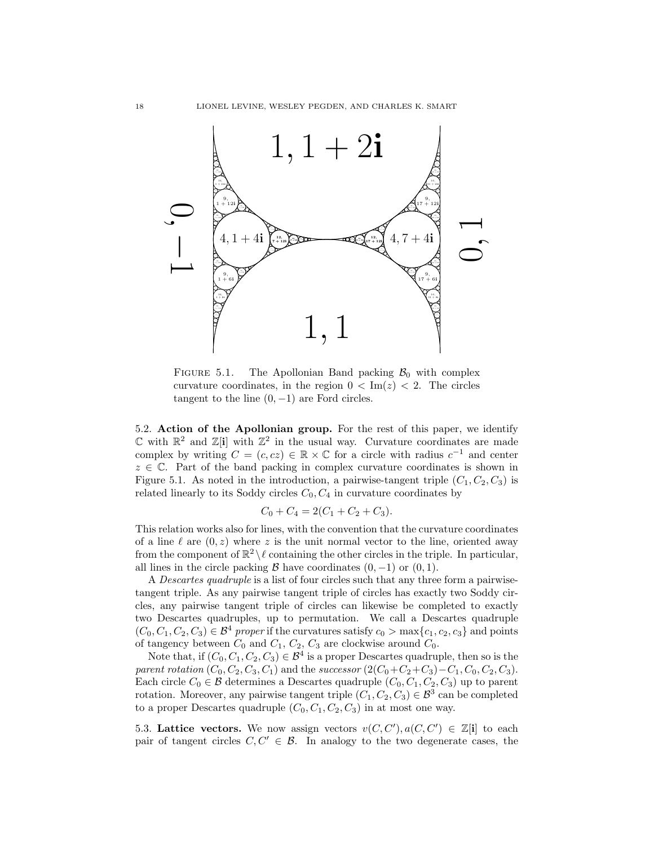

<span id="page-17-0"></span>FIGURE 5.1. The Apollonian Band packing  $B_0$  with complex curvature coordinates, in the region  $0 < \text{Im}(z) < 2$ . The circles tangent to the line  $(0, -1)$  are Ford circles.

5.2. Action of the Apollonian group. For the rest of this paper, we identify  $\mathbb C$  with  $\mathbb R^2$  and  $\mathbb Z[i]$  with  $\mathbb Z^2$  in the usual way. Curvature coordinates are made complex by writing  $C = (c, cz) \in \mathbb{R} \times \mathbb{C}$  for a circle with radius  $c^{-1}$  and center  $z \in \mathbb{C}$ . Part of the band packing in complex curvature coordinates is shown in Figure [5.1.](#page-17-0) As noted in the introduction, a pairwise-tangent triple  $(C_1, C_2, C_3)$  is related linearly to its Soddy circles  $C_0, C_4$  in curvature coordinates by

$$
C_0 + C_4 = 2(C_1 + C_2 + C_3).
$$

This relation works also for lines, with the convention that the curvature coordinates of a line  $\ell$  are  $(0, z)$  where z is the unit normal vector to the line, oriented away from the component of  $\mathbb{R}^2 \setminus \ell$  containing the other circles in the triple. In particular, all lines in the circle packing B have coordinates  $(0, -1)$  or  $(0, 1)$ .

A Descartes quadruple is a list of four circles such that any three form a pairwisetangent triple. As any pairwise tangent triple of circles has exactly two Soddy circles, any pairwise tangent triple of circles can likewise be completed to exactly two Descartes quadruples, up to permutation. We call a Descartes quadruple  $(C_0, C_1, C_2, C_3) \in \mathcal{B}^4$  proper if the curvatures satisfy  $c_0 > \max\{c_1, c_2, c_3\}$  and points of tangency between  $C_0$  and  $C_1$ ,  $C_2$ ,  $C_3$  are clockwise around  $C_0$ .

Note that, if  $(C_0, C_1, C_2, C_3) \in \mathcal{B}^4$  is a proper Descartes quadruple, then so is the parent rotation  $(C_0, C_2, C_3, C_1)$  and the successor  $(2(C_0+C_2+C_3)-C_1, C_0, C_2, C_3)$ . Each circle  $C_0 \in \mathcal{B}$  determines a Descartes quadruple  $(C_0, C_1, C_2, C_3)$  up to parent rotation. Moreover, any pairwise tangent triple  $(C_1, C_2, C_3) \in \mathcal{B}^3$  can be completed to a proper Descartes quadruple  $(C_0, C_1, C_2, C_3)$  in at most one way.

5.3. Lattice vectors. We now assign vectors  $v(C, C'), a(C, C') \in \mathbb{Z}[i]$  to each pair of tangent circles  $C, C' \in \mathcal{B}$ . In analogy to the two degenerate cases, the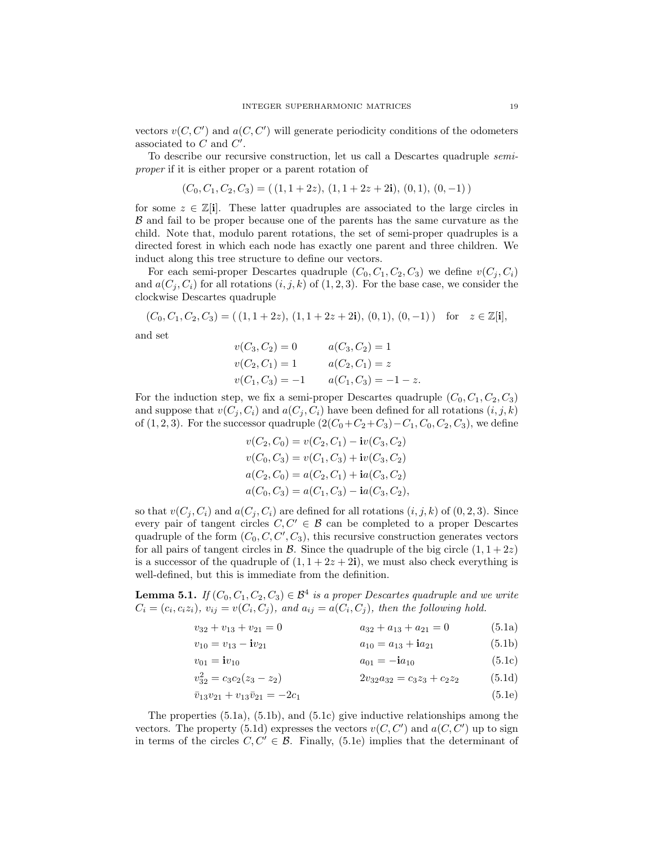vectors  $v(C, C')$  and  $a(C, C')$  will generate periodicity conditions of the odometers associated to  $C$  and  $C'$ .

To describe our recursive construction, let us call a Descartes quadruple semiproper if it is either proper or a parent rotation of

$$
(C_0, C_1, C_2, C_3) = ((1, 1 + 2z), (1, 1 + 2z + 2i), (0, 1), (0, -1))
$$

for some  $z \in \mathbb{Z}[i]$ . These latter quadruples are associated to the large circles in B and fail to be proper because one of the parents has the same curvature as the child. Note that, modulo parent rotations, the set of semi-proper quadruples is a directed forest in which each node has exactly one parent and three children. We induct along this tree structure to define our vectors.

For each semi-proper Descartes quadruple  $(C_0, C_1, C_2, C_3)$  we define  $v(C_i, C_i)$ and  $a(C_j, C_i)$  for all rotations  $(i, j, k)$  of  $(1, 2, 3)$ . For the base case, we consider the clockwise Descartes quadruple

$$
(C_0, C_1, C_2, C_3) = ((1, 1 + 2z), (1, 1 + 2z + 2i), (0, 1), (0, -1)) \text{ for } z \in \mathbb{Z}[i],
$$
  
and set  

$$
v(C_3, C_2) = 0 \qquad a(C_3, C_2) = 1
$$

$$
v(C_2, C_1) = 1 \qquad a(C_2, C_1) = z
$$

$$
v(C_1, C_3) = -1 \qquad a(C_1, C_3) = -1 - z.
$$

For the induction step, we fix a semi-proper Descartes quadruple  $(C_0, C_1, C_2, C_3)$ and suppose that  $v(C_j, C_i)$  and  $a(C_j, C_i)$  have been defined for all rotations  $(i, j, k)$ of (1, 2, 3). For the successor quadruple  $(2(C_0+C_2+C_3)-C_1, C_0, C_2, C_3)$ , we define

<span id="page-18-6"></span>
$$
v(C_2, C_0) = v(C_2, C_1) - \mathbf{i}v(C_3, C_2)
$$
  
\n
$$
v(C_0, C_3) = v(C_1, C_3) + \mathbf{i}v(C_3, C_2)
$$
  
\n
$$
a(C_2, C_0) = a(C_2, C_1) + \mathbf{i}a(C_3, C_2)
$$
  
\n
$$
a(C_0, C_3) = a(C_1, C_3) - \mathbf{i}a(C_3, C_2),
$$

so that  $v(C_i, C_i)$  and  $a(C_i, C_i)$  are defined for all rotations  $(i, j, k)$  of  $(0, 2, 3)$ . Since every pair of tangent circles  $C, C' \in \mathcal{B}$  can be completed to a proper Descartes quadruple of the form  $(C_0, C, C', C_3)$ , this recursive construction generates vectors for all pairs of tangent circles in  $\beta$ . Since the quadruple of the big circle  $(1, 1 + 2z)$ is a successor of the quadruple of  $(1, 1 + 2z + 2i)$ , we must also check everything is well-defined, but this is immediate from the definition.

<span id="page-18-0"></span>**Lemma 5.1.** If  $(C_0, C_1, C_2, C_3) \in \mathcal{B}^4$  is a proper Descartes quadruple and we write  $C_i = (c_i, c_i z_i), v_{ij} = v(C_i, C_j),$  and  $a_{ij} = a(C_i, C_j)$ , then the following hold.

$$
v_{32} + v_{13} + v_{21} = 0 \qquad a_{32} + a_{13} + a_{21} = 0 \qquad (5.1a)
$$

<span id="page-18-3"></span><span id="page-18-2"></span><span id="page-18-1"></span>
$$
v_{10} = v_{13} - i v_{21} \qquad a_{10} = a_{13} + i a_{21} \qquad (5.1b)
$$

<span id="page-18-5"></span><span id="page-18-4"></span>
$$
v_{01} = i v_{10} \t\t a_{01} = -i a_{10} \t\t (5.1c)
$$

$$
v_{32}^2 = c_3 c_2 (z_3 - z_2)
$$
  $2v_{32} a_{32} = c_3 z_3 + c_2 z_2$  (5.1d)

$$
\bar{v}_{13}v_{21} + v_{13}\bar{v}_{21} = -2c_1\tag{5.1e}
$$

The properties [\(5.1a\)](#page-18-1), [\(5.1b\)](#page-18-2), and [\(5.1c\)](#page-18-3) give inductive relationships among the vectors. The property [\(5.1d\)](#page-18-4) expresses the vectors  $v(C, C')$  and  $a(C, C')$  up to sign in terms of the circles  $C, C' \in \mathcal{B}$ . Finally, [\(5.1e\)](#page-18-5) implies that the determinant of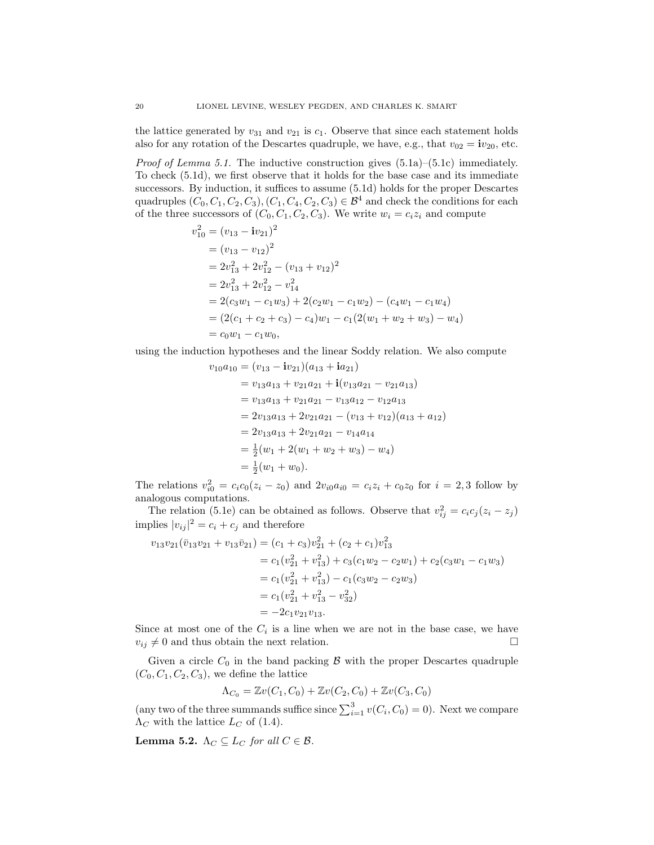the lattice generated by  $v_{31}$  and  $v_{21}$  is  $c_1$ . Observe that since each statement holds also for any rotation of the Descartes quadruple, we have, e.g., that  $v_{02} = iv_{20}$ , etc.

*Proof of Lemma [5.1.](#page-18-0)* The inductive construction gives  $(5.1a)$ – $(5.1c)$  immediately. To check [\(5.1d\)](#page-18-4), we first observe that it holds for the base case and its immediate successors. By induction, it suffices to assume [\(5.1d\)](#page-18-4) holds for the proper Descartes quadruples  $(C_0, C_1, C_2, C_3), (C_1, C_4, C_2, C_3) \in \mathcal{B}^4$  and check the conditions for each of the three successors of  $(C_0, C_1, C_2, C_3)$ . We write  $w_i = c_i z_i$  and compute

$$
v_{10}^{2} = (v_{13} - iv_{21})^{2}
$$
  
=  $(v_{13} - v_{12})^{2}$   
=  $2v_{13}^{2} + 2v_{12}^{2} - (v_{13} + v_{12})^{2}$   
=  $2v_{13}^{2} + 2v_{12}^{2} - v_{14}^{2}$   
=  $2(c_{3}w_{1} - c_{1}w_{3}) + 2(c_{2}w_{1} - c_{1}w_{2}) - (c_{4}w_{1} - c_{1}w_{4})$   
=  $(2(c_{1} + c_{2} + c_{3}) - c_{4})w_{1} - c_{1}(2(w_{1} + w_{2} + w_{3}) - w_{4})$   
=  $c_{0}w_{1} - c_{1}w_{0}$ ,

using the induction hypotheses and the linear Soddy relation. We also compute

$$
v_{10}a_{10} = (v_{13} - iv_{21})(a_{13} + ia_{21})
$$
  
=  $v_{13}a_{13} + v_{21}a_{21} + i(v_{13}a_{21} - v_{21}a_{13})$   
=  $v_{13}a_{13} + v_{21}a_{21} - v_{13}a_{12} - v_{12}a_{13}$   
=  $2v_{13}a_{13} + 2v_{21}a_{21} - (v_{13} + v_{12})(a_{13} + a_{12})$   
=  $2v_{13}a_{13} + 2v_{21}a_{21} - v_{14}a_{14}$   
=  $\frac{1}{2}(w_1 + 2(w_1 + w_2 + w_3) - w_4)$   
=  $\frac{1}{2}(w_1 + w_0).$ 

The relations  $v_{i0}^2 = c_i c_0 (z_i - z_0)$  and  $2v_{i0} a_{i0} = c_i z_i + c_0 z_0$  for  $i = 2, 3$  follow by analogous computations.

The relation [\(5.1e\)](#page-18-5) can be obtained as follows. Observe that  $v_{ij}^2 = c_i c_j (z_i - z_j)$ implies  $|v_{ij}|^2 = c_i + c_j$  and therefore

$$
v_{13}v_{21}(\bar{v}_{13}v_{21} + v_{13}\bar{v}_{21}) = (c_1 + c_3)v_{21}^2 + (c_2 + c_1)v_{13}^2
$$
  
=  $c_1(v_{21}^2 + v_{13}^2) + c_3(c_1w_2 - c_2w_1) + c_2(c_3w_1 - c_1w_3)$   
=  $c_1(v_{21}^2 + v_{13}^2) - c_1(c_3w_2 - c_2w_3)$   
=  $c_1(v_{21}^2 + v_{13}^2 - v_{32}^2)$   
=  $-2c_1v_{21}v_{13}$ .

Since at most one of the  $C_i$  is a line when we are not in the base case, we have  $v_{ij} \neq 0$  and thus obtain the next relation.

Given a circle  $C_0$  in the band packing  $\beta$  with the proper Descartes quadruple  $(C_0, C_1, C_2, C_3)$ , we define the lattice

$$
\Lambda_{C_0} = \mathbb{Z}v(C_1, C_0) + \mathbb{Z}v(C_2, C_0) + \mathbb{Z}v(C_3, C_0)
$$

(any two of the three summands suffice since  $\sum_{i=1}^{3} v(C_i, C_0) = 0$ ). Next we compare  $\Lambda_C$  with the lattice  $L_C$  of [\(1.4\)](#page-1-2).

<span id="page-19-0"></span>Lemma 5.2.  $\Lambda_C \subseteq L_C$  for all  $C \in \mathcal{B}$ .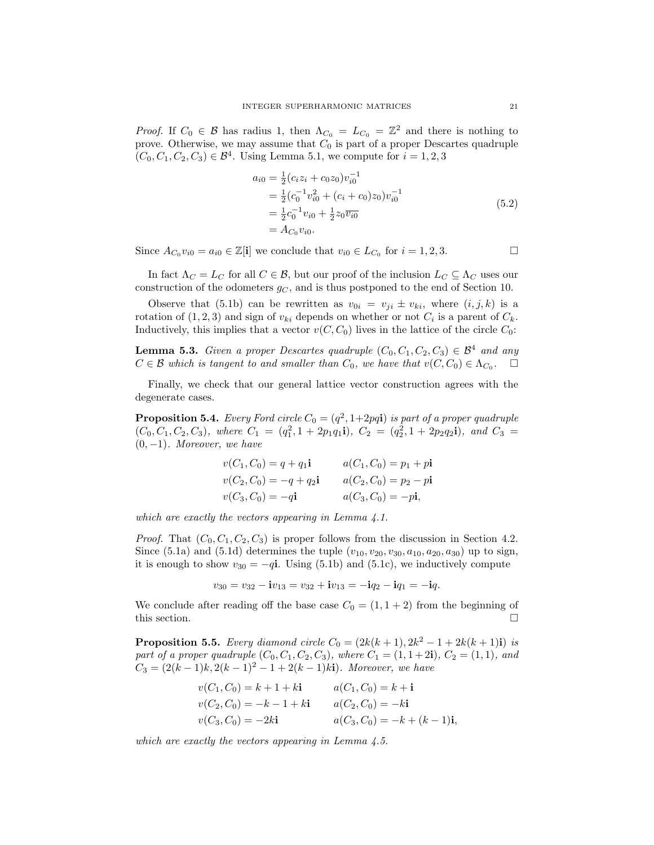*Proof.* If  $C_0 \in \mathcal{B}$  has radius 1, then  $\Lambda_{C_0} = L_{C_0} = \mathbb{Z}^2$  and there is nothing to prove. Otherwise, we may assume that  $C_0$  is part of a proper Descartes quadruple  $(C_0, C_1, C_2, C_3) \in \mathcal{B}^4$ . Using Lemma [5.1,](#page-18-0) we compute for  $i = 1, 2, 3$ 

<span id="page-20-2"></span>
$$
a_{i0} = \frac{1}{2} (c_i z_i + c_0 z_0) v_{i0}^{-1}
$$
  
=  $\frac{1}{2} (c_0^{-1} v_{i0}^2 + (c_i + c_0) z_0) v_{i0}^{-1}$   
=  $\frac{1}{2} c_0^{-1} v_{i0} + \frac{1}{2} z_0 \overline{v_{i0}}$   
=  $A_{C_0} v_{i0}$ . (5.2)

Since  $A_{C_0}v_{i0} = a_{i0} \in \mathbb{Z}[\mathbf{i}]$  we conclude that  $v_{i0} \in L_{C_0}$  for  $i = 1, 2, 3$ .

In fact  $\Lambda_C = L_C$  for all  $C \in \mathcal{B}$ , but our proof of the inclusion  $L_C \subseteq \Lambda_C$  uses our construction of the odometers  $g_C$ , and is thus postponed to the end of Section [10.](#page-43-0)

Observe that [\(5.1b\)](#page-18-2) can be rewritten as  $v_{0i} = v_{ji} \pm v_{ki}$ , where  $(i, j, k)$  is a rotation of  $(1, 2, 3)$  and sign of  $v_{ki}$  depends on whether or not  $C_i$  is a parent of  $C_k$ . Inductively, this implies that a vector  $v(C, C_0)$  lives in the lattice of the circle  $C_0$ :

<span id="page-20-1"></span>**Lemma 5.3.** Given a proper Descartes quadruple  $(C_0, C_1, C_2, C_3) \in \mathcal{B}^4$  and any  $C \in \mathcal{B}$  which is tangent to and smaller than  $C_0$ , we have that  $v(C, C_0) \in \Lambda_{C_0}$ .

Finally, we check that our general lattice vector construction agrees with the degenerate cases.

<span id="page-20-0"></span>**Proposition 5.4.** Every Ford circle  $C_0 = (q^2, 1+2pq\mathbf{i})$  is part of a proper quadruple  $(C_0, C_1, C_2, C_3)$ , where  $C_1 = (q_1^2, 1 + 2p_1q_1\mathbf{i})$ ,  $C_2 = (q_2^2, 1 + 2p_2q_2\mathbf{i})$ , and  $C_3 =$  $(0, -1)$ . Moreover, we have

$$
v(C_1, C_0) = q + q_1 \mathbf{i} \qquad a(C_1, C_0) = p_1 + p\mathbf{i}
$$
  
\n
$$
v(C_2, C_0) = -q + q_2 \mathbf{i} \qquad a(C_2, C_0) = p_2 - p\mathbf{i}
$$
  
\n
$$
v(C_3, C_0) = -q\mathbf{i} \qquad a(C_3, C_0) = -p\mathbf{i},
$$

which are exactly the vectors appearing in Lemma [4.1.](#page-10-2)

*Proof.* That  $(C_0, C_1, C_2, C_3)$  is proper follows from the discussion in Section [4.2.](#page-9-1) Since [\(5.1a\)](#page-18-1) and [\(5.1d\)](#page-18-4) determines the tuple  $(v_{10}, v_{20}, v_{30}, a_{10}, a_{20}, a_{30})$  up to sign, it is enough to show  $v_{30} = -q\mathbf{i}$ . Using [\(5.1b\)](#page-18-2) and [\(5.1c\)](#page-18-3), we inductively compute

$$
v_{30} = v_{32} - i v_{13} = v_{32} + i v_{13} = -i q_2 - i q_1 = -i q.
$$

We conclude after reading off the base case  $C_0 = (1, 1 + 2)$  from the beginning of this section.  $\Box$ 

**Proposition 5.5.** Every diamond circle  $C_0 = (2k(k+1), 2k^2 - 1 + 2k(k+1)i)$  is part of a proper quadruple  $(C_0, C_1, C_2, C_3)$ , where  $C_1 = (1, 1 + 2i)$ ,  $C_2 = (1, 1)$ , and  $C_3 = (2(k-1)k, 2(k-1)^2 - 1 + 2(k-1)k$ i). Moreover, we have

$$
v(C_1, C_0) = k + 1 + ki
$$
  
\n
$$
v(C_2, C_0) = -k - 1 + ki
$$
  
\n
$$
a(C_2, C_0) = -ki
$$
  
\n
$$
a(C_2, C_0) = -ki
$$
  
\n
$$
a(C_3, C_0) = -k + (k - 1)i
$$

which are exactly the vectors appearing in Lemma [4.5.](#page-15-1)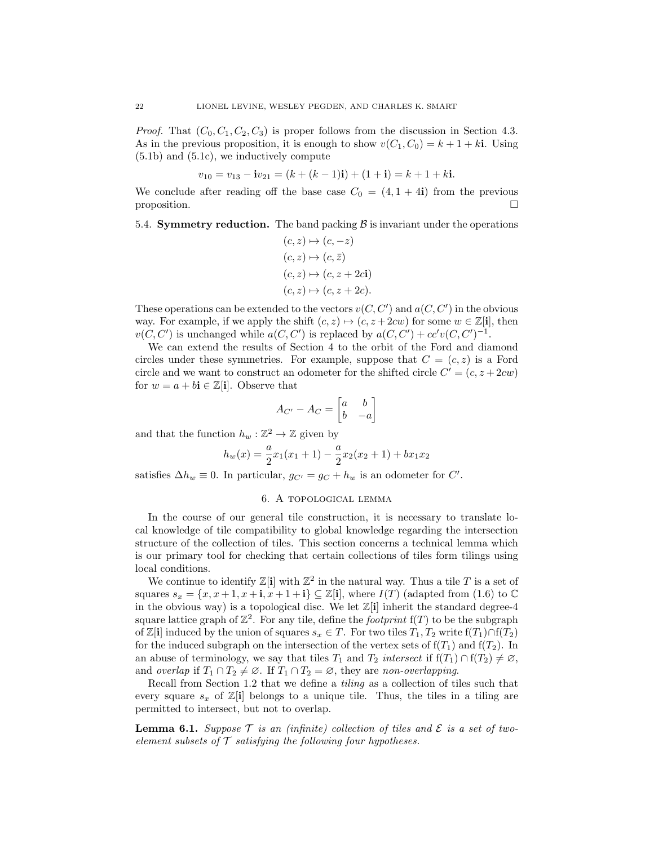*Proof.* That  $(C_0, C_1, C_2, C_3)$  is proper follows from the discussion in Section [4.3.](#page-15-2) As in the previous proposition, it is enough to show  $v(C_1, C_0) = k + 1 + k$ . Using [\(5.1b\)](#page-18-2) and [\(5.1c\)](#page-18-3), we inductively compute

$$
v_{10} = v_{13} - i v_{21} = (k + (k - 1)i) + (1 + i) = k + 1 + k i.
$$

We conclude after reading off the base case  $C_0 = (4, 1 + 4i)$  from the previous proposition.  $\square$ 

<span id="page-21-2"></span>5.4. **Symmetry reduction.** The band packing  $\beta$  is invariant under the operations

$$
(c, z) \mapsto (c, -z)
$$
  
\n
$$
(c, z) \mapsto (c, \overline{z})
$$
  
\n
$$
(c, z) \mapsto (c, z + 2c)
$$
  
\n
$$
(c, z) \mapsto (c, z + 2c).
$$

These operations can be extended to the vectors  $v(C, C')$  and  $a(C, C')$  in the obvious way. For example, if we apply the shift  $(c, z) \mapsto (c, z + 2cw)$  for some  $w \in \mathbb{Z}[i]$ , then  $v(C, C')$  is unchanged while  $a(C, C')$  is replaced by  $a(C, C') + cc'v(C, C')^{-1}$ .

We can extend the results of Section [4](#page-9-0) to the orbit of the Ford and diamond circles under these symmetries. For example, suppose that  $C = (c, z)$  is a Ford circle and we want to construct an odometer for the shifted circle  $C' = (c, z + 2cw)$ for  $w = a + b\mathbf{i} \in \mathbb{Z}[\mathbf{i}]$ . Observe that

$$
A_{C'} - A_C = \begin{bmatrix} a & b \\ b & -a \end{bmatrix}
$$

and that the function  $h_w : \mathbb{Z}^2 \to \mathbb{Z}$  given by

$$
h_w(x) = \frac{a}{2}x_1(x_1+1) - \frac{a}{2}x_2(x_2+1) + bx_1x_2
$$

<span id="page-21-0"></span>satisfies  $\Delta h_w \equiv 0$ . In particular,  $g_{C'} = g_C + h_w$  is an odometer for C'.

## 6. A topological lemma

In the course of our general tile construction, it is necessary to translate local knowledge of tile compatibility to global knowledge regarding the intersection structure of the collection of tiles. This section concerns a technical lemma which is our primary tool for checking that certain collections of tiles form tilings using local conditions.

We continue to identify  $\mathbb{Z}[\mathbf{i}]$  with  $\mathbb{Z}^2$  in the natural way. Thus a tile T is a set of squares  $s_x = \{x, x+1, x+i, x+1+i\} \subseteq \mathbb{Z}[i]$ , where  $I(T)$  (adapted from [\(1.6\)](#page-3-2) to  $\mathbb{C}$ in the obvious way) is a topological disc. We let  $\mathbb{Z}[i]$  inherit the standard degree-4 square lattice graph of  $\mathbb{Z}^2$ . For any tile, define the *footprint*  $f(T)$  to be the subgraph of Z[i] induced by the union of squares  $s_x \in T$ . For two tiles  $T_1, T_2$  write  $f(T_1) \cap f(T_2)$ for the induced subgraph on the intersection of the vertex sets of  $f(T_1)$  and  $f(T_2)$ . In an abuse of terminology, we say that tiles  $T_1$  and  $T_2$  intersect if  $f(T_1) \cap f(T_2) \neq \emptyset$ , and overlap if  $T_1 \cap T_2 \neq \emptyset$ . If  $T_1 \cap T_2 = \emptyset$ , they are non-overlapping.

Recall from Section [1.2](#page-3-3) that we define a tiling as a collection of tiles such that every square  $s_x$  of  $\mathbb{Z}[\mathbf{i}]$  belongs to a unique tile. Thus, the tiles in a tiling are permitted to intersect, but not to overlap.

<span id="page-21-1"></span>**Lemma 6.1.** Suppose  $\mathcal T$  is an (infinite) collection of tiles and  $\mathcal E$  is a set of twoelement subsets of  $\mathcal T$  satisfying the following four hypotheses.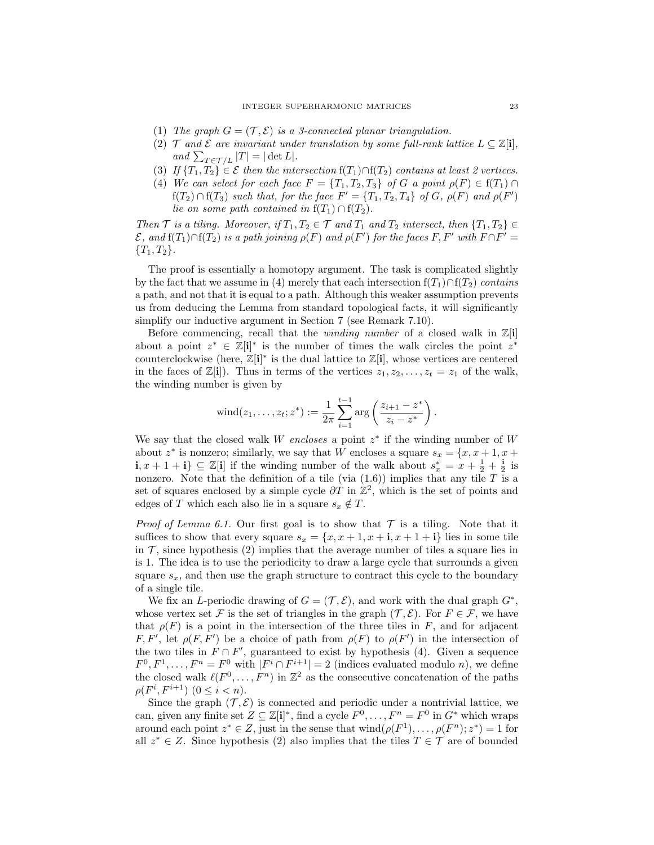- <span id="page-22-3"></span>(1) The graph  $G = (\mathcal{T}, \mathcal{E})$  is a 3-connected planar triangulation.
- <span id="page-22-1"></span>(2)  $\mathcal T$  and  $\mathcal E$  are invariant under translation by some full-rank lattice  $L \subset \mathbb Z[i]$ , and  $\sum_{T \in \mathcal{T}/L} |T| = |\det L|.$
- <span id="page-22-2"></span>(3) If  $\{T_1, T_2\} \in \mathcal{E}$  then the intersection  $f(T_1) \cap f(T_2)$  contains at least 2 vertices.
- <span id="page-22-0"></span>(4) We can select for each face  $F = \{T_1, T_2, T_3\}$  of G a point  $\rho(F) \in f(T_1) \cap$  $f(T_2) \cap f(T_3)$  such that, for the face  $F' = \{T_1, T_2, T_4\}$  of G,  $\rho(F)$  and  $\rho(F')$ lie on some path contained in  $f(T_1) \cap f(T_2)$ .

Then  $\mathcal T$  is a tiling. Moreover, if  $T_1, T_2 \in \mathcal T$  and  $T_1$  and  $T_2$  intersect, then  $\{T_1, T_2\} \in$  $\mathcal E$ , and  $f(T_1) \cap f(T_2)$  is a path joining  $\rho(F)$  and  $\rho(F')$  for the faces F, F' with  $F \cap F' =$  ${T_1, T_2}.$ 

The proof is essentially a homotopy argument. The task is complicated slightly by the fact that we assume in [\(4\)](#page-22-0) merely that each intersection  $f(T_1) \cap f(T_2)$  contains a path, and not that it is equal to a path. Although this weaker assumption prevents us from deducing the Lemma from standard topological facts, it will significantly simplify our inductive argument in Section [7](#page-24-0) (see Remark [7.10\)](#page-34-1).

Before commencing, recall that the *winding number* of a closed walk in  $\mathbb{Z}[\mathbf{i}]$ about a point  $z^* \in \mathbb{Z}[\mathbf{i}]^*$  is the number of times the walk circles the point  $z^*$ counterclockwise (here,  $\mathbb{Z}[\mathbf{i}]^*$  is the dual lattice to  $\mathbb{Z}[\mathbf{i}]$ , whose vertices are centered in the faces of  $\mathbb{Z}[i]$ . Thus in terms of the vertices  $z_1, z_2, \ldots, z_t = z_1$  of the walk, the winding number is given by

$$
\text{wind}(z_1, \ldots, z_t; z^*) := \frac{1}{2\pi} \sum_{i=1}^{t-1} \arg \left( \frac{z_{i+1} - z^*}{z_i - z^*} \right).
$$

We say that the closed walk  $W$  encloses a point  $z^*$  if the winding number of  $W$ about  $z^*$  is nonzero; similarly, we say that W encloses a square  $s_x = \{x, x + 1, x + \}$ **i**,  $x + 1 + i$ } ⊆  $\mathbb{Z}[i]$  if the winding number of the walk about  $s_x^* = x + \frac{1}{2} + \frac{i}{2}$  is nonzero. Note that the definition of a tile (via  $(1.6)$ ) implies that any tile T is a set of squares enclosed by a simple cycle  $\partial T$  in  $\mathbb{Z}^2$ , which is the set of points and edges of T which each also lie in a square  $s_x \notin T$ .

*Proof of Lemma [6.1.](#page-21-1)* Our first goal is to show that  $\mathcal T$  is a tiling. Note that it suffices to show that every square  $s_x = \{x, x+1, x+1, x+1+1\}$  lies in some tile in  $\mathcal{T}$ , since hypothesis [\(2\)](#page-22-1) implies that the average number of tiles a square lies in is 1. The idea is to use the periodicity to draw a large cycle that surrounds a given square  $s_x$ , and then use the graph structure to contract this cycle to the boundary of a single tile.

We fix an *L*-periodic drawing of  $G = (\mathcal{T}, \mathcal{E})$ , and work with the dual graph  $G^*$ , whose vertex set F is the set of triangles in the graph  $(\mathcal{T}, \mathcal{E})$ . For  $F \in \mathcal{F}$ , we have that  $\rho(F)$  is a point in the intersection of the three tiles in F, and for adjacent F, F', let  $\rho(F, F')$  be a choice of path from  $\rho(F)$  to  $\rho(F')$  in the intersection of the two tiles in  $F \cap F'$ , guaranteed to exist by hypothesis [\(4\)](#page-22-0). Given a sequence  $F^0, F^1, \ldots, F^n = F^0$  with  $|F^i \cap F^{i+1}| = 2$  (indices evaluated modulo *n*), we define the closed walk  $\ell(F^0, \ldots, F^n)$  in  $\mathbb{Z}^2$  as the consecutive concatenation of the paths  $\rho(F^i, F^{i+1}) \ (0 \leq i < n).$ 

Since the graph  $(\mathcal{T}, \mathcal{E})$  is connected and periodic under a nontrivial lattice, we can, given any finite set  $Z \subseteq \mathbb{Z}[\mathbf{i}]^*$ , find a cycle  $F^0, \ldots, F^n = F^0$  in  $G^*$  which wraps around each point  $z^* \in Z$ , just in the sense that  $\text{wind}(\rho(F^1), \ldots, \rho(F^n); z^*) = 1$  for all  $z^* \in Z$ . Since hypothesis [\(2\)](#page-22-1) also implies that the tiles  $T \in \mathcal{T}$  are of bounded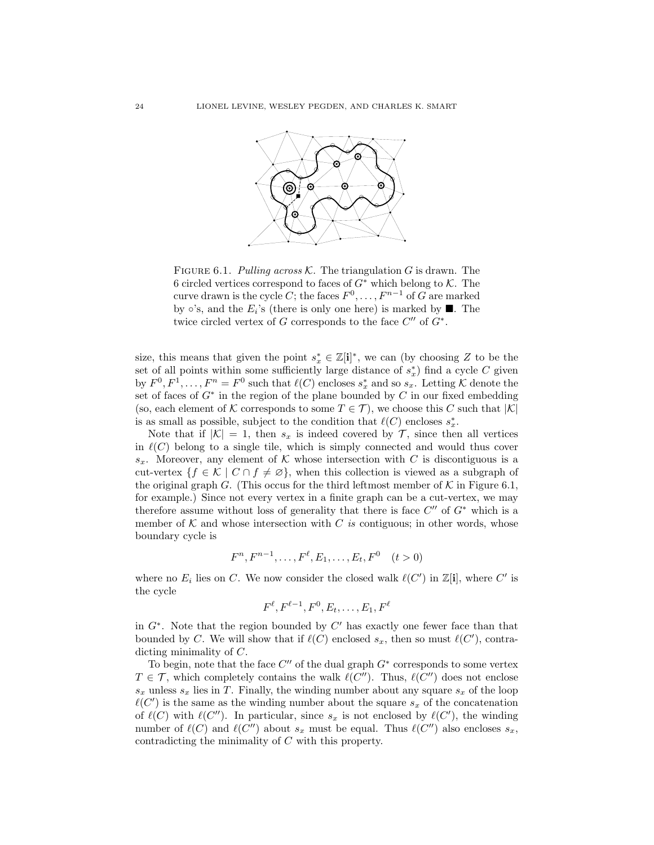

<span id="page-23-0"></span>FIGURE 6.1. Pulling across K. The triangulation G is drawn. The 6 circled vertices correspond to faces of  $G^*$  which belong to  $K$ . The curve drawn is the cycle C; the faces  $F^0, \ldots, F^{n-1}$  of G are marked by  $\circ$ 's, and the  $E_i$ 's (there is only one here) is marked by  $\blacksquare$ . The twice circled vertex of G corresponds to the face  $C''$  of  $G^*$ .

size, this means that given the point  $s_x^* \in \mathbb{Z}[\mathbf{i}]^*$ , we can (by choosing Z to be the set of all points within some sufficiently large distance of  $s_x^*$ ) find a cycle C given by  $F^0, F^1, \ldots, F^n = F^0$  such that  $\ell(C)$  encloses  $s_x^*$  and so  $s_x$ . Letting K denote the set of faces of  $G^*$  in the region of the plane bounded by  $C$  in our fixed embedding (so, each element of K corresponds to some  $T \in \mathcal{T}$ ), we choose this C such that  $|\mathcal{K}|$ is as small as possible, subject to the condition that  $\ell(C)$  encloses  $s_x^*$ .

Note that if  $|K| = 1$ , then  $s_x$  is indeed covered by T, since then all vertices in  $\ell(C)$  belong to a single tile, which is simply connected and would thus cover  $s_x$ . Moreover, any element of K whose intersection with C is discontiguous is a cut-vertex  $\{f \in \mathcal{K} \mid C \cap f \neq \emptyset\}$ , when this collection is viewed as a subgraph of the original graph G. (This occus for the third leftmost member of  $K$  in Figure [6.1,](#page-23-0) for example.) Since not every vertex in a finite graph can be a cut-vertex, we may therefore assume without loss of generality that there is face  $C''$  of  $G^*$  which is a member of  $K$  and whose intersection with C is contiguous; in other words, whose boundary cycle is

$$
F^{n}, F^{n-1}, \dots, F^{\ell}, E_1, \dots, E_t, F^0 \quad (t > 0)
$$

where no  $E_i$  lies on C. We now consider the closed walk  $\ell(C')$  in  $\mathbb{Z}[\mathbf{i}]$ , where C' is the cycle

$$
F^{\ell}, F^{\ell-1}, F^0, E_t, \ldots, E_1, F^{\ell}
$$

in  $G^*$ . Note that the region bounded by  $C'$  has exactly one fewer face than that bounded by C. We will show that if  $\ell(C)$  enclosed  $s_x$ , then so must  $\ell(C')$ , contradicting minimality of C.

To begin, note that the face  $C''$  of the dual graph  $G^*$  corresponds to some vertex  $T \in \mathcal{T}$ , which completely contains the walk  $\ell(C'')$ . Thus,  $\ell(C'')$  does not enclose  $s_x$  unless  $s_x$  lies in T. Finally, the winding number about any square  $s_x$  of the loop  $\ell(C')$  is the same as the winding number about the square  $s_x$  of the concatenation of  $\ell(C)$  with  $\ell(C'')$ . In particular, since  $s_x$  is not enclosed by  $\ell(C')$ , the winding number of  $\ell(C)$  and  $\ell(C'')$  about  $s_x$  must be equal. Thus  $\ell(C'')$  also encloses  $s_x$ , contradicting the minimality of C with this property.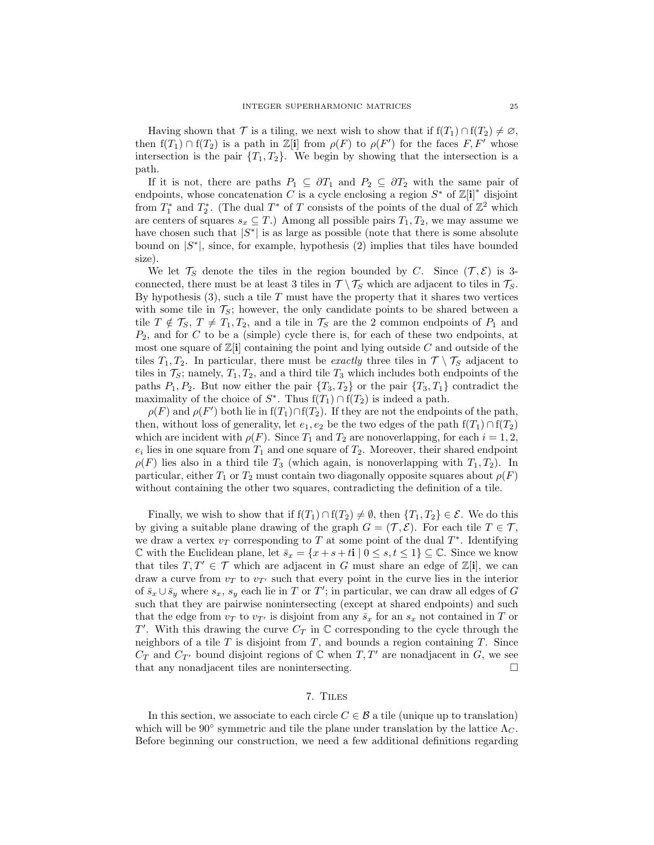Having shown that  $\mathcal T$  is a tiling, we next wish to show that if  $f(T_1) \cap f(T_2) \neq \emptyset$ , then  $f(T_1) \cap f(T_2)$  is a path in Z[i] from  $\rho(F)$  to  $\rho(F')$  for the faces F, F' whose intersection is the pair  $\{T_1, T_2\}$ . We begin by showing that the intersection is a path.

If it is not, there are paths  $P_1 \subseteq \partial T_1$  and  $P_2 \subseteq \partial T_2$  with the same pair of endpoints, whose concatenation C is a cycle enclosing a region  $S^*$  of  $\mathbb{Z}[\mathbf{i}]^*$  disjoint from  $T_1^*$  and  $T_2^*$ . (The dual  $T^*$  of T consists of the points of the dual of  $\mathbb{Z}^2$  which are centers of squares  $s_x \subseteq T$ .) Among all possible pairs  $T_1, T_2$ , we may assume we have chosen such that  $|S^*|$  is as large as possible (note that there is some absolute bound on  $|S^*|$ , since, for example, hypothesis [\(2\)](#page-22-1) implies that tiles have bounded size).

We let  $\mathcal{T}_S$  denote the tiles in the region bounded by C. Since  $(\mathcal{T}, \mathcal{E})$  is 3connected, there must be at least 3 tiles in  $\mathcal{T} \setminus \mathcal{T}_S$  which are adjacent to tiles in  $\mathcal{T}_S$ . By hypothesis  $(3)$ , such a tile T must have the property that it shares two vertices with some tile in  $\mathcal{T}_S$ ; however, the only candidate points to be shared between a tile  $T \notin \mathcal{T}_S$ ,  $T \neq T_1, T_2$ , and a tile in  $\mathcal{T}_S$  are the 2 common endpoints of  $P_1$  and  $P_2$ , and for C to be a (simple) cycle there is, for each of these two endpoints, at most one square of  $\mathbb{Z}[i]$  containing the point and lying outside C and outside of the tiles  $T_1, T_2$ . In particular, there must be *exactly* three tiles in  $\mathcal{T} \setminus \mathcal{T}_S$  adjacent to tiles in  $\mathcal{T}_S$ ; namely,  $T_1, T_2$ , and a third tile  $T_3$  which includes both endpoints of the paths  $P_1, P_2$ . But now either the pair  $\{T_3, T_2\}$  or the pair  $\{T_3, T_1\}$  contradict the maximality of the choice of  $S^*$ . Thus  $f(T_1) \cap f(T_2)$  is indeed a path.

 $\rho(F)$  and  $\rho(F')$  both lie in  $f(T_1) \cap f(T_2)$ . If they are not the endpoints of the path, then, without loss of generality, let  $e_1, e_2$  be the two edges of the path  $f(T_1) \cap f(T_2)$ which are incident with  $\rho(F)$ . Since  $T_1$  and  $T_2$  are nonoverlapping, for each  $i = 1, 2$ ,  $e_i$  lies in one square from  $T_1$  and one square of  $T_2$ . Moreover, their shared endpoint  $\rho(F)$  lies also in a third tile  $T_3$  (which again, is nonoverlapping with  $T_1, T_2$ ). In particular, either  $T_1$  or  $T_2$  must contain two diagonally opposite squares about  $\rho(F)$ without containing the other two squares, contradicting the definition of a tile.

Finally, we wish to show that if  $f(T_1) \cap f(T_2) \neq \emptyset$ , then  $\{T_1, T_2\} \in \mathcal{E}$ . We do this by giving a suitable plane drawing of the graph  $G = (\mathcal{T}, \mathcal{E})$ . For each tile  $T \in \mathcal{T}$ , we draw a vertex  $v_T$  corresponding to T at some point of the dual  $T^*$ . Identifying  $\mathbb C$  with the Euclidean plane, let  $\bar{s}_x = \{x + s + t : | 0 \leq s, t \leq 1\} \subseteq \mathbb C$ . Since we know that tiles  $T, T' \in \mathcal{T}$  which are adjacent in G must share an edge of  $\mathbb{Z}[i]$ , we can draw a curve from  $v<sub>T</sub>$  to  $v<sub>T'</sub>$  such that every point in the curve lies in the interior of  $\bar{s}_x \cup \bar{s}_y$  where  $s_x$ ,  $s_y$  each lie in T or T'; in particular, we can draw all edges of G such that they are pairwise nonintersecting (except at shared endpoints) and such that the edge from  $v_T$  to  $v_{T'}$  is disjoint from any  $\bar{s}_x$  for an  $s_x$  not contained in T or T'. With this drawing the curve  $C_T$  in  $\mathbb C$  corresponding to the cycle through the neighbors of a tile  $T$  is disjoint from  $T$ , and bounds a region containing  $T$ . Since  $C_T$  and  $C_{T'}$  bound disjoint regions of  $\mathbb C$  when  $T, T'$  are nonadjacent in G, we see that any nonadjacent tiles are nonintersecting.

## 7. Tiles

<span id="page-24-0"></span>In this section, we associate to each circle  $C \in \mathcal{B}$  a tile (unique up to translation) which will be 90° symmetric and tile the plane under translation by the lattice  $\Lambda_C$ . Before beginning our construction, we need a few additional definitions regarding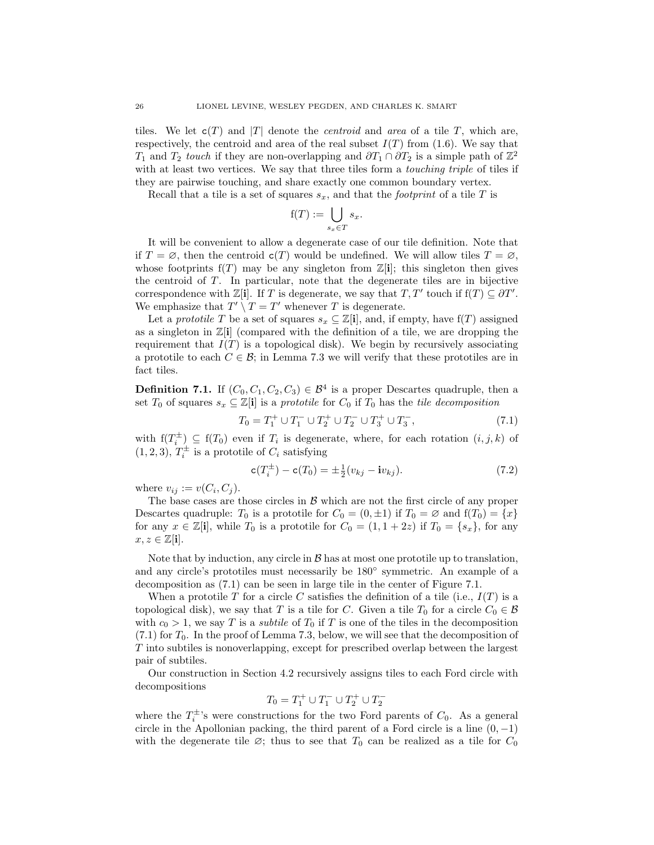tiles. We let  $c(T)$  and |T| denote the *centroid* and *area* of a tile T, which are, respectively, the centroid and area of the real subset  $I(T)$  from [\(1.6\)](#page-3-2). We say that T<sub>1</sub> and T<sub>2</sub> touch if they are non-overlapping and  $\partial T_1 \cap \partial T_2$  is a simple path of  $\mathbb{Z}^2$ with at least two vertices. We say that three tiles form a *touching triple* of tiles if they are pairwise touching, and share exactly one common boundary vertex.

Recall that a tile is a set of squares  $s_x$ , and that the *footprint* of a tile T is

$$
f(T) := \bigcup_{s_x \in T} s_x.
$$

It will be convenient to allow a degenerate case of our tile definition. Note that if  $T = \emptyset$ , then the centroid  $c(T)$  would be undefined. We will allow tiles  $T = \emptyset$ , whose footprints  $f(T)$  may be any singleton from  $\mathbb{Z}[i]$ ; this singleton then gives the centroid of T. In particular, note that the degenerate tiles are in bijective correspondence with  $\mathbb{Z}[\mathbf{i}]$ . If T is degenerate, we say that  $T, T'$  touch if  $f(T) \subseteq \partial T'$ . We emphasize that  $T' \setminus T = T'$  whenever T is degenerate.

Let a *prototile* T be a set of squares  $s_x \subseteq \mathbb{Z}[i]$ , and, if empty, have  $f(T)$  assigned as a singleton in  $\mathbb{Z}[i]$  (compared with the definition of a tile, we are dropping the requirement that  $I(T)$  is a topological disk). We begin by recursively associating a prototile to each  $C \in \mathcal{B}$ ; in Lemma [7.3](#page-27-0) we will verify that these prototiles are in fact tiles.

<span id="page-25-0"></span>**Definition 7.1.** If  $(C_0, C_1, C_2, C_3) \in \mathcal{B}^4$  is a proper Descartes quadruple, then a set  $T_0$  of squares  $s_x \subseteq \mathbb{Z}[\mathbf{i}]$  is a prototile for  $C_0$  if  $T_0$  has the tile decomposition

<span id="page-25-1"></span>
$$
T_0 = T_1^+ \cup T_1^- \cup T_2^+ \cup T_2^- \cup T_3^+ \cup T_3^-, \tag{7.1}
$$

with  $f(T_i^{\pm}) \subseteq f(T_0)$  even if  $T_i$  is degenerate, where, for each rotation  $(i, j, k)$  of  $(1, 2, 3)$ ,  $T_i^{\pm}$  is a prototile of  $C_i$  satisfying

<span id="page-25-2"></span>
$$
c(T_i^{\pm}) - c(T_0) = \pm \frac{1}{2}(v_{kj} - iv_{kj}).
$$
\n(7.2)

where  $v_{ij} := v(C_i, C_j)$ .

The base cases are those circles in  $\beta$  which are not the first circle of any proper Descartes quadruple:  $T_0$  is a prototile for  $C_0 = (0, \pm 1)$  if  $T_0 = \emptyset$  and  $f(T_0) = \{x\}$ for any  $x \in \mathbb{Z}[i]$ , while  $T_0$  is a prototile for  $C_0 = (1, 1 + 2z)$  if  $T_0 = \{s_x\}$ , for any  $x, z \in \mathbb{Z}[i].$ 

Note that by induction, any circle in  $\mathcal{B}$  has at most one prototile up to translation, and any circle's prototiles must necessarily be  $180^\circ$  symmetric. An example of a decomposition as [\(7.1\)](#page-25-1) can be seen in large tile in the center of Figure [7.1.](#page-27-1)

When a prototile T for a circle C satisfies the definition of a tile (i.e.,  $I(T)$  is a topological disk), we say that T is a tile for C. Given a tile  $T_0$  for a circle  $C_0 \in \mathcal{B}$ with  $c_0 > 1$ , we say T is a *subtile* of  $T_0$  if T is one of the tiles in the decomposition  $(7.1)$  for  $T_0$ . In the proof of Lemma [7.3,](#page-27-0) below, we will see that the decomposition of T into subtiles is nonoverlapping, except for prescribed overlap between the largest pair of subtiles.

Our construction in Section [4.2](#page-9-1) recursively assigns tiles to each Ford circle with decompositions

$$
T_0=T_1^+\cup T_1^-\cup T_2^+\cup T_2^-
$$

where the  $T_i^{\pm}$ 's were constructions for the two Ford parents of  $C_0$ . As a general circle in the Apollonian packing, the third parent of a Ford circle is a line  $(0, -1)$ with the degenerate tile  $\varnothing$ ; thus to see that  $T_0$  can be realized as a tile for  $C_0$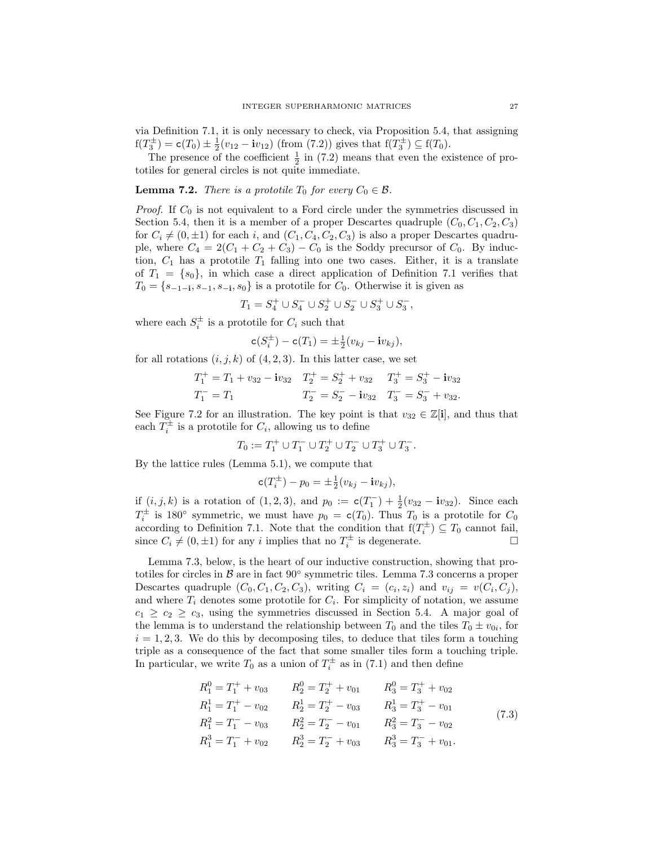via Definition [7.1,](#page-25-0) it is only necessary to check, via Proposition [5.4,](#page-20-0) that assigning  $f(T_3^{\pm}) = c(T_0) \pm \frac{1}{2}(v_{12} - iv_{12})$  (from [\(7.2\)](#page-25-2)) gives that  $f(T_3^{\pm}) \subseteq f(T_0)$ .

The presence of the coefficient  $\frac{1}{2}$  in [\(7.2\)](#page-25-2) means that even the existence of prototiles for general circles is not quite immediate.

## <span id="page-26-1"></span>**Lemma 7.2.** There is a prototile  $T_0$  for every  $C_0 \in \mathcal{B}$ .

*Proof.* If  $C_0$  is not equivalent to a Ford circle under the symmetries discussed in Section [5.4,](#page-21-2) then it is a member of a proper Descartes quadruple  $(C_0, C_1, C_2, C_3)$ for  $C_i \neq (0, \pm 1)$  for each i, and  $(C_1, C_4, C_2, C_3)$  is also a proper Descartes quadruple, where  $C_4 = 2(C_1 + C_2 + C_3) - C_0$  is the Soddy precursor of  $C_0$ . By induction,  $C_1$  has a prototile  $T_1$  falling into one two cases. Either, it is a translate of  $T_1 = \{s_0\}$ , in which case a direct application of Definition [7.1](#page-25-0) verifies that  $T_0 = \{s_{-1-i}, s_{-1}, s_{-i}, s_0\}$  is a prototile for  $C_0$ . Otherwise it is given as

$$
T_1 = S_4^+ \cup S_4^- \cup S_2^+ \cup S_2^- \cup S_3^+ \cup S_3^-,
$$

where each  $S_i^{\pm}$  is a prototile for  $C_i$  such that

$$
\mathsf{c}(S_i^{\pm}) - \mathsf{c}(T_1) = \pm \frac{1}{2}(v_{kj} - \mathbf{i}v_{kj}),
$$

for all rotations  $(i, j, k)$  of  $(4, 2, 3)$ . In this latter case, we set

$$
T_1^+ = T_1 + v_{32} - i v_{32} \t T_2^+ = S_2^+ + v_{32} \t T_3^+ = S_3^+ - i v_{32}
$$
  

$$
T_1^- = T_1 \t T_2^- = S_2^- - i v_{32} \t T_3^- = S_3^- + v_{32}.
$$

See Figure [7.2](#page-28-0) for an illustration. The key point is that  $v_{32} \in \mathbb{Z}[i]$ , and thus that each  $T_i^{\pm}$  is a prototile for  $C_i$ , allowing us to define

$$
T_0:=T_1^+\cup T_1^-\cup T_2^+\cup T_2^-\cup T_3^+\cup T_3^-.
$$

By the lattice rules (Lemma [5.1\)](#page-18-0), we compute that

$$
\mathbf{c}(T_i^{\pm}) - p_0 = \pm \frac{1}{2}(v_{kj} - \mathbf{i}v_{kj}),
$$

if  $(i, j, k)$  is a rotation of  $(1, 2, 3)$ , and  $p_0 := c(T_1^-) + \frac{1}{2}(v_{32} - iv_{32})$ . Since each  $T_i^{\pm}$  is 180° symmetric, we must have  $p_0 = c(T_0)$ . Thus  $T_0$  is a prototile for  $C_0$ according to Definition [7.1.](#page-25-0) Note that the condition that  $f(T_i^{\pm}) \subseteq T_0$  cannot fail, since  $C_i \neq (0, \pm 1)$  for any i implies that no  $T_i^{\pm}$  is degenerate.

Lemma [7.3,](#page-27-0) below, is the heart of our inductive construction, showing that prototiles for circles in B are in fact 90◦ symmetric tiles. Lemma [7.3](#page-27-0) concerns a proper Descartes quadruple  $(C_0, C_1, C_2, C_3)$ , writing  $C_i = (c_i, z_i)$  and  $v_{ij} = v(C_i, C_j)$ , and where  $T_i$  denotes some prototile for  $C_i$ . For simplicity of notation, we assume  $c_1 \geq c_2 \geq c_3$ , using the symmetries discussed in Section [5.4.](#page-21-2) A major goal of the lemma is to understand the relationship between  $T_0$  and the tiles  $T_0 \pm v_{0i}$ , for  $i = 1, 2, 3$ . We do this by decomposing tiles, to deduce that tiles form a touching triple as a consequence of the fact that some smaller tiles form a touching triple. In particular, we write  $T_0$  as a union of  $T_i^{\pm}$  as in [\(7.1\)](#page-25-1) and then define

<span id="page-26-0"></span>
$$
R_1^0 = T_1^+ + v_{03} \t R_2^0 = T_2^+ + v_{01} \t R_3^0 = T_3^+ + v_{02}
$$
  
\n
$$
R_1^1 = T_1^+ - v_{02} \t R_2^1 = T_2^+ - v_{03} \t R_3^1 = T_3^+ - v_{01}
$$
  
\n
$$
R_1^2 = T_1^- - v_{03} \t R_2^2 = T_2^- - v_{01} \t R_3^2 = T_3^- - v_{02}
$$
  
\n
$$
R_1^3 = T_1^- + v_{02} \t R_2^3 = T_2^- + v_{03} \t R_3^3 = T_3^- + v_{01}.
$$
\n(7.3)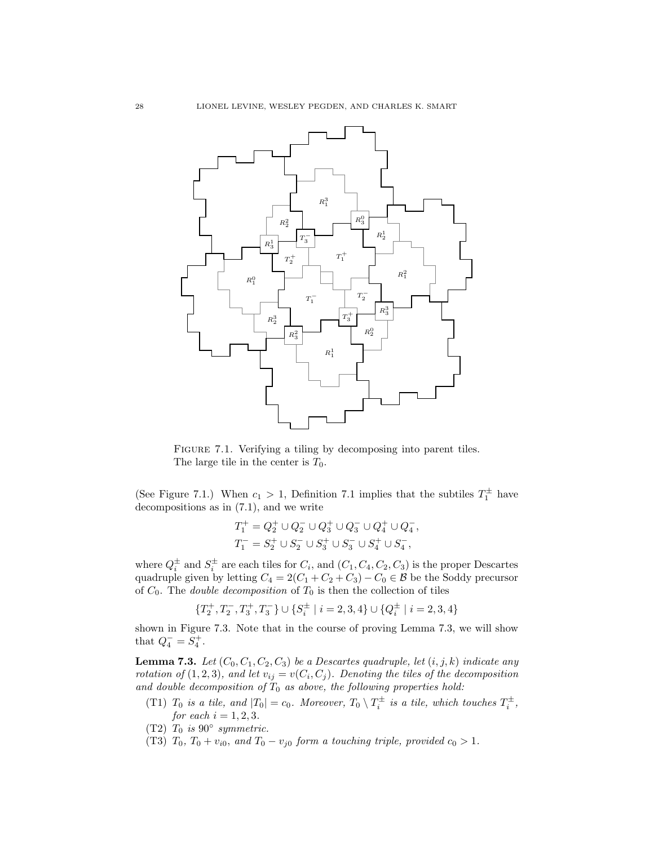

<span id="page-27-1"></span>FIGURE 7.1. Verifying a tiling by decomposing into parent tiles. The large tile in the center is  $T_0$ .

(See Figure [7.1.](#page-27-1)) When  $c_1 > 1$ , Definition [7.1](#page-25-0) implies that the subtiles  $T_1^{\pm}$  have decompositions as in [\(7.1\)](#page-25-1), and we write

$$
\begin{split} T_1^+ &= Q_2^+ \cup Q_2^- \cup Q_3^+ \cup Q_3^- \cup Q_4^+ \cup Q_4^-, \\ T_1^- &= S_2^+ \cup S_2^- \cup S_3^+ \cup S_3^- \cup S_4^+ \cup S_4^-, \end{split}
$$

where  $Q_i^{\pm}$  and  $S_i^{\pm}$  are each tiles for  $C_i$ , and  $(C_1, C_4, C_2, C_3)$  is the proper Descartes quadruple given by letting  $C_4 = 2(C_1 + C_2 + C_3) - C_0 \in \mathcal{B}$  be the Soddy precursor of  $C_0$ . The *double decomposition* of  $T_0$  is then the collection of tiles

$$
\{T_2^+,T_2^-,T_3^+,T_3^-\}\cup\{S_i^\pm\mid i=2,3,4\}\cup\{Q_i^\pm\mid i=2,3,4\}
$$

shown in Figure [7.3.](#page-28-1) Note that in the course of proving Lemma [7.3,](#page-27-0) we will show that  $Q_4^- = S_4^+$ .

<span id="page-27-0"></span>**Lemma 7.3.** Let  $(C_0, C_1, C_2, C_3)$  be a Descartes quadruple, let  $(i, j, k)$  indicate any rotation of  $(1,2,3)$ , and let  $v_{ij} = v(C_i, C_j)$ . Denoting the tiles of the decomposition and double decomposition of  $T_0$  as above, the following properties hold:

- <span id="page-27-3"></span>(T1)  $T_0$  is a tile, and  $|T_0| = c_0$ . Moreover,  $T_0 \setminus T_i^{\pm}$  is a tile, which touches  $T_i^{\pm}$ , for each  $i = 1, 2, 3$ .
- <span id="page-27-4"></span>(T2)  $T_0$  is 90 $\degree$  symmetric.
- <span id="page-27-2"></span>(T3)  $T_0$ ,  $T_0 + v_{i0}$ , and  $T_0 - v_{j0}$  form a touching triple, provided  $c_0 > 1$ .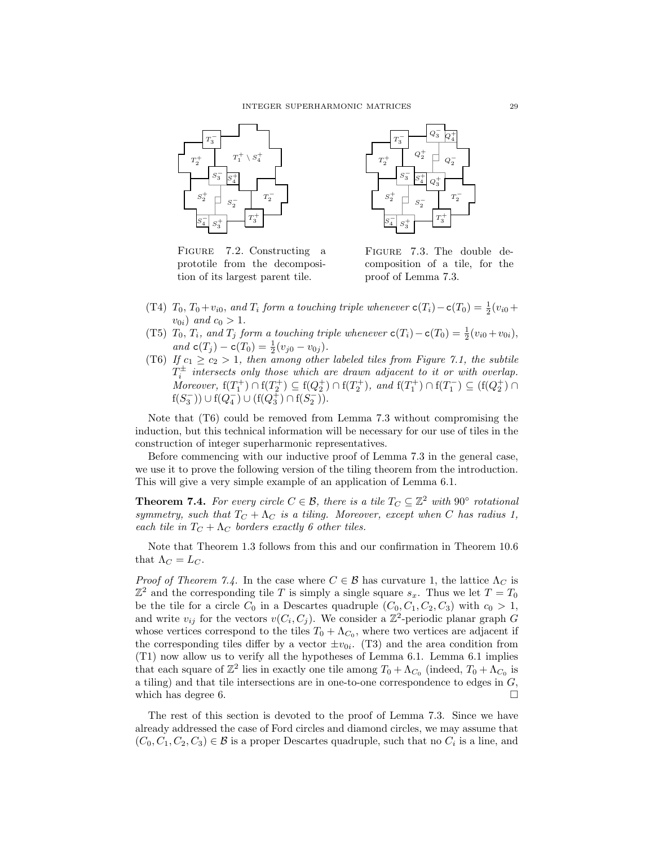

<span id="page-28-0"></span>FIGURE 7.2. Constructing a prototile from the decomposition of its largest parent tile.



<span id="page-28-1"></span>Figure 7.3. The double decomposition of a tile, for the proof of Lemma [7.3.](#page-27-0)

- <span id="page-28-4"></span>(T4)  $T_0$ ,  $T_0 + v_{i0}$ , and  $T_i$  form a touching triple whenever  $c(T_i) - c(T_0) = \frac{1}{2}(v_{i0} +$  $v_{0i})$  and  $c_0 > 1$ .
- <span id="page-28-5"></span>(T5)  $T_0$ ,  $T_i$ , and  $T_j$  form a touching triple whenever  $c(T_i) - c(T_0) = \frac{1}{2}(v_{i0} + v_{0i}),$ and  $c(T_j) - c(T_0) = \frac{1}{2}(v_{j0} - v_{0j}).$
- <span id="page-28-2"></span>(T6) If  $c_1 \geq c_2 > 1$ , then among other labeled tiles from Figure [7.1,](#page-27-1) the subtile  $T_i^{\pm}$  intersects only those which are drawn adjacent to it or with overlap. Moreover,  $f(T_1^+) \cap f(T_2^+) \subseteq f(Q_2^+) \cap f(T_2^+)$ , and  $f(T_1^+) \cap f(T_1^-) \subseteq (f(Q_2^+) \cap f(T_1^-))$  $f(S_3^-)) \cup f(Q_4^-) \cup (f(Q_3^+) \cap f(S_2^-)).$

Note that [\(T6\)](#page-28-2) could be removed from Lemma [7.3](#page-27-0) without compromising the induction, but this technical information will be necessary for our use of tiles in the construction of integer superharmonic representatives.

Before commencing with our inductive proof of Lemma [7.3](#page-27-0) in the general case, we use it to prove the following version of the tiling theorem from the introduction. This will give a very simple example of an application of Lemma [6.1.](#page-21-1)

<span id="page-28-3"></span>**Theorem 7.4.** For every circle  $C \in \mathcal{B}$ , there is a tile  $T_C \subseteq \mathbb{Z}^2$  with  $90^{\circ}$  rotational symmetry, such that  $T_C + \Lambda_C$  is a tiling. Moreover, except when C has radius 1, each tile in  $T_C + \Lambda_C$  borders exactly 6 other tiles.

Note that Theorem [1.3](#page-3-1) follows from this and our confirmation in Theorem [10.6](#page-47-3) that  $\Lambda_C = L_C$ .

*Proof of Theorem [7.4.](#page-28-3)* In the case where  $C \in \mathcal{B}$  has curvature 1, the lattice  $\Lambda_C$  is  $\mathbb{Z}^2$  and the corresponding tile T is simply a single square  $s_x$ . Thus we let  $T = T_0$ be the tile for a circle  $C_0$  in a Descartes quadruple  $(C_0, C_1, C_2, C_3)$  with  $c_0 > 1$ , and write  $v_{ij}$  for the vectors  $v(C_i, C_j)$ . We consider a  $\mathbb{Z}^2$ -periodic planar graph G whose vertices correspond to the tiles  $T_0 + \Lambda_{C_0}$ , where two vertices are adjacent if the corresponding tiles differ by a vector  $\pm v_{0i}$ . [\(T3\)](#page-27-2) and the area condition from [\(T1\)](#page-27-3) now allow us to verify all the hypotheses of Lemma [6.1.](#page-21-1) Lemma [6.1](#page-21-1) implies that each square of  $\mathbb{Z}^2$  lies in exactly one tile among  $T_0 + \Lambda_{C_0}$  (indeed,  $T_0 + \Lambda_{C_0}$  is a tiling) and that tile intersections are in one-to-one correspondence to edges in G, which has degree 6.  $\Box$ 

The rest of this section is devoted to the proof of Lemma [7.3.](#page-27-0) Since we have already addressed the case of Ford circles and diamond circles, we may assume that  $(C_0, C_1, C_2, C_3) \in \mathcal{B}$  is a proper Descartes quadruple, such that no  $C_i$  is a line, and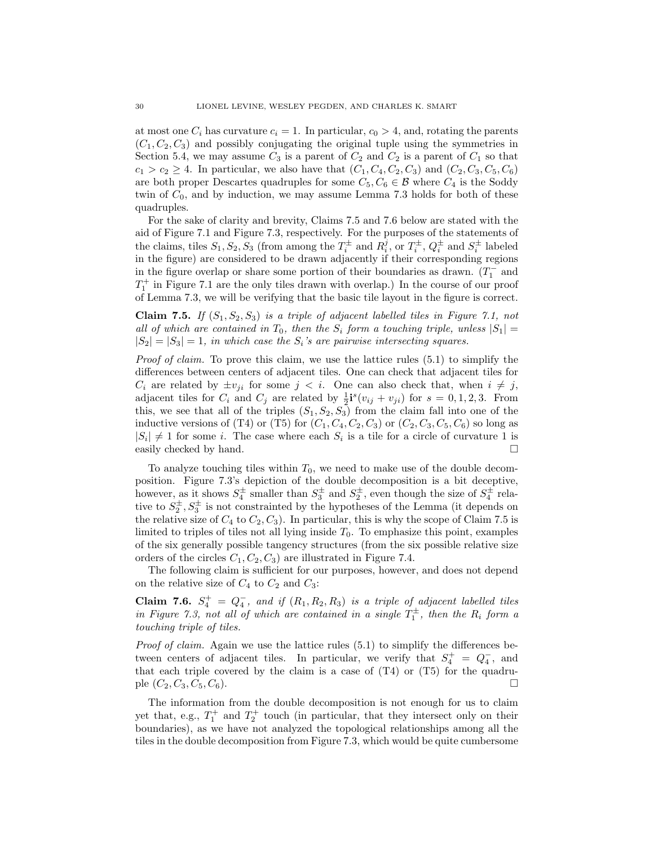at most one  $C_i$  has curvature  $c_i = 1$ . In particular,  $c_0 > 4$ , and, rotating the parents  $(C_1, C_2, C_3)$  and possibly conjugating the original tuple using the symmetries in Section [5.4,](#page-21-2) we may assume  $C_3$  is a parent of  $C_2$  and  $C_2$  is a parent of  $C_1$  so that  $c_1 > c_2 \ge 4$ . In particular, we also have that  $(C_1, C_4, C_2, C_3)$  and  $(C_2, C_3, C_5, C_6)$ are both proper Descartes quadruples for some  $C_5, C_6 \in \mathcal{B}$  where  $C_4$  is the Soddy twin of  $C_0$ , and by induction, we may assume Lemma [7.3](#page-27-0) holds for both of these quadruples.

For the sake of clarity and brevity, Claims [7.5](#page-29-0) and [7.6](#page-29-1) below are stated with the aid of Figure [7.1](#page-27-1) and Figure [7.3,](#page-28-1) respectively. For the purposes of the statements of the claims, tiles  $S_1, S_2, S_3$  (from among the  $T_i^{\pm}$  and  $R_i^j$ , or  $T_i^{\pm}$ ,  $Q_i^{\pm}$  and  $S_i^{\pm}$  labeled in the figure) are considered to be drawn adjacently if their corresponding regions in the figure overlap or share some portion of their boundaries as drawn.  $(T_1^-$  and  $T_1^+$  in Figure [7.1](#page-27-1) are the only tiles drawn with overlap.) In the course of our proof of Lemma [7.3,](#page-27-0) we will be verifying that the basic tile layout in the figure is correct.

<span id="page-29-0"></span>Claim 7.5. If  $(S_1, S_2, S_3)$  is a triple of adjacent labelled tiles in Figure [7.1,](#page-27-1) not all of which are contained in  $T_0$ , then the  $S_i$  form a touching triple, unless  $|S_1|$  =  $|S_2| = |S_3| = 1$ , in which case the  $S_i$ 's are pairwise intersecting squares.

*Proof of claim.* To prove this claim, we use the lattice rules  $(5.1)$  to simplify the differences between centers of adjacent tiles. One can check that adjacent tiles for  $C_i$  are related by  $\pm v_{ii}$  for some  $j < i$ . One can also check that, when  $i \neq j$ , adjacent tiles for  $C_i$  and  $C_j$  are related by  $\frac{1}{2}$ **i**<sup>s</sup> $(v_{ij} + v_{ji})$  for  $s = 0, 1, 2, 3$ . From this, we see that all of the triples  $(S_1, S_2, S_3)$  from the claim fall into one of the inductive versions of [\(T4\)](#page-28-4) or [\(T5\)](#page-28-5) for  $(C_1, C_4, C_2, C_3)$  or  $(C_2, C_3, C_5, C_6)$  so long as  $|S_i| \neq 1$  for some *i*. The case where each  $S_i$  is a tile for a circle of curvature 1 is easily checked by hand.

To analyze touching tiles within  $T_0$ , we need to make use of the double decomposition. Figure [7.3'](#page-28-1)s depiction of the double decomposition is a bit deceptive, however, as it shows  $S_4^{\pm}$  smaller than  $S_3^{\pm}$  and  $S_2^{\pm}$ , even though the size of  $S_4^{\pm}$  relative to  $S_2^{\pm}$ ,  $S_3^{\pm}$  is not constrainted by the hypotheses of the Lemma (it depends on the relative size of  $C_4$  to  $C_2$ ,  $C_3$ ). In particular, this is why the scope of Claim [7.5](#page-29-0) is limited to triples of tiles not all lying inside  $T_0$ . To emphasize this point, examples of the six generally possible tangency structures (from the six possible relative size orders of the circles  $C_1, C_2, C_3$  are illustrated in Figure [7.4.](#page-32-0)

The following claim is sufficient for our purposes, however, and does not depend on the relative size of  $C_4$  to  $C_2$  and  $C_3$ :

<span id="page-29-1"></span>Claim 7.6.  $S_4^+ = Q_4^-$ , and if  $(R_1, R_2, R_3)$  is a triple of adjacent labelled tiles in Figure [7.3,](#page-28-1) not all of which are contained in a single  $T_1^{\pm}$ , then the  $R_i$  form a touching triple of tiles.

Proof of claim. Again we use the lattice rules [\(5.1\)](#page-18-6) to simplify the differences between centers of adjacent tiles. In particular, we verify that  $S_4^+ = Q_4^-$ , and that each triple covered by the claim is a case of  $(T4)$  or  $(T5)$  for the quadruple  $(C_2, C_3, C_5, C_6)$ .

The information from the double decomposition is not enough for us to claim yet that, e.g.,  $T_1^+$  and  $T_2^+$  touch (in particular, that they intersect only on their boundaries), as we have not analyzed the topological relationships among all the tiles in the double decomposition from Figure [7.3,](#page-28-1) which would be quite cumbersome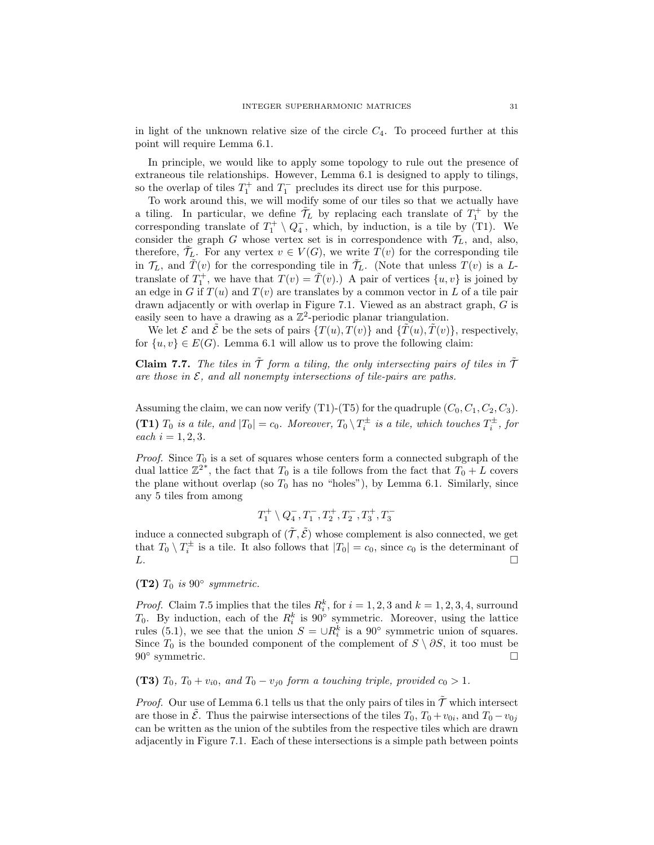in light of the unknown relative size of the circle  $C_4$ . To proceed further at this point will require Lemma [6.1.](#page-21-1)

In principle, we would like to apply some topology to rule out the presence of extraneous tile relationships. However, Lemma [6.1](#page-21-1) is designed to apply to tilings, so the overlap of tiles  $T_1^+$  and  $T_1^-$  precludes its direct use for this purpose.

To work around this, we will modify some of our tiles so that we actually have a tiling. In particular, we define  $\tilde{\mathcal{T}}_L$  by replacing each translate of  $T_1^+$  by the corresponding translate of  $T_1^+ \setminus Q_4^-$ , which, by induction, is a tile by [\(T1\)](#page-27-3). We consider the graph G whose vertex set is in correspondence with  $\mathcal{T}_L$ , and, also, therefore,  $\mathcal{T}_L$ . For any vertex  $v \in V(G)$ , we write  $T(v)$  for the corresponding tile in  $\mathcal{T}_L$ , and  $\tilde{T}(v)$  for the corresponding tile in  $\tilde{\mathcal{T}}_L$ . (Note that unless  $T(v)$  is a Ltranslate of  $T_1^+$ , we have that  $T(v) = \tilde{T}(v)$ . A pair of vertices  $\{u, v\}$  is joined by an edge in G if  $T(u)$  and  $T(v)$  are translates by a common vector in L of a tile pair drawn adjacently or with overlap in Figure [7.1.](#page-27-1) Viewed as an abstract graph, G is easily seen to have a drawing as a  $\mathbb{Z}^2$ -periodic planar triangulation.

We let  $\mathcal E$  and  $\tilde{\mathcal E}$  be the sets of pairs  $\{T(u), T(v)\}\$  and  $\{\tilde T(u), \tilde T(v)\}\$ , respectively, for  $\{u, v\} \in E(G)$ . Lemma [6.1](#page-21-1) will allow us to prove the following claim:

<span id="page-30-0"></span>**Claim 7.7.** The tiles in  $\tilde{T}$  form a tiling, the only intersecting pairs of tiles in  $\tilde{T}$ are those in  $\mathcal{E}$ , and all nonempty intersections of tile-pairs are paths.

Assuming the claim, we can now verify  $(T1)$ - $(T5)$  for the quadruple  $(C_0, C_1, C_2, C_3)$ . [\(T1\)](#page-27-3)  $T_0$  is a tile, and  $|T_0| = c_0$ . Moreover,  $T_0 \setminus T_i^{\pm}$  is a tile, which touches  $T_i^{\pm}$ , for each  $i = 1, 2, 3$ .

*Proof.* Since  $T_0$  is a set of squares whose centers form a connected subgraph of the dual lattice  $\mathbb{Z}^{2^*}$ , the fact that  $T_0$  is a tile follows from the fact that  $T_0 + L$  covers the plane without overlap (so  $T_0$  has no "holes"), by Lemma [6.1.](#page-21-1) Similarly, since any 5 tiles from among

$$
T_1^+\setminus Q_4^-, T_1^-, T_2^+, T_2^-, T_3^+, T_3^-
$$

induce a connected subgraph of  $(\tilde{\mathcal{T}}, \tilde{\mathcal{E}})$  whose complement is also connected, we get that  $T_0 \setminus T_i^{\pm}$  is a tile. It also follows that  $|T_0| = c_0$ , since  $c_0$  is the determinant of  $L.$ 

[\(T2\)](#page-27-4)  $T_0$  is 90 $\degree$  symmetric.

*Proof.* Claim [7.5](#page-29-0) implies that the tiles  $R_i^k$ , for  $i = 1, 2, 3$  and  $k = 1, 2, 3, 4$ , surround  $T_0$ . By induction, each of the  $R_i^k$  is 90° symmetric. Moreover, using the lattice rules [\(5.1\)](#page-18-6), we see that the union  $S = \bigcup R_i^k$  is a 90<sup>°</sup> symmetric union of squares. Since  $T_0$  is the bounded component of the complement of  $S \setminus \partial S$ , it too must be 90° symmetric. □

[\(T3\)](#page-27-2)  $T_0$ ,  $T_0 + v_{i0}$ , and  $T_0 - v_{j0}$  form a touching triple, provided  $c_0 > 1$ .

*Proof.* Our use of Lemma [6.1](#page-21-1) tells us that the only pairs of tiles in  $\tilde{\mathcal{T}}$  which intersect are those in  $\tilde{\mathcal{E}}$ . Thus the pairwise intersections of the tiles  $T_0, T_0 + v_{0i}$ , and  $T_0 - v_{0j}$ can be written as the union of the subtiles from the respective tiles which are drawn adjacently in Figure [7.1.](#page-27-1) Each of these intersections is a simple path between points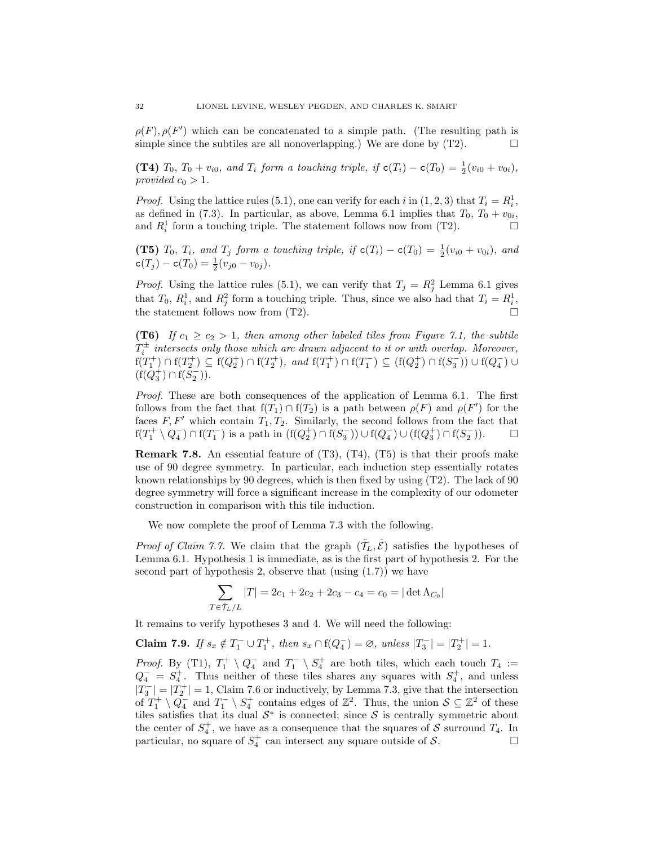$\rho(F), \rho(F')$  which can be concatenated to a simple path. (The resulting path is simple since the subtiles are all nonoverlapping.) We are done by  $(T2)$ .

[\(T4\)](#page-28-4)  $T_0$ ,  $T_0 + v_{i0}$ , and  $T_i$  form a touching triple, if  $c(T_i) - c(T_0) = \frac{1}{2}(v_{i0} + v_{0i})$ , provided  $c_0 > 1$ .

*Proof.* Using the lattice rules [\(5.1\)](#page-18-6), one can verify for each i in  $(1, 2, 3)$  that  $T_i = R_i^1$ , as defined in [\(7.3\)](#page-26-0). In particular, as above, Lemma [6.1](#page-21-1) implies that  $T_0$ ,  $T_0 + v_{0i}$ , and  $R_i^1$  form a touching triple. The statement follows now from [\(T2\)](#page-27-4).

[\(T5\)](#page-28-5)  $T_0$ ,  $T_i$ , and  $T_j$  form a touching triple, if  $c(T_i) - c(T_0) = \frac{1}{2}(v_{i0} + v_{0i})$ , and  $c(T_j) - c(T_0) = \frac{1}{2}(v_{j0} - v_{0j}).$ 

*Proof.* Using the lattice rules [\(5.1\)](#page-18-6), we can verify that  $T_j = R_j^2$  Lemma [6.1](#page-21-1) gives that  $T_0$ ,  $R_i^1$ , and  $R_j^2$  form a touching triple. Thus, since we also had that  $T_i = R_i^1$ , the statement follows now from [\(T2\)](#page-27-4).

[\(T6\)](#page-28-2) If  $c_1 \ge c_2 > 1$ , then among other labeled tiles from Figure [7.1,](#page-27-1) the subtile  $T_i^{\pm}$  intersects only those which are drawn adjacent to it or with overlap. Moreover,  $f(T_1^+) \cap f(T_2^+) \subseteq f(Q_2^+) \cap f(T_2^+)$ , and  $f(T_1^+) \cap f(T_1^-) \subseteq (f(Q_2^+) \cap f(S_3^-)) \cup f(Q_4^-) \cup$  $(f(Q_3^+) \cap f(S_2^-))$ .

Proof. These are both consequences of the application of Lemma [6.1.](#page-21-1) The first follows from the fact that  $f(T_1) \cap f(T_2)$  is a path between  $\rho(F)$  and  $\rho(F')$  for the faces  $F, F'$  which contain  $T_1, T_2$ . Similarly, the second follows from the fact that  $f(T_1^+ \setminus Q_4^-) \cap f(T_1^-)$  is a path in  $(f(Q_2^+) \cap f(S_3^-)) \cup f(Q_4^-) \cup (f(Q_3^+) \cap f(S_2^-))$ .  $\Box$ 

<span id="page-31-1"></span>**Remark 7.8.** An essential feature of  $(T3)$ ,  $(T4)$ ,  $(T5)$  is that their proofs make use of 90 degree symmetry. In particular, each induction step essentially rotates known relationships by 90 degrees, which is then fixed by using [\(T2\)](#page-27-4). The lack of 90 degree symmetry will force a significant increase in the complexity of our odometer construction in comparison with this tile induction.

We now complete the proof of Lemma [7.3](#page-27-0) with the following.

*Proof of Claim [7.7.](#page-30-0)* We claim that the graph  $(\tilde{\mathcal{T}}_L, \tilde{\mathcal{E}})$  satisfies the hypotheses of Lemma [6.1.](#page-21-1) Hypothesis [1](#page-22-3) is immediate, as is the first part of hypothesis [2.](#page-22-1) For the second part of hypothesis [2,](#page-22-1) observe that (using  $(1.7)$ ) we have

$$
\sum_{T \in \tilde{\mathcal{T}}_L/L} |T| = 2c_1 + 2c_2 + 2c_3 - c_4 = c_0 = |\det \Lambda_{C_0}|
$$

It remains to verify hypotheses [3](#page-22-2) and [4.](#page-22-0) We will need the following:

<span id="page-31-0"></span>Claim 7.9. If  $s_x \notin T_1^- \cup T_1^+$ , then  $s_x \cap f(Q_4^-) = \emptyset$ , unless  $|T_3^-| = |T_2^+| = 1$ .

*Proof.* By [\(T1\)](#page-27-3),  $T_1^+ \setminus Q_4^-$  and  $T_1^- \setminus S_4^+$  are both tiles, which each touch  $T_4 :=$  $Q_4^- = S_4^+$ . Thus neither of these tiles shares any squares with  $S_4^+$ , and unless  $|T_3^-| = |T_2^+| = 1$ , Claim [7.6](#page-29-1) or inductively, by Lemma [7.3,](#page-27-0) give that the intersection of  $T_1^+ \setminus Q_4^-$  and  $T_1^- \setminus S_4^+$  contains edges of  $\mathbb{Z}^2$ . Thus, the union  $S \subseteq \mathbb{Z}^2$  of these tiles satisfies that its dual  $S^*$  is connected; since S is centrally symmetric about the center of  $S_4^+$ , we have as a consequence that the squares of S surround  $T_4$ . In particular, no square of  $S_4^+$  can intersect any square outside of S.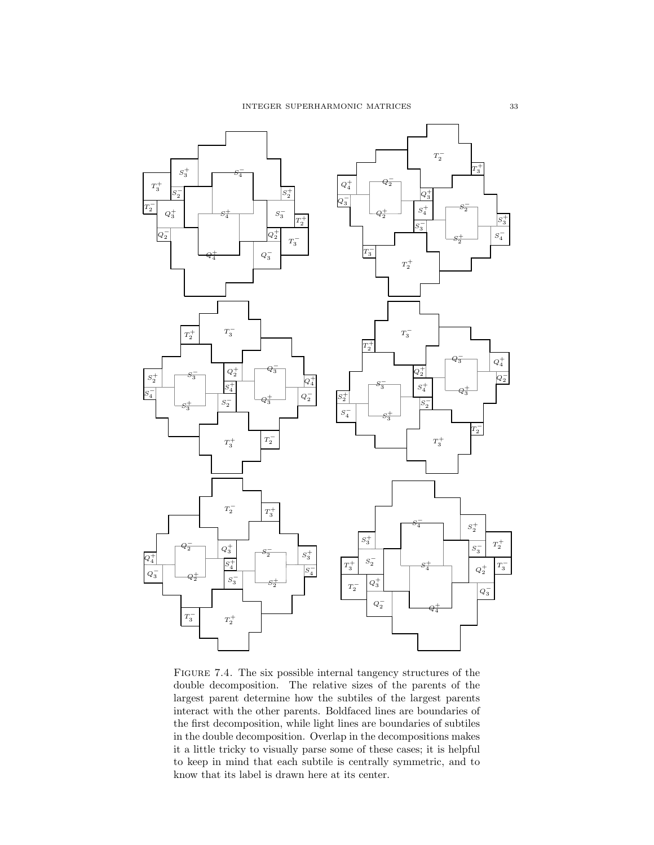

<span id="page-32-0"></span>FIGURE 7.4. The six possible internal tangency structures of the double decomposition. The relative sizes of the parents of the largest parent determine how the subtiles of the largest parents interact with the other parents. Boldfaced lines are boundaries of the first decomposition, while light lines are boundaries of subtiles in the double decomposition. Overlap in the decompositions makes it a little tricky to visually parse some of these cases; it is helpful to keep in mind that each subtile is centrally symmetric, and to know that its label is drawn here at its center.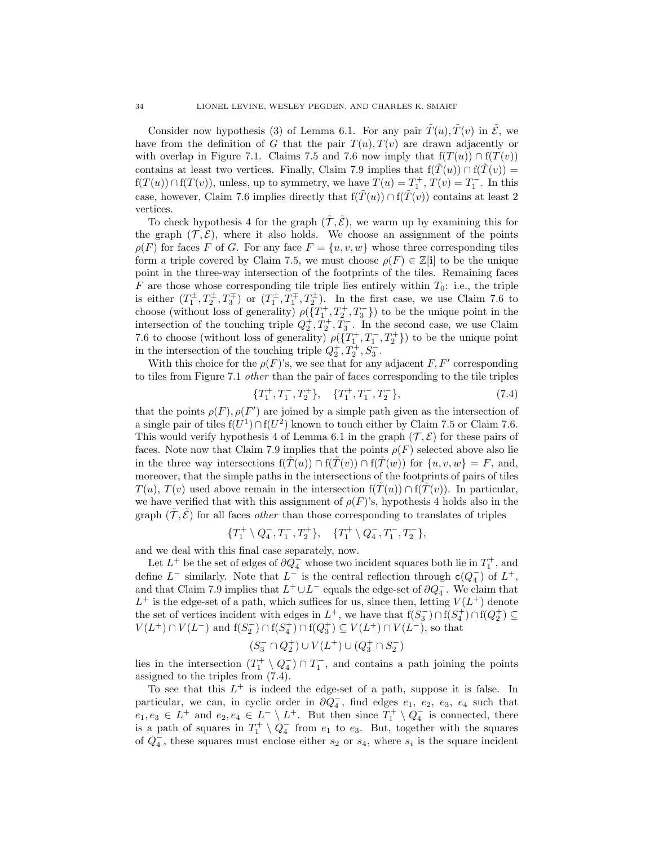Consider now hypothesis [\(3\)](#page-22-2) of Lemma [6.1.](#page-21-1) For any pair  $\tilde{T}(u)$ ,  $\tilde{T}(v)$  in  $\tilde{\mathcal{E}}$ , we have from the definition of G that the pair  $T(u)$ ,  $T(v)$  are drawn adjacently or with overlap in Figure [7.1.](#page-27-1) Claims [7.5](#page-29-0) and [7.6](#page-29-1) now imply that  $f(T(u)) \cap f(T(v))$ contains at least two vertices. Finally, Claim [7.9](#page-31-0) implies that  $f(T(u)) \cap f(T(v)) =$  $f(T(u)) \cap f(T(v))$ , unless, up to symmetry, we have  $T(u) = T_1^+, T(v) = T_1^-.$  In this case, however, Claim [7.6](#page-29-1) implies directly that  $f(\tilde{T}(u)) \cap f(\tilde{T}(v))$  contains at least 2 vertices.

To check hypothesis [4](#page-22-0) for the graph  $(\tilde{\mathcal{T}}, \tilde{\mathcal{E}})$ , we warm up by examining this for the graph  $(\mathcal{T}, \mathcal{E})$ , where it also holds. We choose an assignment of the points  $\rho(F)$  for faces F of G. For any face  $F = \{u, v, w\}$  whose three corresponding tiles form a triple covered by Claim [7.5,](#page-29-0) we must choose  $\rho(F) \in \mathbb{Z}[\mathbf{i}]$  to be the unique point in the three-way intersection of the footprints of the tiles. Remaining faces  $F$  are those whose corresponding tile triple lies entirely within  $T_0$ : i.e., the triple is either  $(T_1^{\pm}, T_2^{\pm}, T_3^{\mp})$  or  $(T_1^{\pm}, T_1^{\mp}, T_2^{\pm})$ . In the first case, we use Claim [7.6](#page-29-1) to choose (without loss of generality)  $\rho(\overline{\{T_1^+, T_2^+, T_3^-\}})$  to be the unique point in the intersection of the touching triple  $Q_2^+, T_2^+, T_3^-$ . In the second case, we use Claim [7.6](#page-29-1) to choose (without loss of generality)  $\rho(\lbrace T_1^+, T_1^-, T_2^+ \rbrace)$  to be the unique point in the intersection of the touching triple  $Q_2^+, T_2^+, S_3^-$ .

With this choice for the  $\rho(F)$ 's, we see that for any adjacent F, F' corresponding to tiles from Figure [7.1](#page-27-1) other than the pair of faces corresponding to the tile triples

<span id="page-33-0"></span>
$$
\{T_1^+, T_1^-, T_2^+\}, \quad \{T_1^+, T_1^-, T_2^-\}, \tag{7.4}
$$

that the points  $\rho(F)$ ,  $\rho(F')$  are joined by a simple path given as the intersection of a single pair of tiles  $f(U^1) \cap f(U^2)$  known to touch either by Claim [7.5](#page-29-0) or Claim [7.6.](#page-29-1) This would verify hypothesis [4](#page-22-0) of Lemma [6.1](#page-21-1) in the graph  $(\mathcal{T}, \mathcal{E})$  for these pairs of faces. Note now that Claim [7.9](#page-31-0) implies that the points  $\rho(F)$  selected above also lie in the three way intersections  $f(\tilde{T}(u)) \cap f(\tilde{T}(v)) \cap f(\tilde{T}(w))$  for  $\{u, v, w\} = F$ , and, moreover, that the simple paths in the intersections of the footprints of pairs of tiles  $T(u)$ ,  $T(v)$  used above remain in the intersection  $f(T(u)) \cap f(T(v))$ . In particular, we have verified that with this assignment of  $\rho(F)$ 's, hypothesis [4](#page-22-0) holds also in the graph  $(\tilde{\mathcal{T}}, \tilde{\mathcal{E}})$  for all faces *other* than those corresponding to translates of triples

$$
\{T_1^+\setminus Q_4^-, T_1^-, T_2^+\}, \quad \{T_1^+\setminus Q_4^-, T_1^-, T_2^-\},
$$

and we deal with this final case separately, now.

Let  $L^+$  be the set of edges of  $\partial Q_4^-$  whose two incident squares both lie in  $T_1^+$ , and define  $L^-$  similarly. Note that  $L^-$  is the central reflection through  $c(Q_4^-)$  of  $L^+$ , and that Claim [7.9](#page-31-0) implies that  $L^+ \cup L^-$  equals the edge-set of  $\partial Q_4^-$ . We claim that  $L^+$  is the edge-set of a path, which suffices for us, since then, letting  $V(L^+)$  denote the set of vertices incident with edges in  $L^+$ , we have that  $f(S_3^-) \cap f(S_4^+) \cap f(Q_2^+) \subseteq$  $V(L^{+}) \cap V(L^{-})$  and  $f(S_{2}^{-}) \cap f(S_{4}^{+}) \cap f(Q_{3}^{+}) \subseteq V(L^{+}) \cap V(L^{-})$ , so that

$$
(S_3^-\cap Q_2^+)\cup V(L^+)\cup (Q_3^+\cap S_2^-)
$$

lies in the intersection  $(T_1^+ \setminus Q_4^-) \cap T_1^-$ , and contains a path joining the points assigned to the triples from [\(7.4\)](#page-33-0).

To see that this  $L^+$  is indeed the edge-set of a path, suppose it is false. In particular, we can, in cyclic order in  $\partial \overline{Q}_4^-$ , find edges  $e_1, e_2, e_3, e_4$  such that  $e_1, e_3 \in L^+$  and  $e_2, e_4 \in L^- \setminus L^+$ . But then since  $T_1^+ \setminus Q_4^-$  is connected, there is a path of squares in  $T_1^+ \setminus Q_4^-$  from  $e_1$  to  $e_3$ . But, together with the squares of  $Q_4^-$ , these squares must enclose either  $s_2$  or  $s_4$ , where  $s_i$  is the square incident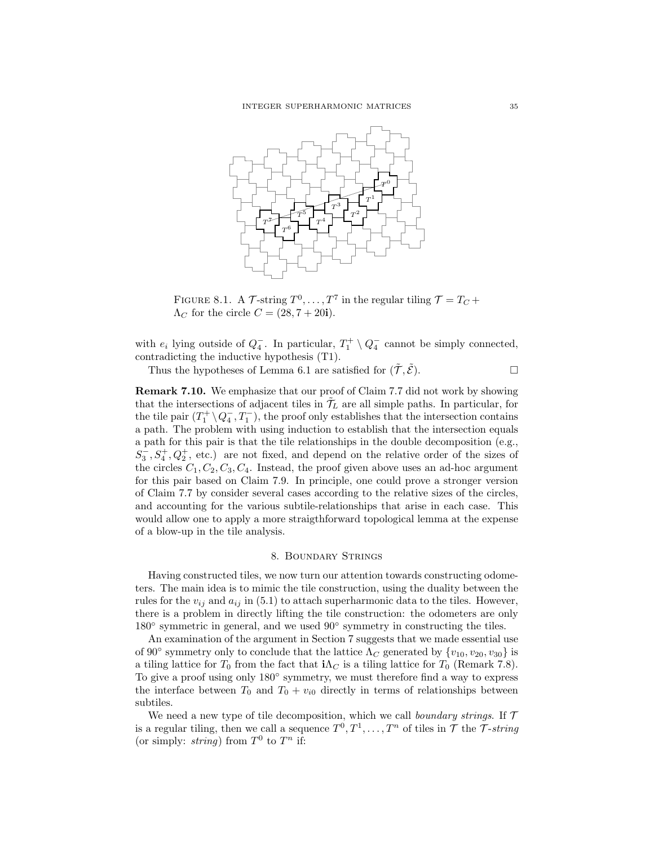

<span id="page-34-2"></span>FIGURE 8.1. A  $\mathcal{T}$ -string  $T^0, \ldots, T^7$  in the regular tiling  $\mathcal{T} = T_C +$  $\Lambda_C$  for the circle  $C = (28, 7 + 20i)$ .

with  $e_i$  lying outside of  $Q_4^-$ . In particular,  $T_1^+ \setminus Q_4^-$  cannot be simply connected, contradicting the inductive hypothesis [\(T1\)](#page-27-3).

Thus the hypotheses of Lemma [6.1](#page-21-1) are satisfied for  $(\tilde{\mathcal{T}}, \tilde{\mathcal{E}})$ .

<span id="page-34-1"></span>Remark 7.10. We emphasize that our proof of Claim [7.7](#page-30-0) did not work by showing that the intersections of adjacent tiles in  $\tilde{\mathcal{T}}_L$  are all simple paths. In particular, for the tile pair  $(T_1^+ \setminus Q_4^-, T_1^-)$ , the proof only establishes that the intersection contains a path. The problem with using induction to establish that the intersection equals a path for this pair is that the tile relationships in the double decomposition (e.g.,  $S_3^-, S_4^+, Q_2^+,$  etc.) are not fixed, and depend on the relative order of the sizes of the circles  $C_1, C_2, C_3, C_4$ . Instead, the proof given above uses an ad-hoc argument for this pair based on Claim [7.9.](#page-31-0) In principle, one could prove a stronger version of Claim [7.7](#page-30-0) by consider several cases according to the relative sizes of the circles, and accounting for the various subtile-relationships that arise in each case. This would allow one to apply a more straigthforward topological lemma at the expense of a blow-up in the tile analysis.

### 8. Boundary Strings

<span id="page-34-0"></span>Having constructed tiles, we now turn our attention towards constructing odometers. The main idea is to mimic the tile construction, using the duality between the rules for the  $v_{ij}$  and  $a_{ij}$  in [\(5.1\)](#page-18-6) to attach superharmonic data to the tiles. However, there is a problem in directly lifting the tile construction: the odometers are only 180◦ symmetric in general, and we used 90◦ symmetry in constructing the tiles.

An examination of the argument in Section [7](#page-24-0) suggests that we made essential use of 90 $\degree$  symmetry only to conclude that the lattice  $\Lambda_C$  generated by  $\{v_{10}, v_{20}, v_{30}\}$  is a tiling lattice for  $T_0$  from the fact that  $i\Lambda_C$  is a tiling lattice for  $T_0$  (Remark [7.8\)](#page-31-1). To give a proof using only 180◦ symmetry, we must therefore find a way to express the interface between  $T_0$  and  $T_0 + v_{i0}$  directly in terms of relationships between subtiles.

We need a new type of tile decomposition, which we call *boundary strings*. If  $\mathcal T$ is a regular tiling, then we call a sequence  $T^0, T^1, \ldots, T^n$  of tiles in  $\mathcal T$  the T-string (or simply: *string*) from  $T^0$  to  $T^n$  if: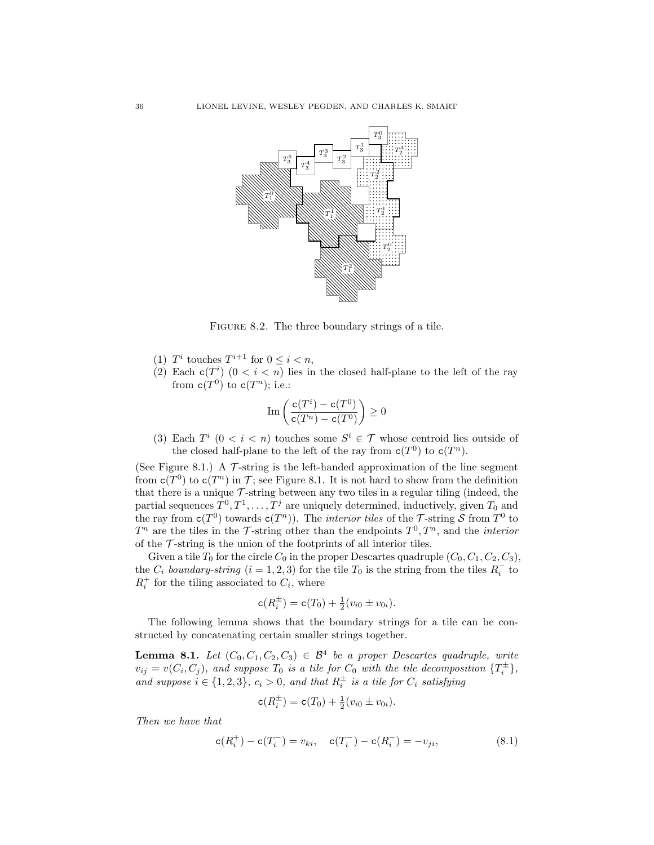

<span id="page-35-2"></span>FIGURE 8.2. The three boundary strings of a tile.

- (1)  $T^i$  touches  $T^{i+1}$  for  $0 \leq i < n$ ,
- (2) Each  $c(T^i)$   $(0 < i < n)$  lies in the closed half-plane to the left of the ray from  $\mathtt{c}(T^0)$  to  $\mathtt{c}(T^n)$ ; i.e.:

$$
\mathrm{Im}\left(\frac{\mathtt{c}(T^i)-\mathtt{c}(T^0)}{\mathtt{c}(T^n)-\mathtt{c}(T^0)}\right)\geq 0
$$

(3) Each  $T^i$   $(0 < i < n)$  touches some  $S^i \in \mathcal{T}$  whose centroid lies outside of the closed half-plane to the left of the ray from  $c(T^0)$  to  $c(T^n)$ .

(See Figure [8.1.](#page-34-2)) A  $\mathcal T$ -string is the left-handed approximation of the line segment from  $c(T^0)$  to  $c(T^n)$  in T; see Figure [8.1.](#page-34-2) It is not hard to show from the definition that there is a unique  $\mathcal T$ -string between any two tiles in a regular tiling (indeed, the partial sequences  $T^0, T^1, \ldots, T^j$  are uniquely determined, inductively, given  $T_0$  and the ray from  $c(T^0)$  towards  $c(T^n)$ ). The *interior tiles* of the T-string S from T<sup>0</sup> to  $T^n$  are the tiles in the  $\mathcal T$ -string other than the endpoints  $T^0, T^n$ , and the *interior* of the  $\mathcal T$ -string is the union of the footprints of all interior tiles.

Given a tile  $T_0$  for the circle  $C_0$  in the proper Descartes quadruple  $(C_0, C_1, C_2, C_3)$ , the  $C_i$  boundary-string  $(i = 1, 2, 3)$  for the tile  $T_0$  is the string from the tiles  $R_i^-$  to  $R_i^+$  for the tiling associated to  $C_i$ , where

$$
\mathsf{c}(R_i^{\pm}) = \mathsf{c}(T_0) + \tfrac{1}{2}(v_{i0} \pm v_{0i}).
$$

The following lemma shows that the boundary strings for a tile can be constructed by concatenating certain smaller strings together.

<span id="page-35-1"></span>**Lemma 8.1.** Let  $(C_0, C_1, C_2, C_3) \in \mathcal{B}^4$  be a proper Descartes quadruple, write  $v_{ij} = v(C_i, C_j)$ , and suppose  $T_0$  is a tile for  $C_0$  with the tile decomposition  $\{T_i^{\pm}\},$ and suppose  $i \in \{1, 2, 3\}$ ,  $c_i > 0$ , and that  $R_i^{\pm}$  is a tile for  $C_i$  satisfying

$$
\mathsf{c}(R_i^{\pm}) = \mathsf{c}(T_0) + \tfrac{1}{2}(v_{i0} \pm v_{0i}).
$$

Then we have that

<span id="page-35-0"></span>
$$
c(R_i^+) - c(T_i^-) = v_{ki}, \quad c(T_i^-) - c(R_i^-) = -v_{ji}, \tag{8.1}
$$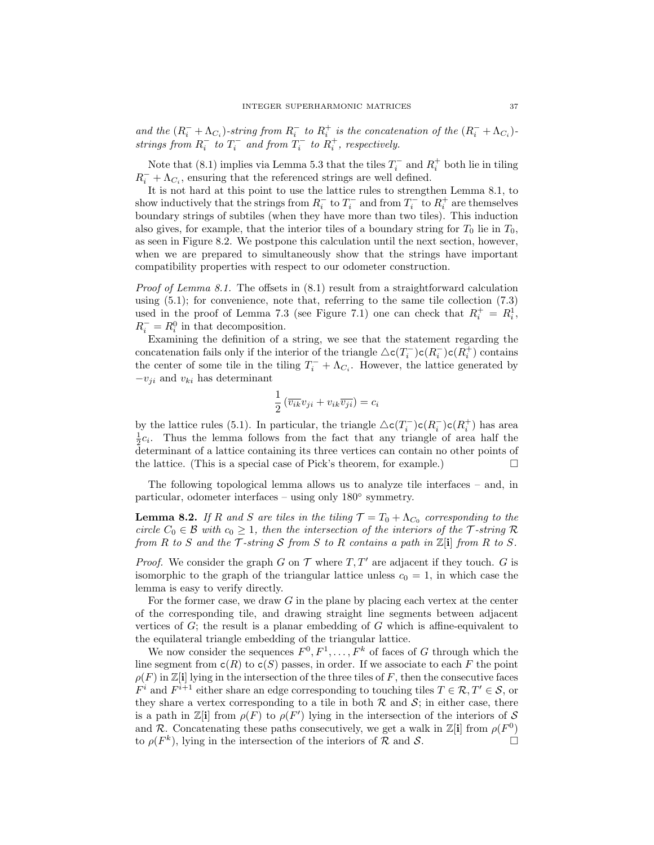and the  $(R_i^- + \Lambda_{C_i})$ -string from  $R_i^-$  to  $R_i^+$  is the concatenation of the  $(R_i^- + \Lambda_{C_i})$ strings from  $R_i^-$  to  $T_i^-$  and from  $T_i^-$  to  $R_i^+$ , respectively.

Note that [\(8.1\)](#page-35-0) implies via Lemma [5.3](#page-20-1) that the tiles  $T_i^-$  and  $R_i^+$  both lie in tiling  $R_i^- + \Lambda_{C_i}$  , ensuring that the referenced strings are well defined.

It is not hard at this point to use the lattice rules to strengthen Lemma [8.1,](#page-35-1) to show inductively that the strings from  $R_i^-$  to  $T_i^-$  and from  $T_i^-$  to  $R_i^+$  are themselves boundary strings of subtiles (when they have more than two tiles). This induction also gives, for example, that the interior tiles of a boundary string for  $T_0$  lie in  $T_0$ , as seen in Figure [8.2.](#page-35-2) We postpone this calculation until the next section, however, when we are prepared to simultaneously show that the strings have important compatibility properties with respect to our odometer construction.

*Proof of Lemma [8.1.](#page-35-1)* The offsets in  $(8.1)$  result from a straightforward calculation using  $(5.1)$ ; for convenience, note that, referring to the same tile collection  $(7.3)$ used in the proof of Lemma [7.3](#page-27-0) (see Figure [7.1\)](#page-27-1) one can check that  $R_i^+ = R_i^1$ ,  $R_i^- = R_i^0$  in that decomposition.

Examining the definition of a string, we see that the statement regarding the concatenation fails only if the interior of the triangle  $\triangle c(T_i^-) c(R_i^-) c(R_i^+)$  contains the center of some tile in the tiling  $T_i^- + \Lambda_{C_i}$ . However, the lattice generated by  $-v_{ji}$  and  $v_{ki}$  has determinant

$$
\frac{1}{2} \left( \overline{v_{ik}} v_{ji} + v_{ik} \overline{v_{ji}} \right) = c_i
$$

by the lattice rules [\(5.1\)](#page-18-6). In particular, the triangle  $\Delta c(T_i^-)c(R_i^-)c(R_i^+)$  has area  $\frac{1}{2}c_i$ . Thus the lemma follows from the fact that any triangle of area half the determinant of a lattice containing its three vertices can contain no other points of the lattice. (This is a special case of Pick's theorem, for example.)  $\Box$ 

The following topological lemma allows us to analyze tile interfaces – and, in particular, odometer interfaces – using only 180◦ symmetry.

<span id="page-36-0"></span>**Lemma 8.2.** If R and S are tiles in the tiling  $\mathcal{T} = T_0 + \Lambda_{C_0}$  corresponding to the circle  $C_0 \in \mathcal{B}$  with  $c_0 \geq 1$ , then the intersection of the interiors of the T-string R from R to S and the  $\mathcal T$ -string S from S to R contains a path in  $\mathbb Z[i]$  from R to S.

*Proof.* We consider the graph G on  $\mathcal T$  where  $T, T'$  are adjacent if they touch. G is isomorphic to the graph of the triangular lattice unless  $c_0 = 1$ , in which case the lemma is easy to verify directly.

For the former case, we draw  $G$  in the plane by placing each vertex at the center of the corresponding tile, and drawing straight line segments between adjacent vertices of  $G$ ; the result is a planar embedding of  $G$  which is affine-equivalent to the equilateral triangle embedding of the triangular lattice.

We now consider the sequences  $F^0, F^1, \ldots, F^k$  of faces of G through which the line segment from  $c(R)$  to  $c(S)$  passes, in order. If we associate to each F the point  $\rho(F)$  in  $\mathbb{Z}[i]$  lying in the intersection of the three tiles of F, then the consecutive faces  $F^i$  and  $F^{i+1}$  either share an edge corresponding to touching tiles  $T \in \mathcal{R}, T' \in \mathcal{S}$ , or they share a vertex corresponding to a tile in both  $R$  and  $S$ ; in either case, there is a path in  $\mathbb{Z}[i]$  from  $\rho(F)$  to  $\rho(F')$  lying in the intersection of the interiors of S and R. Concatenating these paths consecutively, we get a walk in  $\mathbb{Z}[i]$  from  $\rho(F^0)$ to  $\rho(F^k)$ , lying in the intersection of the interiors of  $\mathcal R$  and  $\mathcal S$ .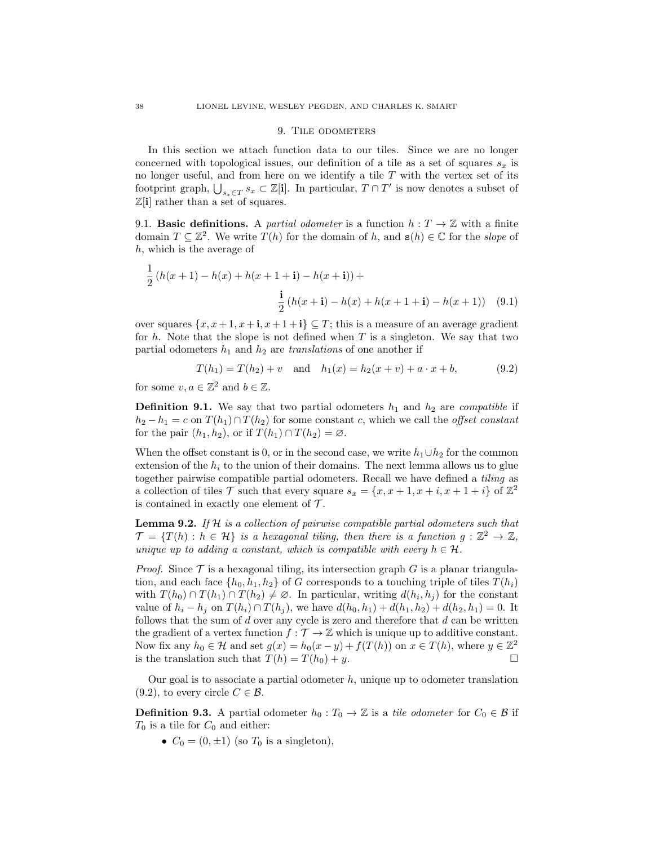#### 9. TILE ODOMETERS

<span id="page-37-0"></span>In this section we attach function data to our tiles. Since we are no longer concerned with topological issues, our definition of a tile as a set of squares  $s_x$  is no longer useful, and from here on we identify a tile  $T$  with the vertex set of its footprint graph,  $\bigcup_{s_x \in T} s_x \subset \mathbb{Z}[i]$ . In particular,  $T \cap T'$  is now denotes a subset of  $\mathbb{Z}[\mathbf{i}]$  rather than a set of squares.

9.1. **Basic definitions.** A *partial odometer* is a function  $h: T \to \mathbb{Z}$  with a finite domain  $T \subseteq \mathbb{Z}^2$ . We write  $T(h)$  for the domain of h, and  $\mathbf{s}(h) \in \mathbb{C}$  for the slope of h, which is the average of

$$
\frac{1}{2}(h(x+1) - h(x) + h(x+1+1) - h(x+1)) +
$$
  

$$
\frac{1}{2}(h(x+1) - h(x) + h(x+1+1) - h(x+1))
$$
(9.1)

over squares  $\{x, x+1, x+1, x+1+1\} \subseteq T$ ; this is a measure of an average gradient for h. Note that the slope is not defined when  $T$  is a singleton. We say that two partial odometers  $h_1$  and  $h_2$  are translations of one another if

<span id="page-37-2"></span>
$$
T(h_1) = T(h_2) + v \text{ and } h_1(x) = h_2(x+v) + a \cdot x + b,
$$
 (9.2)

for some  $v, a \in \mathbb{Z}^2$  and  $b \in \mathbb{Z}$ .

**Definition 9.1.** We say that two partial odometers  $h_1$  and  $h_2$  are *compatible* if  $h_2 - h_1 = c$  on  $T(h_1) \cap T(h_2)$  for some constant c, which we call the *offset constant* for the pair  $(h_1, h_2)$ , or if  $T(h_1) \cap T(h_2) = \emptyset$ .

When the offset constant is 0, or in the second case, we write  $h_1 \cup h_2$  for the common extension of the  $h_i$  to the union of their domains. The next lemma allows us to glue together pairwise compatible partial odometers. Recall we have defined a tiling as a collection of tiles T such that every square  $s_x = \{x, x+1, x+i, x+1+i\}$  of  $\mathbb{Z}^2$ is contained in exactly one element of  $\mathcal{T}$ .

<span id="page-37-3"></span>**Lemma 9.2.** If  $H$  is a collection of pairwise compatible partial odometers such that  $\mathcal{T} = \{T(h) : h \in \mathcal{H}\}\$ is a hexagonal tiling, then there is a function  $g : \mathbb{Z}^2 \to \mathbb{Z}$ , unique up to adding a constant, which is compatible with every  $h \in \mathcal{H}$ .

*Proof.* Since  $\mathcal T$  is a hexagonal tiling, its intersection graph G is a planar triangulation, and each face  $\{h_0, h_1, h_2\}$  of G corresponds to a touching triple of tiles  $T(h_i)$ with  $T(h_0) \cap T(h_1) \cap T(h_2) \neq \emptyset$ . In particular, writing  $d(h_i, h_j)$  for the constant value of  $h_i - h_j$  on  $T(h_i) \cap T(h_j)$ , we have  $d(h_0, h_1) + d(h_1, h_2) + d(h_2, h_1) = 0$ . It follows that the sum of  $d$  over any cycle is zero and therefore that  $d$  can be written the gradient of a vertex function  $f : \mathcal{T} \to \mathbb{Z}$  which is unique up to additive constant. Now fix any  $h_0 \in \mathcal{H}$  and set  $g(x) = h_0(x - y) + f(T(h))$  on  $x \in T(h)$ , where  $y \in \mathbb{Z}^2$ is the translation such that  $T(h) = T(h_0) + y$ .

Our goal is to associate a partial odometer  $h$ , unique up to odometer translation  $(9.2)$ , to every circle  $C \in \mathcal{B}$ .

<span id="page-37-1"></span>**Definition 9.3.** A partial odometer  $h_0 : T_0 \to \mathbb{Z}$  is a tile odometer for  $C_0 \in \mathcal{B}$  if  $T_0$  is a tile for  $C_0$  and either:

•  $C_0 = (0, \pm 1)$  (so  $T_0$  is a singleton),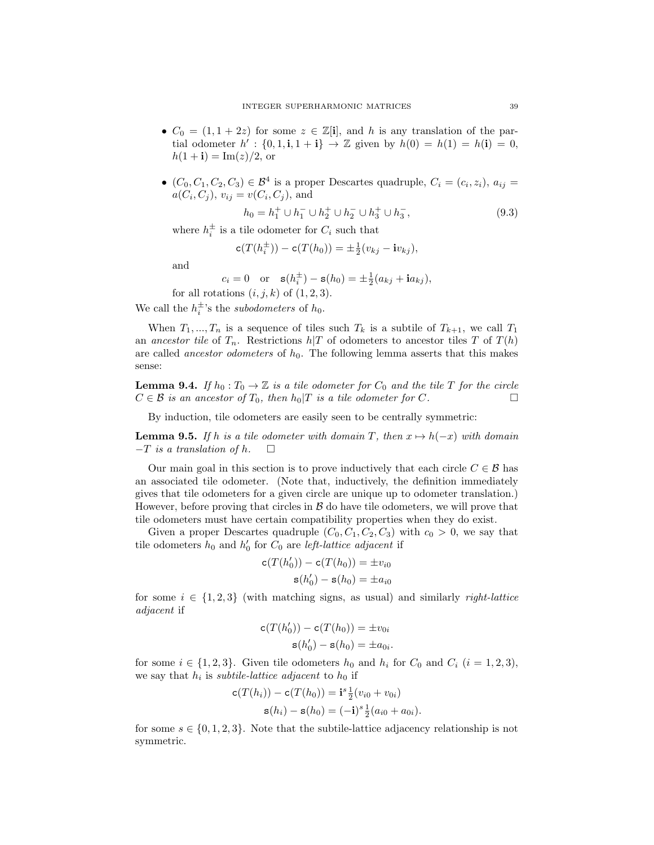- $C_0 = (1, 1 + 2z)$  for some  $z \in \mathbb{Z}[i]$ , and h is any translation of the partial odometer  $h' : \{0, 1, \mathbf{i}, 1 + \mathbf{i}\} \to \mathbb{Z}$  given by  $h(0) = h(1) = h(\mathbf{i}) = 0$ ,  $h(1 + i) = Im(z)/2$ , or
- $(C_0, C_1, C_2, C_3) \in \mathcal{B}^4$  is a proper Descartes quadruple,  $C_i = (c_i, z_i), a_{ij} =$  $a(C_i, C_j), v_{ij} = v(C_i, C_j),$  and

$$
h_0 = h_1^+ \cup h_1^- \cup h_2^+ \cup h_2^- \cup h_3^+ \cup h_3^-, \tag{9.3}
$$

where  $h_i^{\pm}$  is a tile odometer for  $C_i$  such that

$$
\mathbf{c}(T(h_i^{\pm})) - \mathbf{c}(T(h_0)) = \pm \frac{1}{2}(v_{kj} - \mathbf{i}v_{kj}),
$$

and

 $c_i = 0$  or  $\mathbf{s}(h_i^{\pm}) - \mathbf{s}(h_0) = \pm \frac{1}{2}(a_{kj} + \mathbf{i}a_{kj}),$ 

for all rotations  $(i, j, k)$  of  $(1, 2, 3)$ .

We call the  $h_i^{\pm}$ 's the *subodometers* of  $h_0$ .

When  $T_1, ..., T_n$  is a sequence of tiles such  $T_k$  is a subtile of  $T_{k+1}$ , we call  $T_1$ an ancestor tile of  $T_n$ . Restrictions  $h/T$  of odometers to ancestor tiles T of  $T(h)$ are called *ancestor odometers* of  $h_0$ . The following lemma asserts that this makes sense:

**Lemma 9.4.** If  $h_0: T_0 \to \mathbb{Z}$  is a tile odometer for  $C_0$  and the tile T for the circle  $C \in \mathcal{B}$  is an ancestor of  $T_0$ , then  $h_0|T$  is a tile odometer for C.

By induction, tile odometers are easily seen to be centrally symmetric:

**Lemma 9.5.** If h is a tile odometer with domain T, then  $x \mapsto h(-x)$  with domain  $-T$  is a translation of h.  $\square$ 

Our main goal in this section is to prove inductively that each circle  $C \in \mathcal{B}$  has an associated tile odometer. (Note that, inductively, the definition immediately gives that tile odometers for a given circle are unique up to odometer translation.) However, before proving that circles in  $\beta$  do have tile odometers, we will prove that tile odometers must have certain compatibility properties when they do exist.

Given a proper Descartes quadruple  $(C_0, C_1, C_2, C_3)$  with  $c_0 > 0$ , we say that tile odometers  $h_0$  and  $h'_0$  for  $C_0$  are *left-lattice adjacent* if

$$
c(T(h'_0)) - c(T(h_0)) = \pm v_{i0}
$$
  

$$
s(h'_0) - s(h_0) = \pm a_{i0}
$$

for some  $i \in \{1,2,3\}$  (with matching signs, as usual) and similarly *right-lattice* adjacent if

$$
c(T(h'_0)) - c(T(h_0)) = \pm v_{0i}
$$
  

$$
s(h'_0) - s(h_0) = \pm a_{0i}.
$$

for some  $i \in \{1,2,3\}$ . Given tile odometers  $h_0$  and  $h_i$  for  $C_0$  and  $C_i$   $(i = 1,2,3)$ , we say that  $h_i$  is *subtile-lattice adjacent* to  $h_0$  if

$$
\mathbf{c}(T(h_i)) - \mathbf{c}(T(h_0)) = \mathbf{i}^s \frac{1}{2}(v_{i0} + v_{0i})
$$
  
 
$$
\mathbf{s}(h_i) - \mathbf{s}(h_0) = (-\mathbf{i})^s \frac{1}{2}(a_{i0} + a_{0i}).
$$

for some  $s \in \{0, 1, 2, 3\}$ . Note that the subtile-lattice adjacency relationship is not symmetric.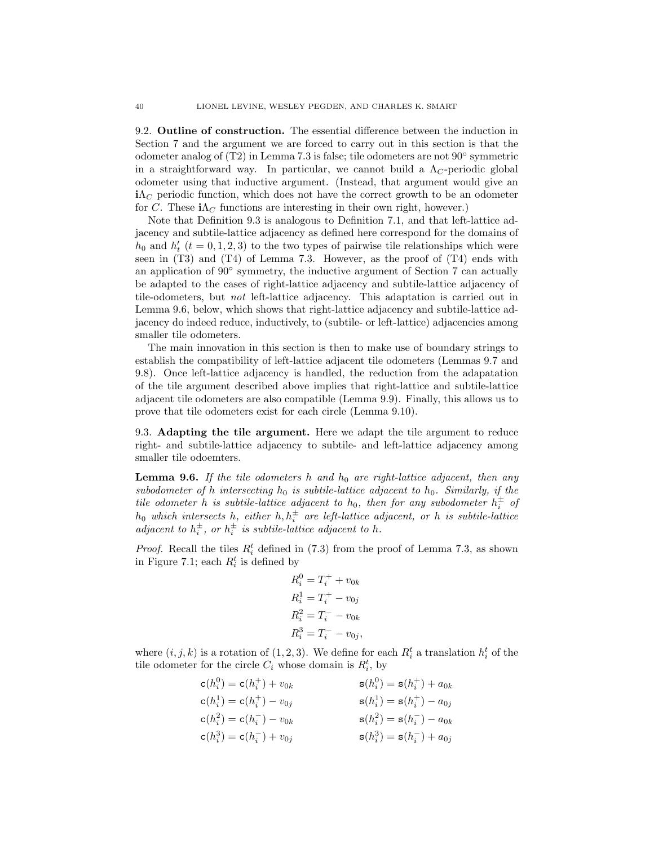9.2. Outline of construction. The essential difference between the induction in Section [7](#page-24-0) and the argument we are forced to carry out in this section is that the odometer analog of [\(T2\)](#page-27-4) in Lemma [7.3](#page-27-0) is false; tile odometers are not 90◦ symmetric in a straightforward way. In particular, we cannot build a  $\Lambda_C$ -periodic global odometer using that inductive argument. (Instead, that argument would give an  $i\Lambda_C$  periodic function, which does not have the correct growth to be an odometer for C. These  $i\Lambda_C$  functions are interesting in their own right, however.)

Note that Definition [9.3](#page-37-1) is analogous to Definition [7.1,](#page-25-0) and that left-lattice adjacency and subtile-lattice adjacency as defined here correspond for the domains of  $h_0$  and  $h'_t$  ( $t = 0, 1, 2, 3$ ) to the two types of pairwise tile relationships which were seen in  $(T3)$  and  $(T4)$  of Lemma [7.3.](#page-27-0) However, as the proof of  $(T4)$  ends with an application of 90° symmetry, the inductive argument of Section [7](#page-24-0) can actually be adapted to the cases of right-lattice adjacency and subtile-lattice adjacency of tile-odometers, but not left-lattice adjacency. This adaptation is carried out in Lemma [9.6,](#page-39-0) below, which shows that right-lattice adjacency and subtile-lattice adjacency do indeed reduce, inductively, to (subtile- or left-lattice) adjacencies among smaller tile odometers.

The main innovation in this section is then to make use of boundary strings to establish the compatibility of left-lattice adjacent tile odometers (Lemmas [9.7](#page-40-0) and [9.8\)](#page-41-0). Once left-lattice adjacency is handled, the reduction from the adapatation of the tile argument described above implies that right-lattice and subtile-lattice adjacent tile odometers are also compatible (Lemma [9.9\)](#page-43-1). Finally, this allows us to prove that tile odometers exist for each circle (Lemma [9.10\)](#page-43-2).

9.3. Adapting the tile argument. Here we adapt the tile argument to reduce right- and subtile-lattice adjacency to subtile- and left-lattice adjacency among smaller tile odoemters.

<span id="page-39-0"></span>**Lemma 9.6.** If the tile odometers h and  $h_0$  are right-lattice adjacent, then any subodometer of h intersecting  $h_0$  is subtile-lattice adjacent to  $h_0$ . Similarly, if the tile odometer h is subtile-lattice adjacent to  $h_0$ , then for any subodometer  $h_i^{\pm}$  of  $h_0$  which intersects h, either  $h, h_i^{\pm}$  are left-lattice adjacent, or h is subtile-lattice adjacent to  $h_i^{\pm}$ , or  $h_i^{\pm}$  is subtile-lattice adjacent to h.

*Proof.* Recall the tiles  $R_i^t$  defined in [\(7.3\)](#page-26-0) from the proof of Lemma [7.3,](#page-27-0) as shown in Figure [7.1;](#page-27-1) each  $R_i^t$  is defined by

$$
R_i^0 = T_i^+ + v_{0k}
$$
  
\n
$$
R_i^1 = T_i^+ - v_{0j}
$$
  
\n
$$
R_i^2 = T_i^- - v_{0k}
$$
  
\n
$$
R_i^3 = T_i^- - v_{0j}
$$

where  $(i, j, k)$  is a rotation of  $(1, 2, 3)$ . We define for each  $R_i^t$  a translation  $h_i^t$  of the tile odometer for the circle  $C_i$  whose domain is  $R_i^t$ , by

$$
c(h_i^0) = c(h_i^+) + v_{0k}
$$
  
\n
$$
c(h_i^1) = c(h_i^+) - v_{0j}
$$
  
\n
$$
c(h_i^2) = c(h_i^-) - v_{0k}
$$
  
\n
$$
c(h_i^3) = c(h_i^-) + v_{0j}
$$
  
\n
$$
c(h_i^3) = c(h_i^-) + v_{0j}
$$
  
\n
$$
s(h_i^2) = s(h_i^-) - a_{0k}
$$
  
\n
$$
s(h_i^3) = s(h_i^-) + a_{0j}
$$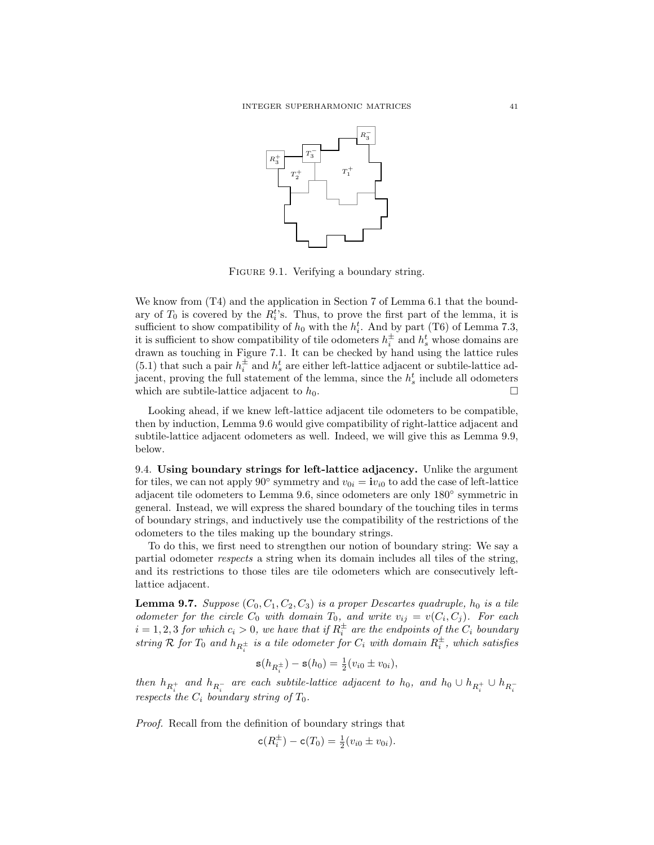

<span id="page-40-1"></span>FIGURE 9.1. Verifying a boundary string.

We know from  $(T4)$  and the application in Section [7](#page-24-0) of Lemma [6.1](#page-21-1) that the boundary of  $T_0$  is covered by the  $R_i^t$ 's. Thus, to prove the first part of the lemma, it is sufficient to show compatibility of  $h_0$  with the  $h_i^t$ . And by part [\(T6\)](#page-28-2) of Lemma [7.3,](#page-27-0) it is sufficient to show compatibility of tile odometers  $h_i^{\pm}$  and  $h_s^t$  whose domains are drawn as touching in Figure [7.1.](#page-27-1) It can be checked by hand using the lattice rules [\(5.1\)](#page-18-6) that such a pair  $h_i^{\pm}$  and  $h_s^t$  are either left-lattice adjacent or subtile-lattice adjacent, proving the full statement of the lemma, since the  $h_s^t$  include all odometers which are subtile-lattice adjacent to  $h_0$ .

Looking ahead, if we knew left-lattice adjacent tile odometers to be compatible, then by induction, Lemma [9.6](#page-39-0) would give compatibility of right-lattice adjacent and subtile-lattice adjacent odometers as well. Indeed, we will give this as Lemma [9.9,](#page-43-1) below.

9.4. Using boundary strings for left-lattice adjacency. Unlike the argument for tiles, we can not apply 90<sup>°</sup> symmetry and  $v_{0i} = iv_{i0}$  to add the case of left-lattice adjacent tile odometers to Lemma [9.6,](#page-39-0) since odometers are only 180◦ symmetric in general. Instead, we will express the shared boundary of the touching tiles in terms of boundary strings, and inductively use the compatibility of the restrictions of the odometers to the tiles making up the boundary strings.

To do this, we first need to strengthen our notion of boundary string: We say a partial odometer respects a string when its domain includes all tiles of the string, and its restrictions to those tiles are tile odometers which are consecutively leftlattice adjacent.

<span id="page-40-0"></span>**Lemma 9.7.** Suppose  $(C_0, C_1, C_2, C_3)$  is a proper Descartes quadruple,  $h_0$  is a tile odometer for the circle  $C_0$  with domain  $T_0$ , and write  $v_{ij} = v(C_i, C_j)$ . For each  $i = 1, 2, 3$  for which  $c_i > 0$ , we have that if  $R_i^{\pm}$  are the endpoints of the  $C_i$  boundary string R for  $T_0$  and  $h_{R_i^{\pm}}$  is a tile odometer for  $C_i$  with domain  $R_i^{\pm}$ , which satisfies

$$
\mathbf{s}(h_{R_i^{\pm}}) - \mathbf{s}(h_0) = \frac{1}{2}(v_{i0} \pm v_{0i}),
$$

then  $h_{R_i^+}$  and  $h_{R_i^-}$  are each subtile-lattice adjacent to  $h_0$ , and  $h_0 \cup h_{R_i^+} \cup h_{R_i^-}$ respects the  $C_i$  boundary string of  $T_0$ .

Proof. Recall from the definition of boundary strings that

$$
\mathsf{c}(R_i^{\pm}) - \mathsf{c}(T_0) = \frac{1}{2}(v_{i0} \pm v_{0i}).
$$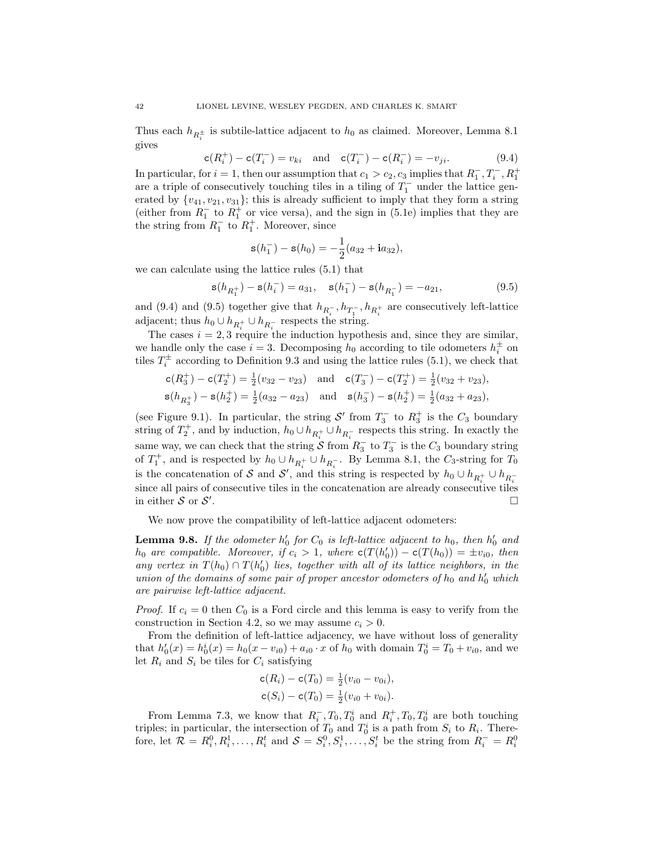Thus each  $h_{R_i^{\pm}}$  is subtile-lattice adjacent to  $h_0$  as claimed. Moreover, Lemma [8.1](#page-35-1) gives

<span id="page-41-1"></span> $c(R_i^+) - c(T_i^-) = v_{ki}$  and  $c(T_i^-) - c(R_i^-) = -v_{ji}.$  (9.4)

In particular, for  $i = 1$ , then our assumption that  $c_1 > c_2, c_3$  implies that  $R_1^-, T_i^-, R_1^+$ are a triple of consecutively touching tiles in a tiling of  $T_1^-$  under the lattice generated by  $\{v_{41}, v_{21}, v_{31}\}$ ; this is already sufficient to imply that they form a string (either from  $R_1^-$  to  $R_1^+$  or vice versa), and the sign in [\(5.1e\)](#page-18-5) implies that they are the string from  $R_1^-$  to  $R_1^+$ . Moreover, since

$$
\mathbf{s}(h_1^-) - \mathbf{s}(h_0) = -\frac{1}{2}(a_{32} + \mathbf{i}a_{32}),
$$

we can calculate using the lattice rules [\(5.1\)](#page-18-6) that

<span id="page-41-2"></span>
$$
\mathbf{s}(h_{R_1^+}) - \mathbf{s}(h_i^-) = a_{31}, \quad \mathbf{s}(h_1^-) - \mathbf{s}(h_{R_1^-}) = -a_{21}, \tag{9.5}
$$

and [\(9.4\)](#page-41-1) and [\(9.5\)](#page-41-2) together give that  $h_{R_i^-}, h_{T_1^-}, h_{R_i^+}$  are consecutively left-lattice adjacent; thus  $h_0 \cup h_{R_i^+} \cup h_{R_i^-}$  respects the string.

The cases  $i = 2, 3$  require the induction hypothesis and, since they are similar, we handle only the case  $i = 3$ . Decomposing  $h_0$  according to tile odometers  $h_i^{\pm}$  on tiles  $T_i^{\pm}$  according to Definition [9.3](#page-37-1) and using the lattice rules [\(5.1\)](#page-18-6), we check that

$$
\begin{aligned}\n\mathbf{c}(R_3^+) - \mathbf{c}(T_2^+) &= \frac{1}{2}(v_{32} - v_{23}) \quad \text{and} \quad \mathbf{c}(T_3^-) - \mathbf{c}(T_2^+) = \frac{1}{2}(v_{32} + v_{23}), \\
\mathbf{s}(h_{R_3^+}) - \mathbf{s}(h_2^+) &= \frac{1}{2}(a_{32} - a_{23}) \quad \text{and} \quad \mathbf{s}(h_3^-) - \mathbf{s}(h_2^+) = \frac{1}{2}(a_{32} + a_{23}),\n\end{aligned}
$$

(see Figure [9.1\)](#page-40-1). In particular, the string  $S'$  from  $T_3^-$  to  $R_3^+$  is the  $C_3$  boundary string of  $T_2^+$ , and by induction,  $h_0 \cup h_{R_i^+} \cup h_{R_i^-}$  respects this string. In exactly the same way, we can check that the string  $S$  from  $R_3^-$  to  $T_3^-$  is the  $C_3$  boundary string of  $T_1^+$ , and is respected by  $h_0 \cup h_{R_i^+} \cup h_{R_i^-}$ . By Lemma [8.1,](#page-35-1) the  $C_3$ -string for  $T_0$ is the concatenation of S and S', and this string is respected by  $h_0 \cup h_{R_i^+} \cup h_{R_i^-}$ since all pairs of consecutive tiles in the concatenation are already consecutive tiles in either  $S$  or  $S'$ .

We now prove the compatibility of left-lattice adjacent odometers:

<span id="page-41-0"></span>**Lemma 9.8.** If the odometer  $h'_0$  for  $C_0$  is left-lattice adjacent to  $h_0$ , then  $h'_0$  and  $h_0$  are compatible. Moreover, if  $c_i > 1$ , where  $c(T(h'_0)) - c(T(h_0)) = \pm v_{i0}$ , then any vertex in  $T(h_0) \cap T(h'_0)$  lies, together with all of its lattice neighbors, in the union of the domains of some pair of proper ancestor odometers of  $h_0$  and  $h'_0$  which are pairwise left-lattice adjacent.

*Proof.* If  $c_i = 0$  then  $C_0$  is a Ford circle and this lemma is easy to verify from the construction in Section [4.2,](#page-9-1) so we may assume  $c_i > 0$ .

From the definition of left-lattice adjacency, we have without loss of generality that  $h'_0(x) = h_0^i(x) = h_0(x - v_{i0}) + a_{i0} \cdot x$  of  $h_0$  with domain  $T_0^i = T_0 + v_{i0}$ , and we let  $R_i$  and  $S_i$  be tiles for  $C_i$  satisfying

$$
\mathbf{c}(R_i) - \mathbf{c}(T_0) = \frac{1}{2}(v_{i0} - v_{0i}),
$$
  

$$
\mathbf{c}(S_i) - \mathbf{c}(T_0) = \frac{1}{2}(v_{i0} + v_{0i}).
$$

From Lemma [7.3,](#page-27-0) we know that  $R_i^-, T_0, T_0^i$  and  $R_i^+, T_0, T_0^i$  are both touching triples; in particular, the intersection of  $T_0$  and  $T_0^i$  is a path from  $S_i$  to  $R_i$ . Therefore, let  $\mathcal{R} = R_i^0, R_i^1, \ldots, R_i^t$  and  $\mathcal{S} = S_i^0, S_i^1, \ldots, S_i^t$  be the string from  $R_i^- = R_i^0$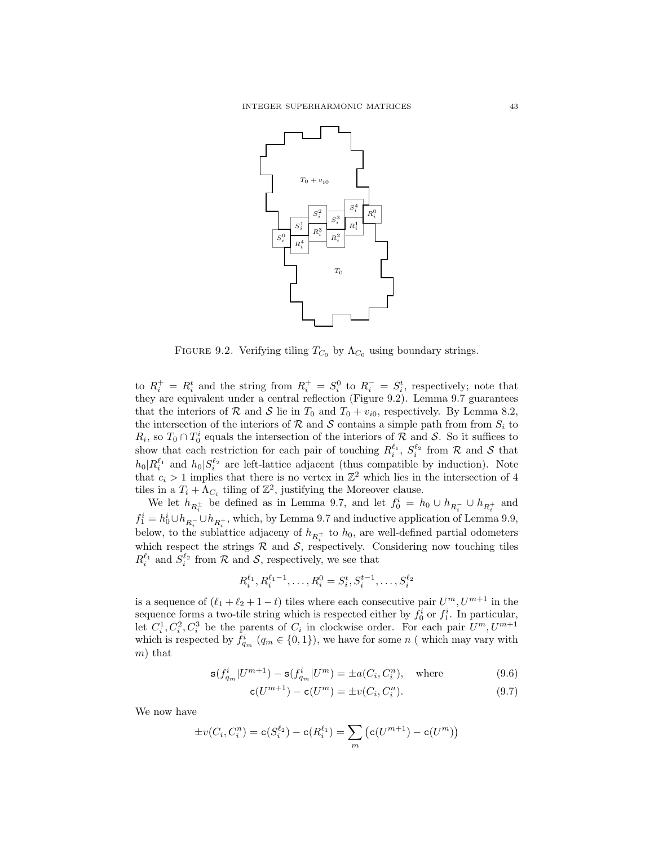

<span id="page-42-0"></span>FIGURE 9.2. Verifying tiling  $T_{C_0}$  by  $\Lambda_{C_0}$  using boundary strings.

to  $R_i^+ = R_i^t$  and the string from  $R_i^+ = S_i^0$  to  $R_i^- = S_i^t$ , respectively; note that they are equivalent under a central reflection (Figure [9.2\)](#page-42-0). Lemma [9.7](#page-40-0) guarantees that the interiors of R and S lie in  $T_0$  and  $T_0 + v_{i0}$ , respectively. By Lemma [8.2,](#page-36-0) the intersection of the interiors of R and S contains a simple path from from  $S_i$  to  $R_i$ , so  $T_0 \cap T_0^i$  equals the intersection of the interiors of R and S. So it suffices to show that each restriction for each pair of touching  $R_i^{\ell_1}, S_i^{\ell_2}$  from R and S that  $h_0|R_i^{\ell_1}$  and  $h_0|S_i^{\ell_2}$  are left-lattice adjacent (thus compatible by induction). Note that  $c_i > 1$  implies that there is no vertex in  $\mathbb{Z}^2$  which lies in the intersection of 4 tiles in a  $T_i + \Lambda_{C_i}$  tiling of  $\mathbb{Z}^2$ , justifying the Moreover clause.

We let  $h_{R_i^{\pm}}$  be defined as in Lemma [9.7,](#page-40-0) and let  $f_0^i = h_0 \cup h_{R_i^-} \cup h_{R_i^+}$  and  $f_1^i = h_0^i \cup h_{R_i^+} \cup h_{R_i^+}$ , which, by Lemma [9.7](#page-40-0) and inductive application of Lemma [9.9,](#page-43-1) below, to the sublattice adjaceny of  $h_{R_i^{\pm}}$  to  $h_0$ , are well-defined partial odometers which respect the strings  $R$  and  $S$ , respectively. Considering now touching tiles  $R_i^{\ell_1}$  and  $S_i^{\ell_2}$  from  $\mathcal R$  and  $\mathcal S$ , respectively, we see that

$$
R_i^{\ell_1}, R_i^{\ell_1 - 1}, \dots, R_i^0 = S_i^t, S_i^{t-1}, \dots, S_i^{\ell_2}
$$

is a sequence of  $(\ell_1 + \ell_2 + 1 - t)$  tiles where each consecutive pair  $U^m, U^{m+1}$  in the sequence forms a two-tile string which is respected either by  $f_0^i$  or  $f_1^i$ . In particular, let  $C_i^1, C_i^2, C_i^3$  be the parents of  $C_i$  in clockwise order. For each pair  $U^m, U^{m+1}$ which is respected by  $f_{q_m}^i$   $(q_m \in \{0,1\})$ , we have for some n (which may vary with  $m$ ) that

$$
\mathbf{s}(f_{q_m}^i | U^{m+1}) - \mathbf{s}(f_{q_m}^i | U^m) = \pm a(C_i, C_i^n), \quad \text{where}
$$
\n(9.6)

$$
c(U^{m+1}) - c(U^m) = \pm v(C_i, C_i^n). \tag{9.7}
$$

We now have

$$
\pm v(C_i, C_i^n) = \mathsf{c}(S_i^{\ell_2}) - \mathsf{c}(R_i^{\ell_1}) = \sum_m (\mathsf{c}(U^{m+1}) - \mathsf{c}(U^m))
$$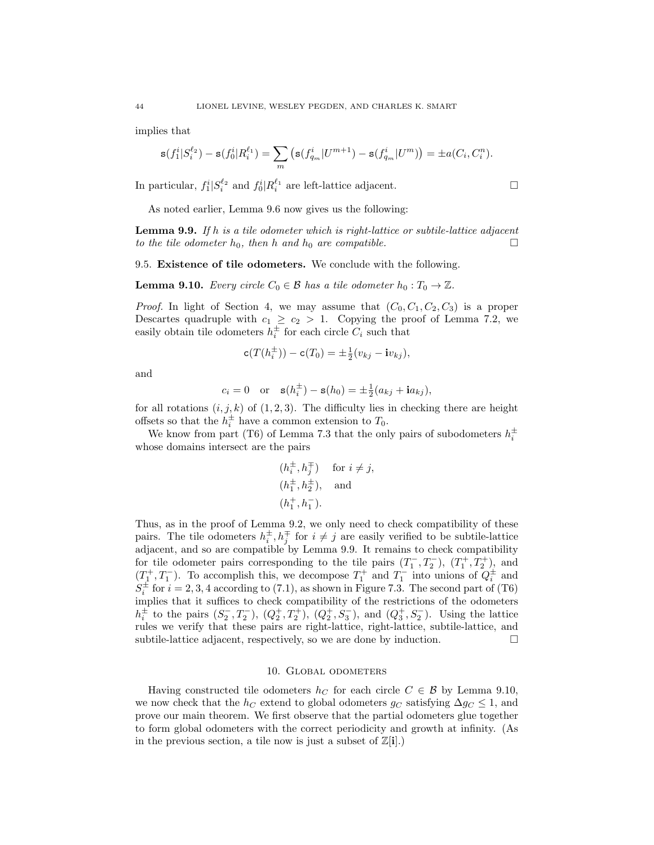implies that

$$
\mathbf{s}(f_1^i|S_i^{\ell_2})-\mathbf{s}(f_0^i|R_i^{\ell_1})=\sum_m\left(\mathbf{s}(f_{q_m}^i|U^{m+1})-\mathbf{s}(f_{q_m}^i|U^m)\right)=\pm a(C_i,C_i^n).
$$

In particular,  $f_1^i | S_i^{\ell_2}$  and  $f_0^i | R_i^{\ell_1}$  are left-lattice adjacent.

As noted earlier, Lemma [9.6](#page-39-0) now gives us the following:

<span id="page-43-1"></span>**Lemma 9.9.** If h is a tile odometer which is right-lattice or subtile-lattice adjacent to the tile odometer  $h_0$ , then h and  $h_0$  are compatible.

9.5. Existence of tile odometers. We conclude with the following.

<span id="page-43-2"></span>**Lemma 9.10.** Every circle  $C_0 \in \mathcal{B}$  has a tile odometer  $h_0 : T_0 \to \mathbb{Z}$ .

*Proof.* In light of Section [4,](#page-9-0) we may assume that  $(C_0, C_1, C_2, C_3)$  is a proper Descartes quadruple with  $c_1 \geq c_2 > 1$ . Copying the proof of Lemma [7.2,](#page-26-1) we easily obtain tile odometers  $h_i^{\pm}$  for each circle  $C_i$  such that

$$
\mathbf{c}(T(h_i^{\pm})) - \mathbf{c}(T_0) = \pm \frac{1}{2}(v_{kj} - \mathbf{i}v_{kj}),
$$

and

$$
c_i = 0
$$
 or  $\mathbf{s}(h_i^{\pm}) - \mathbf{s}(h_0) = \pm \frac{1}{2}(a_{kj} + i a_{kj}),$ 

for all rotations  $(i, j, k)$  of  $(1, 2, 3)$ . The difficulty lies in checking there are height offsets so that the  $h_i^{\pm}$  have a common extension to  $T_0$ .

We know from part [\(T6\)](#page-28-2) of Lemma [7.3](#page-27-0) that the only pairs of subodometers  $h_i^{\pm}$ whose domains intersect are the pairs

$$
(h_i^{\pm}, h_j^{\mp}) \quad \text{for } i \neq j,
$$
  

$$
(h_1^{\pm}, h_2^{\pm}), \text{ and}
$$
  

$$
(h_1^{\pm}, h_1^-).
$$

Thus, as in the proof of Lemma [9.2,](#page-37-3) we only need to check compatibility of these pairs. The tile odometers  $h_i^{\pm}, h_j^{\mp}$  for  $i \neq j$  are easily verified to be subtile-lattice adjacent, and so are compatible by Lemma [9.9.](#page-43-1) It remains to check compatibility for tile odometer pairs corresponding to the tile pairs  $(T_1^-, T_2^-), (T_1^+, T_2^+)$ , and  $(T_1^+, T_1^-)$ . To accomplish this, we decompose  $T_1^+$  and  $T_1^-$  into unions of  $Q_i^{\pm}$  and  $S_i^{\pm}$  for  $i = 2, 3, 4$  according to [\(7.1\)](#page-25-1), as shown in Figure [7.3.](#page-28-1) The second part of [\(T6\)](#page-28-2) implies that it suffices to check compatibility of the restrictions of the odometers  $h_i^{\pm}$  to the pairs  $(S_2^-, T_2^-)$ ,  $(Q_2^+, T_2^+)$ ,  $(Q_2^+, S_3^-)$ , and  $(Q_3^+, S_2^-)$ . Using the lattice rules we verify that these pairs are right-lattice, right-lattice, subtile-lattice, and subtile-lattice adjacent, respectively, so we are done by induction.  $\Box$ 

## 10. Global odometers

<span id="page-43-0"></span>Having constructed tile odometers  $h_C$  for each circle  $C \in \mathcal{B}$  by Lemma [9.10,](#page-43-2) we now check that the  $h_C$  extend to global odometers  $g_C$  satisfying  $\Delta g_C \leq 1$ , and prove our main theorem. We first observe that the partial odometers glue together to form global odometers with the correct periodicity and growth at infinity. (As in the previous section, a tile now is just a subset of  $\mathbb{Z}[i]$ .)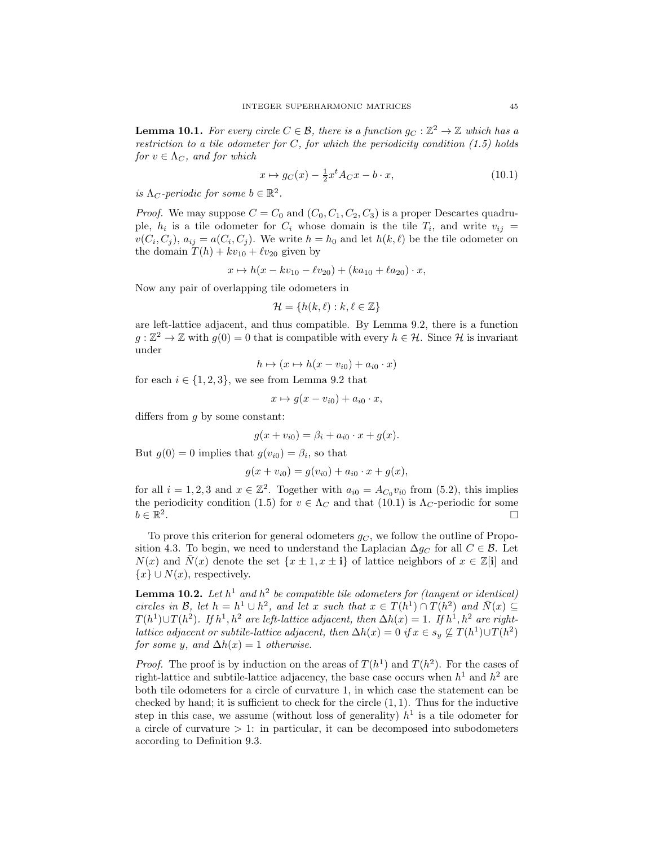<span id="page-44-0"></span>**Lemma 10.1.** For every circle  $C \in \mathcal{B}$ , there is a function  $g_C : \mathbb{Z}^2 \to \mathbb{Z}$  which has a restriction to a tile odometer for  $C$ , for which the periodicity condition  $(1.5)$  holds for  $v \in \Lambda_C$ , and for which

<span id="page-44-1"></span>
$$
x \mapsto g_C(x) - \frac{1}{2}x^t A_C x - b \cdot x,\tag{10.1}
$$

is  $\Lambda_C$ -periodic for some  $b \in \mathbb{R}^2$ .

*Proof.* We may suppose  $C = C_0$  and  $(C_0, C_1, C_2, C_3)$  is a proper Descartes quadruple,  $h_i$  is a tile odometer for  $C_i$  whose domain is the tile  $T_i$ , and write  $v_{ij}$  =  $v(C_i, C_j)$ ,  $a_{ij} = a(C_i, C_j)$ . We write  $h = h_0$  and let  $h(k, \ell)$  be the tile odometer on the domain  $T(h) + kv_{10} + \ell v_{20}$  given by

$$
x \mapsto h(x - kv_{10} - kv_{20}) + (ka_{10} + ka_{20}) \cdot x,
$$

Now any pair of overlapping tile odometers in

$$
\mathcal{H} = \{ h(k,\ell) : k, \ell \in \mathbb{Z} \}
$$

are left-lattice adjacent, and thus compatible. By Lemma [9.2,](#page-37-3) there is a function  $g: \mathbb{Z}^2 \to \mathbb{Z}$  with  $g(0) = 0$  that is compatible with every  $h \in \mathcal{H}$ . Since H is invariant under

$$
h \mapsto (x \mapsto h(x - v_{i0}) + a_{i0} \cdot x)
$$

for each  $i \in \{1, 2, 3\}$ , we see from Lemma [9.2](#page-37-3) that

$$
x \mapsto g(x - v_{i0}) + a_{i0} \cdot x,
$$

differs from  $q$  by some constant:

$$
g(x + v_{i0}) = \beta_i + a_{i0} \cdot x + g(x).
$$

But  $g(0) = 0$  implies that  $g(v_{i0}) = \beta_i$ , so that

$$
g(x + v_{i0}) = g(v_{i0}) + a_{i0} \cdot x + g(x),
$$

for all  $i = 1, 2, 3$  and  $x \in \mathbb{Z}^2$ . Together with  $a_{i0} = A_{C_0} v_{i0}$  from [\(5.2\)](#page-20-2), this implies the periodicity condition [\(1.5\)](#page-2-1) for  $v \in \Lambda_C$  and that [\(10.1\)](#page-44-1) is  $\Lambda_C$ -periodic for some  $b \in \mathbb{R}^2$ .

To prove this criterion for general odometers  $g_C$ , we follow the outline of Propo-sition [4.3.](#page-13-0) To begin, we need to understand the Laplacian  $\Delta q_C$  for all  $C \in \mathcal{B}$ . Let  $N(x)$  and  $\overline{N}(x)$  denote the set  $\{x \pm 1, x \pm i\}$  of lattice neighbors of  $x \in \mathbb{Z}[i]$  and  ${x} \cup N(x)$ , respectively.

<span id="page-44-2"></span>**Lemma 10.2.** Let  $h^1$  and  $h^2$  be compatible tile odometers for (tangent or identical) circles in B, let  $h = h^1 \cup h^2$ , and let x such that  $x \in T(h^1) \cap T(h^2)$  and  $\overline{N}(x) \subseteq$  $T(h^1) \cup T(h^2)$ . If  $h^1, h^2$  are left-lattice adjacent, then  $\Delta h(x) = 1$ . If  $h^1, h^2$  are rightlattice adjacent or subtile-lattice adjacent, then  $\Delta h(x) = 0$  if  $x \in s_y \nsubseteq T(h^1) \cup T(h^2)$ for some y, and  $\Delta h(x) = 1$  otherwise.

*Proof.* The proof is by induction on the areas of  $T(h^1)$  and  $T(h^2)$ . For the cases of right-lattice and subtile-lattice adjacency, the base case occurs when  $h^1$  and  $h^2$  are both tile odometers for a circle of curvature 1, in which case the statement can be checked by hand; it is sufficient to check for the circle  $(1, 1)$ . Thus for the inductive step in this case, we assume (without loss of generality)  $h<sup>1</sup>$  is a tile odometer for a circle of curvature  $> 1$ : in particular, it can be decomposed into subodometers according to Definition [9.3.](#page-37-1)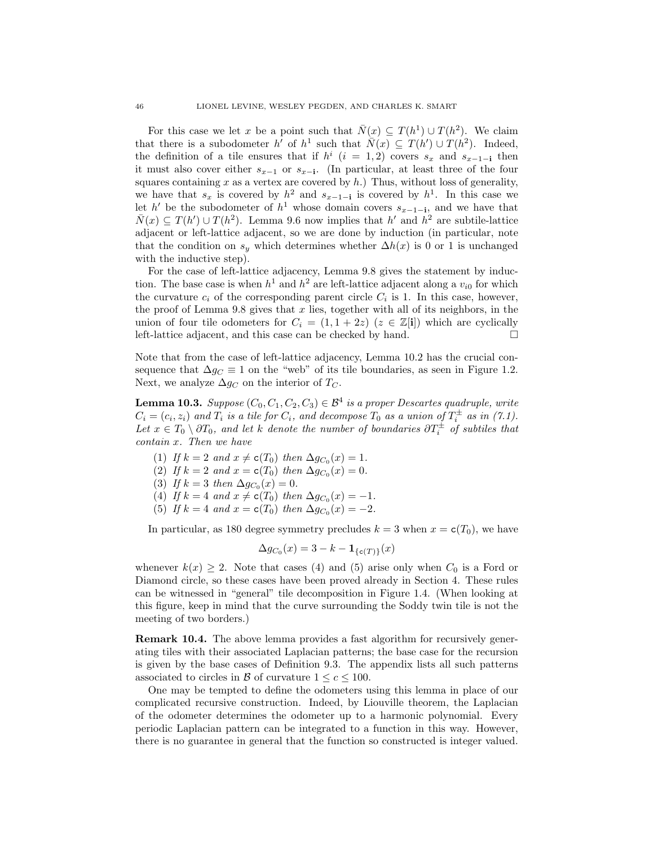For this case we let x be a point such that  $\overline{N}(x) \subseteq T(h^1) \cup T(h^2)$ . We claim that there is a subodometer h' of  $h^1$  such that  $\overline{N}(x) \subseteq T(h') \cup T(h^2)$ . Indeed, the definition of a tile ensures that if  $h^i$  (i = 1,2) covers  $s_x$  and  $s_{x-1-i}$  then it must also cover either  $s_{x-1}$  or  $s_{x-1}$ . (In particular, at least three of the four squares containing x as a vertex are covered by  $h$ .) Thus, without loss of generality, we have that  $s_x$  is covered by  $h^2$  and  $s_{x-1-i}$  is covered by  $h^1$ . In this case we let h' be the subodometer of  $h^1$  whose domain covers  $s_{x-1-i}$ , and we have that  $\overline{N}(x) \subseteq T(h') \cup T(h^2)$ . Lemma [9.6](#page-39-0) now implies that  $h'$  and  $h^2$  are subtile-lattice adjacent or left-lattice adjacent, so we are done by induction (in particular, note that the condition on  $s_y$  which determines whether  $\Delta h(x)$  is 0 or 1 is unchanged with the inductive step).

For the case of left-lattice adjacency, Lemma [9.8](#page-41-0) gives the statement by induction. The base case is when  $h^1$  and  $h^2$  are left-lattice adjacent along a  $v_{i0}$  for which the curvature  $c_i$  of the corresponding parent circle  $C_i$  is 1. In this case, however, the proof of Lemma [9.8](#page-41-0) gives that  $x$  lies, together with all of its neighbors, in the union of four tile odometers for  $C_i = (1, 1 + 2z)$   $(z \in \mathbb{Z}[i])$  which are cyclically left-lattice adjacent, and this case can be checked by hand.

Note that from the case of left-lattice adjacency, Lemma [10.2](#page-44-2) has the crucial consequence that  $\Delta g_C \equiv 1$  on the "web" of its tile boundaries, as seen in Figure [1.2.](#page-2-2) Next, we analyze  $\Delta g_C$  on the interior of  $T_C$ .

<span id="page-45-0"></span>**Lemma 10.3.** Suppose  $(C_0, C_1, C_2, C_3) \in \mathcal{B}^4$  is a proper Descartes quadruple, write  $C_i = (c_i, z_i)$  and  $T_i$  is a tile for  $C_i$ , and decompose  $T_0$  as a union of  $T_i^{\pm}$  as in [\(7.1\)](#page-25-1). Let  $x \in T_0 \setminus \partial T_0$ , and let k denote the number of boundaries  $\partial T_i^{\pm}$  of subtiles that contain x. Then we have

- (1) If  $k = 2$  and  $x \neq c(T_0)$  then  $\Delta g_{C_0}(x) = 1$ .
- (2) If  $k = 2$  and  $x = c(T_0)$  then  $\Delta g_{C_0}(x) = 0$ .
- (3) If  $k = 3$  then  $\Delta g_{C_0}(x) = 0$ .
- <span id="page-45-1"></span>(4) If  $k = 4$  and  $x \neq c(T_0)$  then  $\Delta g_{C_0}(x) = -1$ .
- <span id="page-45-2"></span>(5) If  $k = 4$  and  $x = c(T_0)$  then  $\Delta g_{C_0}(x) = -2$ .

In particular, as 180 degree symmetry precludes  $k = 3$  when  $x = c(T_0)$ , we have

$$
\Delta g_{C_0}(x) = 3 - k - \mathbf{1}_{\{\mathsf{c}(T)\}}(x)
$$

whenever  $k(x) \geq 2$ . Note that cases [\(4\)](#page-45-1) and [\(5\)](#page-45-2) arise only when  $C_0$  is a Ford or Diamond circle, so these cases have been proved already in Section [4.](#page-9-0) These rules can be witnessed in "general" tile decomposition in Figure [1.4.](#page-4-2) (When looking at this figure, keep in mind that the curve surrounding the Soddy twin tile is not the meeting of two borders.)

Remark 10.4. The above lemma provides a fast algorithm for recursively generating tiles with their associated Laplacian patterns; the base case for the recursion is given by the base cases of Definition [9.3.](#page-37-1) The appendix lists all such patterns associated to circles in B of curvature  $1 \leq c \leq 100$ .

One may be tempted to define the odometers using this lemma in place of our complicated recursive construction. Indeed, by Liouville theorem, the Laplacian of the odometer determines the odometer up to a harmonic polynomial. Every periodic Laplacian pattern can be integrated to a function in this way. However, there is no guarantee in general that the function so constructed is integer valued.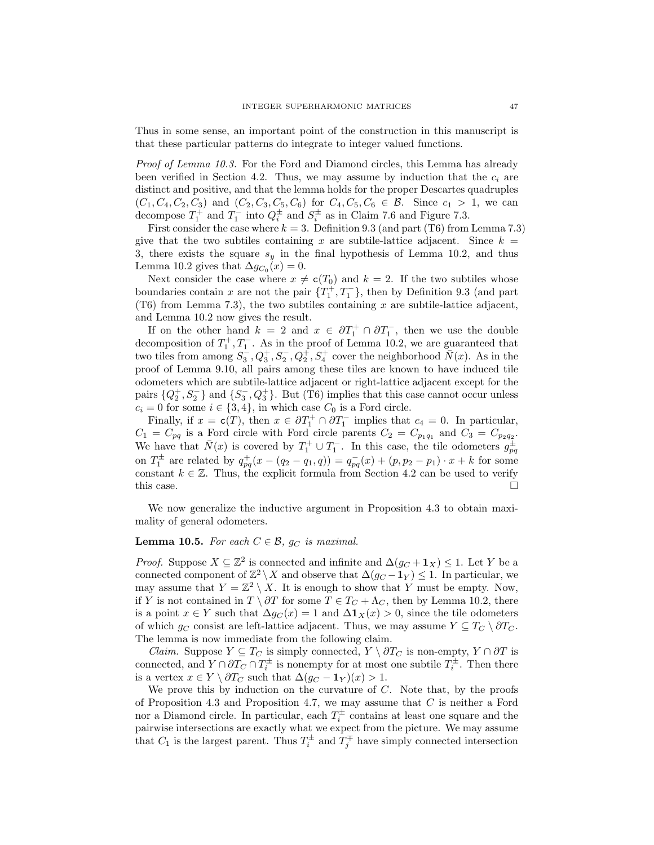Thus in some sense, an important point of the construction in this manuscript is that these particular patterns do integrate to integer valued functions.

Proof of Lemma [10.3.](#page-45-0) For the Ford and Diamond circles, this Lemma has already been verified in Section [4.2.](#page-9-1) Thus, we may assume by induction that the  $c_i$  are distinct and positive, and that the lemma holds for the proper Descartes quadruples  $(C_1, C_4, C_2, C_3)$  and  $(C_2, C_3, C_5, C_6)$  for  $C_4, C_5, C_6 \in \mathcal{B}$ . Since  $c_1 > 1$ , we can decompose  $T_1^+$  and  $T_1^-$  into  $Q_i^{\pm}$  and  $S_i^{\pm}$  as in Claim [7.6](#page-29-1) and Figure [7.3.](#page-28-1)

First consider the case where  $k = 3$ . Definition [9.3](#page-37-1) (and part [\(T6\)](#page-28-2) from Lemma [7.3\)](#page-27-0) give that the two subtiles containing x are subtile-lattice adjacent. Since  $k =$ 3, there exists the square  $s_y$  in the final hypothesis of Lemma [10.2,](#page-44-2) and thus Lemma [10.2](#page-44-2) gives that  $\Delta g_{C_0}(x) = 0$ .

Next consider the case where  $x \neq c(T_0)$  and  $k = 2$ . If the two subtiles whose boundaries contain x are not the pair  $\{T_1^+, T_1^-\}$ , then by Definition [9.3](#page-37-1) (and part [\(T6\)](#page-28-2) from Lemma [7.3\)](#page-27-0), the two subtiles containing  $x$  are subtile-lattice adjacent, and Lemma [10.2](#page-44-2) now gives the result.

If on the other hand  $k = 2$  and  $x \in \partial T_1^+ \cap \partial T_1^-$ , then we use the double decomposition of  $T_1^+, T_1^-$ . As in the proof of Lemma [10.2,](#page-44-2) we are guaranteed that two tiles from among  $S_3^-, Q_3^+, S_2^-, Q_2^+, S_4^+$  cover the neighborhood  $\overline{N}(x)$ . As in the proof of Lemma [9.10,](#page-43-2) all pairs among these tiles are known to have induced tile odometers which are subtile-lattice adjacent or right-lattice adjacent except for the pairs  $\{Q_2^+, S_2^-\}$  and  $\{S_3^-, Q_3^+\}$ . But [\(T6\)](#page-28-2) implies that this case cannot occur unless  $c_i = 0$  for some  $i \in \{3, 4\}$ , in which case  $C_0$  is a Ford circle.

Finally, if  $x = c(T)$ , then  $x \in \partial T_1^+ \cap \partial T_1^-$  implies that  $c_4 = 0$ . In particular,  $C_1 = C_{pq}$  is a Ford circle with Ford circle parents  $C_2 = C_{p_1q_1}$  and  $C_3 = C_{p_2q_2}$ . We have that  $\bar{N}(x)$  is covered by  $T_1^+ \cup T_1^-$ . In this case, the tile odometers  $g_{pq}^{\pm}$ on  $T_1^{\pm}$  are related by  $q_{pq}^{+}(x - (q_2 - q_1, q)) = q_{pq}^{-}(x) + (p, p_2 - p_1) \cdot x + k$  for some constant  $k \in \mathbb{Z}$ . Thus, the explicit formula from Section [4.2](#page-9-1) can be used to verify this case.  $\square$ 

We now generalize the inductive argument in Proposition [4.3](#page-13-0) to obtain maximality of general odometers.

## <span id="page-46-0"></span>**Lemma 10.5.** For each  $C \in \mathcal{B}$ ,  $g_C$  is maximal.

*Proof.* Suppose  $X \subseteq \mathbb{Z}^2$  is connected and infinite and  $\Delta(g_C + \mathbf{1}_X) \leq 1$ . Let Y be a connected component of  $\mathbb{Z}^2 \setminus X$  and observe that  $\Delta(g_C - 1_Y) \leq 1$ . In particular, we may assume that  $Y = \mathbb{Z}^2 \setminus X$ . It is enough to show that Y must be empty. Now, if Y is not contained in  $T \setminus \partial T$  for some  $T \in T_C + \Lambda_C$ , then by Lemma [10.2,](#page-44-2) there is a point  $x \in Y$  such that  $\Delta g_C(x) = 1$  and  $\Delta \mathbf{1}_X(x) > 0$ , since the tile odometers of which  $g_C$  consist are left-lattice adjacent. Thus, we may assume  $Y \subseteq T_C \setminus \partial T_C$ . The lemma is now immediate from the following claim.

*Claim.* Suppose  $Y \subseteq T_C$  is simply connected,  $Y \setminus \partial T_C$  is non-empty,  $Y \cap \partial T$  is connected, and  $Y \cap \partial T_C \cap T_i^{\pm}$  is nonempty for at most one subtile  $T_i^{\pm}$ . Then there is a vertex  $x \in Y \setminus \partial T_C$  such that  $\Delta(g_C - 1_Y)(x) > 1$ .

We prove this by induction on the curvature of  $C$ . Note that, by the proofs of Proposition [4.3](#page-13-0) and Proposition [4.7,](#page-16-2) we may assume that  $C$  is neither a Ford nor a Diamond circle. In particular, each  $T_i^{\pm}$  contains at least one square and the pairwise intersections are exactly what we expect from the picture. We may assume that  $C_1$  is the largest parent. Thus  $T_i^{\pm}$  and  $T_j^{\mp}$  have simply connected intersection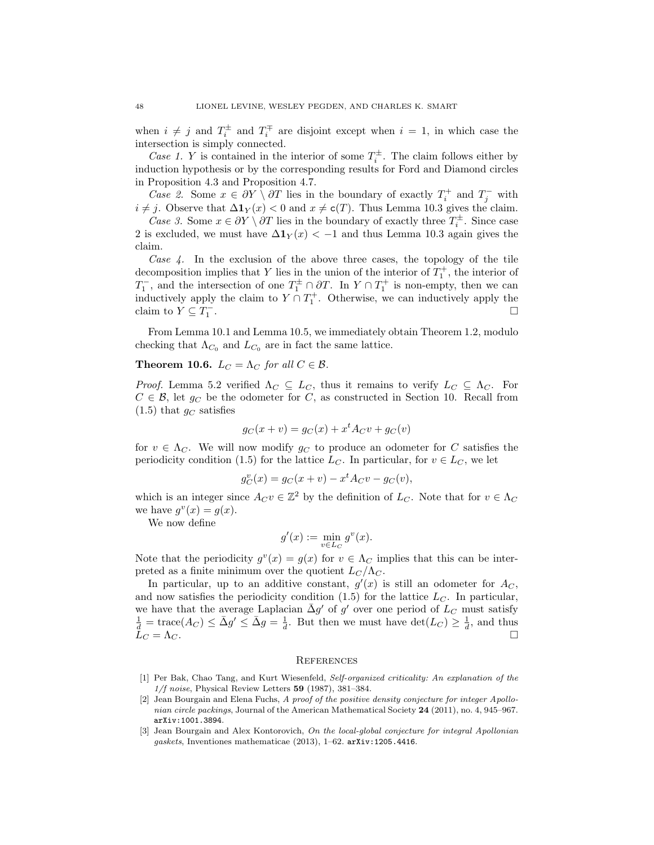when  $i \neq j$  and  $T_i^{\pm}$  and  $T_i^{\mp}$  are disjoint except when  $i = 1$ , in which case the intersection is simply connected.

Case 1. Y is contained in the interior of some  $T_i^{\pm}$ . The claim follows either by induction hypothesis or by the corresponding results for Ford and Diamond circles in Proposition [4.3](#page-13-0) and Proposition [4.7.](#page-16-2)

Case 2. Some  $x \in \partial Y \setminus \partial T$  lies in the boundary of exactly  $T_i^+$  and  $T_j^-$  with  $i \neq j$ . Observe that  $\Delta \mathbf{1}_Y(x) < 0$  and  $x \neq \mathbf{c}(T)$ . Thus Lemma [10.3](#page-45-0) gives the claim.

Case 3. Some  $x \in \partial Y \setminus \partial T$  lies in the boundary of exactly three  $T_i^{\pm}$ . Since case 2 is excluded, we must have  $\Delta 1_Y(x) < -1$  and thus Lemma [10.3](#page-45-0) again gives the claim.

Case  $4$ . In the exclusion of the above three cases, the topology of the tile decomposition implies that Y lies in the union of the interior of  $T_1^+$ , the interior of  $T_1^-$ , and the intersection of one  $T_1^{\pm} \cap \partial T$ . In  $Y \cap T_1^+$  is non-empty, then we can inductively apply the claim to  $Y \cap T_1^+$ . Otherwise, we can inductively apply the claim to  $Y \subseteq T_1^-$ . В последните последните последните последните последните последните последните последните последните последн<br>В последните последните последните последните последните последните последните последните последните последнит

From Lemma [10.1](#page-44-0) and Lemma [10.5,](#page-46-0) we immediately obtain Theorem [1.2,](#page-2-0) modulo checking that  $\Lambda_{C_0}$  and  $L_{C_0}$  are in fact the same lattice.

## <span id="page-47-3"></span>**Theorem 10.6.**  $L_C = \Lambda_C$  for all  $C \in \mathcal{B}$ .

*Proof.* Lemma [5.2](#page-19-0) verified  $\Lambda_C \subseteq L_C$ , thus it remains to verify  $L_C \subseteq \Lambda_C$ . For  $C \in \mathcal{B}$ , let  $g_C$  be the odometer for C, as constructed in Section [10.](#page-43-0) Recall from  $(1.5)$  that  $g_C$  satisfies

$$
g_C(x+v) = g_C(x) + x^t A_C v + g_C(v)
$$

for  $v \in \Lambda_C$ . We will now modify  $g_C$  to produce an odometer for C satisfies the periodicity condition [\(1.5\)](#page-2-1) for the lattice  $L_C$ . In particular, for  $v \in L_C$ , we let

$$
g_C^v(x) = g_C(x + v) - x^t A_C v - g_C(v),
$$

which is an integer since  $A_C v \in \mathbb{Z}^2$  by the definition of  $L_C$ . Note that for  $v \in \Lambda_C$ we have  $g^v(x) = g(x)$ .

We now define

$$
g'(x) := \min_{v \in L_C} g^v(x).
$$

Note that the periodicity  $g^v(x) = g(x)$  for  $v \in \Lambda_C$  implies that this can be interpreted as a finite minimum over the quotient  $L<sub>C</sub>/\Lambda<sub>C</sub>$ .

In particular, up to an additive constant,  $g'(x)$  is still an odometer for  $A_C$ , and now satisfies the periodicity condition  $(1.5)$  for the lattice  $L<sub>C</sub>$ . In particular, we have that the average Laplacian  $\bar{\Delta}g'$  of g' over one period of  $L_C$  must satisfy  $\frac{1}{d} = \text{trace}(A_C) \le \bar{\Delta}g' \le \bar{\Delta}g = \frac{1}{d}$ . But then we must have  $\det(L_C) \ge \frac{1}{d}$ , and thus  $\bar{L}_C = \Lambda_C.$ 

#### **REFERENCES**

- <span id="page-47-2"></span>[1] Per Bak, Chao Tang, and Kurt Wiesenfeld, Self-organized criticality: An explanation of the  $1/f$  noise, Physical Review Letters 59 (1987), 381-384.
- <span id="page-47-0"></span>[2] Jean Bourgain and Elena Fuchs, A proof of the positive density conjecture for integer Apollonian circle packings, Journal of the American Mathematical Society 24 (2011), no. 4, 945–967. [arXiv:1001.3894](http://arxiv.org/abs/1001.3894).
- <span id="page-47-1"></span>[3] Jean Bourgain and Alex Kontorovich, On the local-global conjecture for integral Apollonian gaskets, Inventiones mathematicae (2013), 1–62. [arXiv:1205.4416](http://arxiv.org/abs/1205.4416).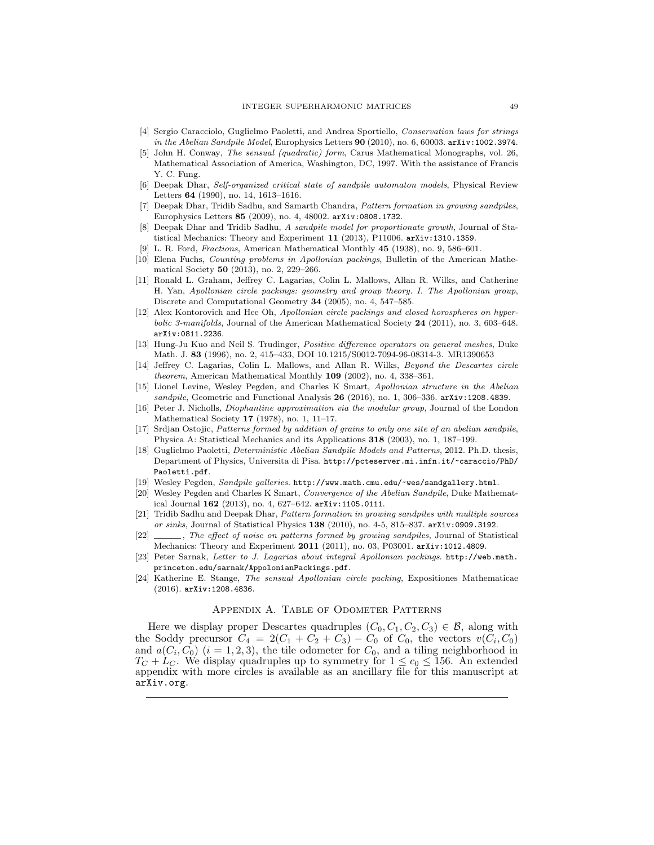- <span id="page-48-7"></span>[4] Sergio Caracciolo, Guglielmo Paoletti, and Andrea Sportiello, Conservation laws for strings in the Abelian Sandpile Model, Europhysics Letters 90 (2010), no. 6, 60003. arXiv: 1002.3974.
- <span id="page-48-19"></span>[5] John H. Conway, The sensual (quadratic) form, Carus Mathematical Monographs, vol. 26, Mathematical Association of America, Washington, DC, 1997. With the assistance of Francis Y. C. Fung.
- <span id="page-48-6"></span>[6] Deepak Dhar, Self-organized critical state of sandpile automaton models, Physical Review Letters 64 (1990), no. 14, 1613–1616.
- <span id="page-48-8"></span>[7] Deepak Dhar, Tridib Sadhu, and Samarth Chandra, Pattern formation in growing sandpiles, Europhysics Letters 85 (2009), no. 4, 48002. [arXiv:0808.1732](http://arxiv.org/abs/0808.1732).
- <span id="page-48-11"></span>[8] Deepak Dhar and Tridib Sadhu, A sandpile model for proportionate growth, Journal of Statistical Mechanics: Theory and Experiment 11 (2013), P11006. [arXiv:1310.1359](http://arxiv.org/abs/1310.1359).
- <span id="page-48-17"></span>L. R. Ford, *Fractions*, American Mathematical Monthly 45 (1938), no. 9, 586–601.
- <span id="page-48-4"></span>[10] Elena Fuchs, Counting problems in Apollonian packings, Bulletin of the American Mathematical Society 50 (2013), no. 2, 229–266.
- <span id="page-48-1"></span>[11] Ronald L. Graham, Jeffrey C. Lagarias, Colin L. Mallows, Allan R. Wilks, and Catherine H. Yan, Apollonian circle packings: geometry and group theory. I. The Apollonian group, Discrete and Computational Geometry 34 (2005), no. 4, 547–585.
- <span id="page-48-2"></span>[12] Alex Kontorovich and Hee Oh, Apollonian circle packings and closed horospheres on hyperbolic 3-manifolds, Journal of the American Mathematical Society 24 (2011), no. 3, 603–648. [arXiv:0811.2236](http://arxiv.org/abs/0811.2236).
- <span id="page-48-16"></span>[13] Hung-Ju Kuo and Neil S. Trudinger, Positive difference operators on general meshes, Duke Math. J. 83 (1996), no. 2, 415–433, DOI 10.1215/S0012-7094-96-08314-3. MR1390653
- <span id="page-48-0"></span>[14] Jeffrey C. Lagarias, Colin L. Mallows, and Allan R. Wilks, *Beyond the Descartes circle* theorem, American Mathematical Monthly 109 (2002), no. 4, 338–361.
- <span id="page-48-13"></span>[15] Lionel Levine, Wesley Pegden, and Charles K Smart, Apollonian structure in the Abelian sandpile, Geometric and Functional Analysis 26 (2016), no. 1, 306-336. arXiv: 1208.4839.
- <span id="page-48-18"></span>[16] Peter J. Nicholls, Diophantine approximation via the modular group, Journal of the London Mathematical Society 17 (1978), no. 1, 11–17.
- <span id="page-48-9"></span>[17] Srdjan Ostojic, Patterns formed by addition of grains to only one site of an abelian sandpile, Physica A: Statistical Mechanics and its Applications 318 (2003), no. 1, 187–199.
- <span id="page-48-15"></span>[18] Guglielmo Paoletti, *Deterministic Abelian Sandpile Models and Patterns*, 2012. Ph.D. thesis, Department of Physics, Universita di Pisa. [http://pcteserver.mi.infn.it/~caraccio/PhD/](http://pcteserver.mi.infn.it/~caraccio/PhD/Paoletti.pdf) [Paoletti.pdf](http://pcteserver.mi.infn.it/~caraccio/PhD/Paoletti.pdf).
- <span id="page-48-14"></span>[19] Wesley Pegden, Sandpile galleries. <http://www.math.cmu.edu/~wes/sandgallery.html>.
- <span id="page-48-12"></span>[20] Wesley Pegden and Charles K Smart, Convergence of the Abelian Sandpile, Duke Mathematical Journal 162 (2013), no. 4, 627–642. [arXiv:1105.0111](http://arxiv.org/abs/1105.0111).
- [21] Tridib Sadhu and Deepak Dhar, Pattern formation in growing sandpiles with multiple sources or sinks, Journal of Statistical Physics  $138$  (2010), no. 4-5, 815–837. [arXiv:0909.3192](http://arxiv.org/abs/0909.3192).
- <span id="page-48-10"></span>[22]  $\_\_\_\_\_\_\_\_\$ The effect of noise on patterns formed by growing sandpiles, Journal of Statistical Mechanics: Theory and Experiment 2011 (2011), no. 03, P03001. [arXiv:1012.4809](http://arxiv.org/abs/1012.4809).
- <span id="page-48-3"></span>[23] Peter Sarnak, Letter to J. Lagarias about integral Apollonian packings. [http://web.math.](http://web.math.princeton.edu/sarnak/AppolonianPackings.pdf) [princeton.edu/sarnak/AppolonianPackings.pdf](http://web.math.princeton.edu/sarnak/AppolonianPackings.pdf).
- <span id="page-48-5"></span>[24] Katherine E. Stange, The sensual Apollonian circle packing, Expositiones Mathematicae (2016). [arXiv:1208.4836](http://arxiv.org/abs/1208.4836).

## Appendix A. Table of Odometer Patterns

Here we display proper Descartes quadruples  $(C_0, C_1, C_2, C_3) \in \mathcal{B}$ , along with the Soddy precursor  $C_4 = 2(C_1 + C_2 + C_3) - C_0$  of  $C_0$ , the vectors  $v(C_i, C_0)$ and  $a(C_i, C_0)$   $(i = 1, 2, 3)$ , the tile odometer for  $C_0$ , and a tiling neighborhood in  $T_C + L_C$ . We display quadruples up to symmetry for  $1 \leq c_0 \leq 156$ . An extended appendix with more circles is available as an ancillary file for this manuscript at <arXiv.org>.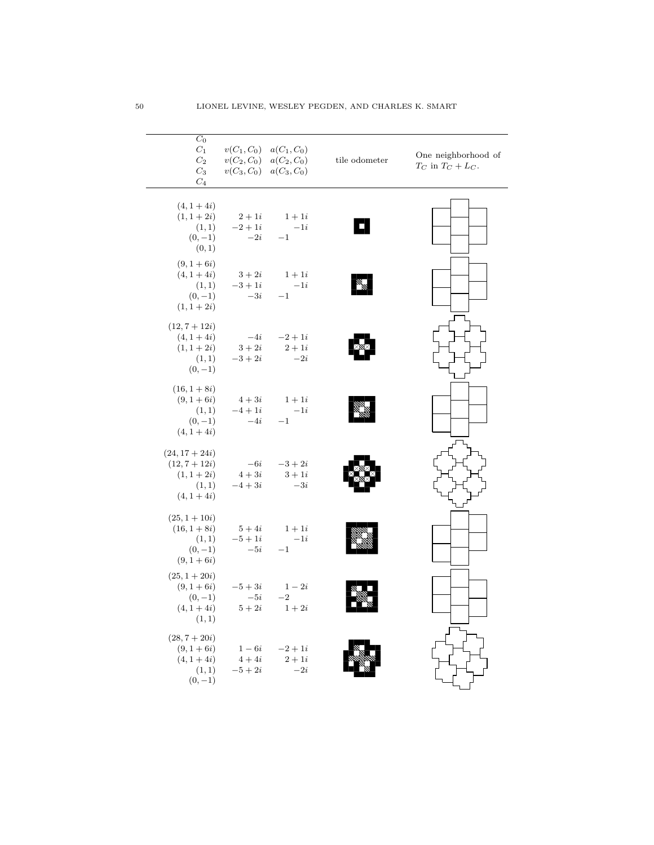| $C_0$<br>$C_1$<br>$C_2$<br>$C_3$<br>$C_4$                                      | $v(C_1, C_0)$<br>$v(C_2, C_0)$ | $a(C_1, C_0)$<br>$a(C_2, C_0)$<br>$v(C_3, C_0)$ $a(C_3, C_0)$ | tile odometer | One neighborhood of<br>$T_C$ in $T_C + L_C$ . |
|--------------------------------------------------------------------------------|--------------------------------|---------------------------------------------------------------|---------------|-----------------------------------------------|
| $(4, 1 + 4i)$<br>$(1, 1 + 2i)$<br>(1, 1)<br>$(0,-1)$<br>(0, 1)                 | $2+1i$<br>$-2 + 1i$<br>$-2i$   | $1+1i$<br>$-1i$<br>$-1$                                       |               |                                               |
| $(9, 1 + 6i)$<br>$(4, 1 + 4i)$<br>(1,1)<br>$(0,-1)$<br>$(1, 1 + 2i)$           | $3+2i$<br>$-3i$                | $1+1i$<br>$-3+1i$ $-1i$<br>$-1$                               | al<br>M       |                                               |
| $(12, 7 + 12i)$<br>$(4, 1 + 4i)$<br>$(1, 1 + 2i)$<br>(1,1)<br>$(0,-1)$         | $-4i$<br>$3+2i$<br>$-3 + 2i$   | $-2 + 1i$<br>$2+1i$<br>$-2i$                                  |               |                                               |
| $(16, 1 + 8i)$<br>$(9, 1 + 6i)$<br>(1,1)<br>$(0,-1)$<br>$(4, 1 + 4i)$          | $4+3i$<br>$-4+1i$<br>$-4i$     | $1+1i$<br>$-1i$<br>$-1$<br>$-1\,$                             |               |                                               |
| $(24, 17 + 24i)$<br>$(12, 7 + 12i)$<br>$(1, 1 + 2i)$<br>(1,1)<br>$(4, 1 + 4i)$ | $-6i$<br>$4+3i$<br>$-4+3i$     | $-3+2i$<br>$3+1i$<br>$-3i$                                    |               |                                               |
| $(25, 1 + 10i)$<br>$(16, 1 + 8i)$<br>(1,1)<br>$(0,-1)$<br>$(9, 1 + 6i)$        | $5+4i$<br>$-5+1i$<br>$-5i$     | $1+1i$<br>$-1i$<br>$-1$                                       |               |                                               |
| $(25, 1 + 20i)$<br>$(9, 1 + 6i)$<br>$(0,-1)$<br>$(4, 1 + 4i)$<br>(1,1)         | $-5+3i$<br>$-5i$<br>$5+2i$     | $1-2i$<br>$^{-2}$<br>$1+2i$                                   |               |                                               |
| $(28, 7 + 20i)$<br>$(9, 1 + 6i)$<br>$(4, 1 + 4i)$<br>(1, 1)<br>$(0,-1)$        | $1-6i$<br>$4+4i$<br>$-5+2i$    | $-2 + 1i$<br>$2+1i$<br>$-2i$                                  |               |                                               |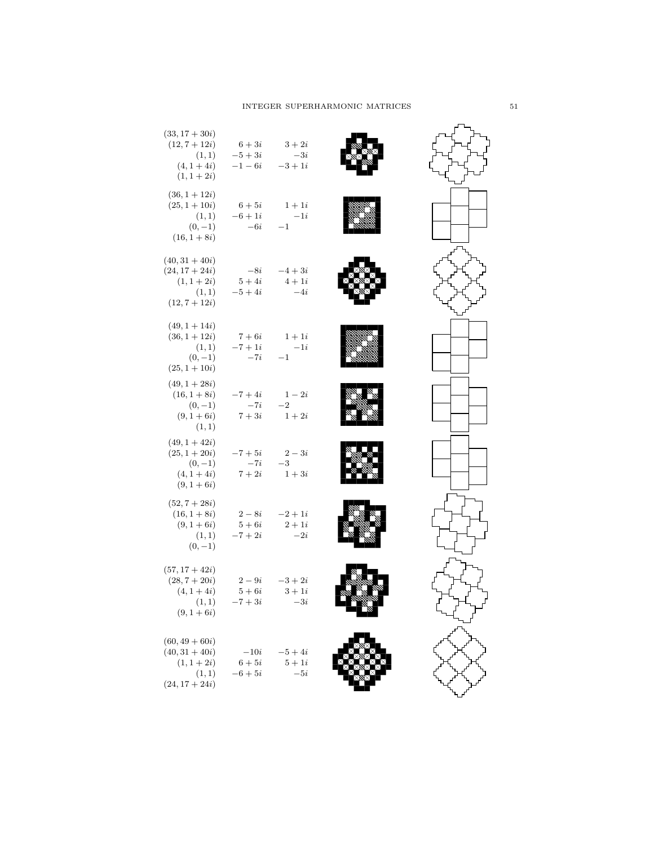# $\begin{minipage}{0.9\linewidth} \textbf{INTEGR} \textbf{ SUPERHARMONIC MATRICES} \end{minipage} \begin{minipage}{0.9\linewidth} \textbf{SUPERHARMONIC} \end{minipage} \begin{minipage}{0.9\linewidth} \textbf{SUPERHARMONIC} \end{minipage} \begin{minipage}{0.9\linewidth} \textbf{SVDERHARMONIC} \end{minipage} \begin{minipage}{0.9\linewidth} \textbf{SVDERHARMONIC} \end{minipage} \begin{minipage}{0.9\linewidth} \textbf{SVDERHARMONIC} \end{minipage} \begin{minipage}{0.9\linewidth} \textbf{SVD$

| $(33, 17 + 30i)$<br>$(12, 7 + 12i)$<br>(1, 1)<br>$(4, 1 + 4i)$                             | $6+3i$<br>$-5+3i$<br>$-1-6i$  | $3+2i$<br>$-3i$<br>$-3+1i$   |  |
|--------------------------------------------------------------------------------------------|-------------------------------|------------------------------|--|
| $(1, 1 + 2i)$<br>$(36, 1 + 12i)$<br>$(25, 1 + 10i)$<br>(1,1)<br>$(0,-1)$<br>$(16, 1 + 8i)$ | $6+5i$<br>$-6 + 1i$<br>$-6i$  | $1+1i$<br>$-1i$<br>$-1$      |  |
| $(40, 31 + 40i)$<br>$(24, 17 + 24i)$<br>$(1, 1 + 2i)$<br>(1,1)<br>$(12, 7 + 12i)$          | $-8i$<br>$5+4i$<br>$-5+4i$    | $-4+3i$<br>$4+1i$<br>$-4i$   |  |
| $(49, 1 + 14i)$<br>$(36, 1 + 12i)$<br>(1,1)<br>$(0,-1)$<br>$(25, 1 + 10i)$                 | $7+6i$<br>$-7+1i$<br>$-7i$    | $1+1i$<br>$-1i$<br>$^{-1}$   |  |
| $(49, 1 + 28i)$<br>$(16, 1 + 8i)$<br>$(0,-1)$<br>$(9, 1 + 6i)$<br>(1,1)                    | $-7 + 4i$<br>$-7i$<br>$7+3i$  | $1-2i$<br>$-2$<br>$1+2i$     |  |
| $(49, 1 + 42i)$<br>$(25, 1 + 20i)$<br>$(0,-1)$<br>$(4, 1 + 4i)$<br>$(9, 1 + 6i)$           | $-7+5i$<br>$-7i$<br>$7+2i$    | $2-3i$<br>$-3$<br>$1+3i$     |  |
| $(52, 7 + 28i)$<br>$(16, 1 + 8i)$<br>$(9, 1 + 6i)$<br>(1,1)<br>$(0,-1)$                    | $2-8i$<br>$5+6i$<br>$-7 + 2i$ | $-2+1i$<br>$2+1i$<br>$-2i$   |  |
| $(57, 17 + 42i)$<br>$(28, 7 + 20i)$<br>$(4, 1 + 4i)$<br>(1,1)<br>$(9, 1 + 6i)$             | $2-9i$<br>$5+6i$<br>$7+3i$    | $-3 + 2i$<br>$3+1i$<br>$-3i$ |  |
| $(60, 49 + 60i)$<br>$(40, 31 + 40i)$<br>$(1, 1 + 2i)$<br>(1,1)<br>$(24, 17 + 24i)$         | $-10i$<br>$6+5i$<br>$-6+5i$   | $-5+4i$<br>$5+1i$<br>$-i$    |  |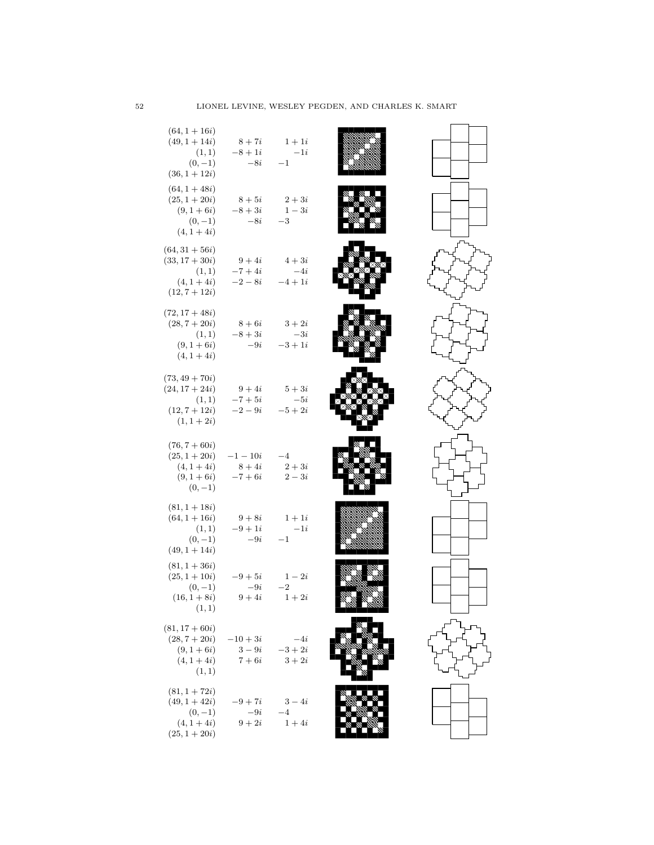| $(64, 1 + 16i)$<br>$(49, 1 + 14i)$<br>(1,1)<br>$(0,-1)$<br>$(36, 1 + 12i)$         | $8+7i$<br>$-8+1i$<br>$-8i$        | $1+1i$<br>$-1i$<br>$^{-1}$     |                                     |  |
|------------------------------------------------------------------------------------|-----------------------------------|--------------------------------|-------------------------------------|--|
| $(64, 1 + 48i)$<br>$(25, 1 + 20i)$<br>$(9, 1 + 6i)$<br>$(0,-1)$<br>$(4, 1 + 4i)$   | $8+5i$<br>$-8+3i$<br>$-8i$        | $2+3i$<br>$1-3i$<br>$^{-3}$    |                                     |  |
| $(64, 31 + 56i)$<br>$(33, 17 + 30i)$<br>(1,1)<br>$(4, 1 + 4i)$<br>$(12, 7 + 12i)$  | $9+4i$<br>$-7+4i$<br>$-2-8i$      | $4+3i$<br>$-4i$<br>$-4+1i$     |                                     |  |
| $(72, 17 + 48i)$<br>$(28, 7 + 20i)$<br>(1,1)<br>$(9, 1 + 6i)$<br>$(4, 1 + 4i)$     | $8+6i$<br>$-8+3i$<br>$-9i$        | $3+2i$<br>$-3i$<br>$-3+1i$     |                                     |  |
| $(73, 49 + 70i)$<br>$(24, 17 + 24i)$<br>(1,1)<br>$(12, 7 + 12i)$<br>$(1, 1 + 2i)$  | $9+4i$<br>$-7+5i$<br>$-2-9i$      | $5+3i$<br>$-5i$<br>$-5+2i$     |                                     |  |
| $(76, 7 + 60i)$<br>$(25, 1 + 20i)$<br>$(4, 1 + 4i)$<br>$(9, 1 + 6i)$<br>$(0,-1)$   | $-1 - 10i$<br>$8+4i$<br>$-7 + 6i$ | $-4$<br>$2+3i$<br>$2-3i$       |                                     |  |
| $(81, 1 + 18i)$<br>$(64, 1 + 16i)$<br>(1,1)<br>$(0,-1)$<br>$(49, 1 + 14i)$         | $-9+1i$<br>$-9i$                  | $9+8i$ $1+1i$<br>$-1i$<br>$-1$ |                                     |  |
| $(81, 1 + 36i)$<br>$(25, 1 + 10i)$<br>$(0,-1)$<br>$(16, 1 + 8i)$<br>(1, 1)         | $-9+5i$<br>$-9i$<br>$9+4i$        | $1-2i$<br>$^{-2}$<br>$1+2i$    | Mad <sup>in</sup> Mal <sup>in</sup> |  |
| $(81, 17 + 60i)$<br>$(28, 7 + 20i)$<br>$(9, 1 + 6i)$<br>$(4, 1 + 4i)$<br>(1, 1)    | $-10+3i$<br>$3-9i$<br>$7+6i$      | $-i$<br>$-3 + 2i$<br>$3+2i$    |                                     |  |
| $(81, 1 + 72i)$<br>$(49, 1 + 42i)$<br>$(0,-1)$<br>$(4, 1 + 4i)$<br>$(25, 1 + 20i)$ | $-9+7i$<br>$-9i$<br>$9+2i$        | $3-4i$<br>$-4$<br>$1+4i$       |                                     |  |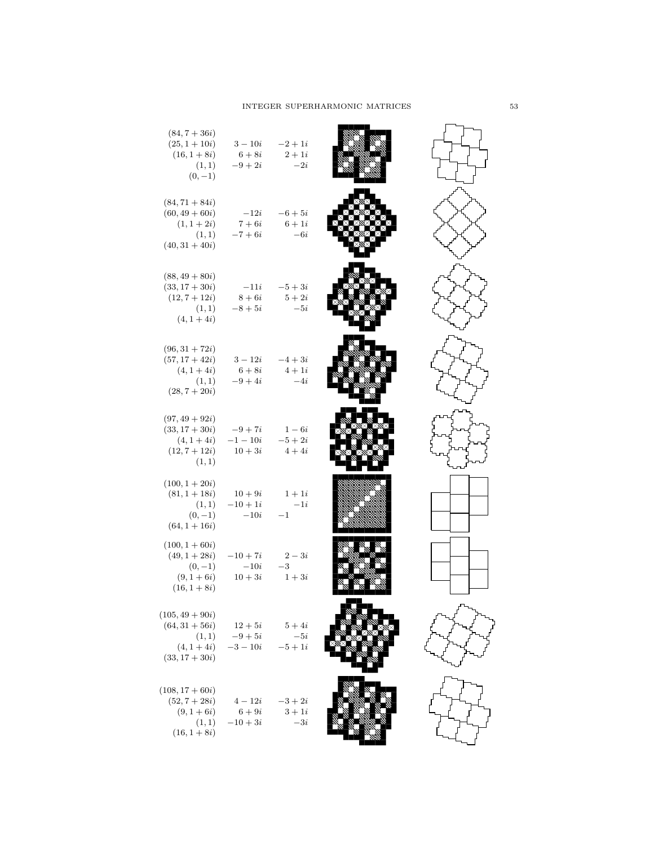| $(84, 7 + 36i)$<br>$(25, 1 + 10i)$<br>$(16, 1 + 8i)$<br>(1, 1)<br>$(0,-1)$           | $3 - 10i$<br>$6+8i$<br>$-9+2i$     | $-2 + 1i$<br>$2+1i$<br>$-2i$ |  |
|--------------------------------------------------------------------------------------|------------------------------------|------------------------------|--|
| $(84, 71 + 84i)$<br>$(60, 49 + 60i)$<br>$(1, 1 + 2i)$<br>(1,1)<br>$(40, 31 + 40i)$   | $-12i$<br>$7+6i$<br>$-7 + 6i$      | $-6+5i$<br>$6+1i$<br>$-6i$   |  |
| $(88, 49 + 80i)$<br>$(33, 17 + 30i)$<br>$(12, 7 + 12i)$<br>(1,1)<br>$(4, 1 + 4i)$    | $-11i$<br>$8+6i$<br>$-8+5i$        | $-5+3i$<br>$5+2i$<br>$-5i$   |  |
| $(96, 31 + 72i)$<br>$(57, 17 + 42i)$<br>$(4, 1 + 4i)$<br>(1,1)<br>$(28, 7 + 20i)$    | $3-12i$<br>$6+8i$<br>$-9+4i$       | $-4+3i$<br>$4+1i$<br>$-4i$   |  |
| $(97, 49 + 92i)$<br>$(33, 17 + 30i)$<br>$(4, 1 + 4i)$<br>$(12, 7 + 12i)$<br>(1, 1)   | $-9+7i$<br>$-1 - 10i$<br>$10+3i$   | $1-6i$<br>$-5+2i$<br>$4+4i$  |  |
| $(100, 1 + 20i)$<br>$(81, 1 + 18i)$<br>(1,1)<br>$(0,-1)$<br>$(64, 1 + 16i)$          | $10 + 9i$<br>$-10 + 1i$<br>$-10i$  | $1+1i$<br>$-1i$<br>$-1$      |  |
| $(100, 1 + 60i)$<br>$(49, 1 + 28i)$<br>$(0,-1)$<br>$(9, 1 + 6i)$<br>$(16, 1 + 8i)$   | $-10 + 7i$<br>$-10i$<br>$10 + 3i$  | $2-3i$<br>$-3$<br>$1+3i$     |  |
| $(105, 49 + 90i)$<br>$(64, 31 + 56i)$<br>(1, 1)<br>$(4, 1 + 4i)$<br>$(33, 17 + 30i)$ | $12 + 5i$<br>$-9+5i$<br>$-3 - 10i$ | $5+4i$<br>$-5i$<br>$-5+1i$   |  |
| $(108, 17 + 60i)$<br>$(52, 7 + 28i)$<br>$(9, 1 + 6i)$<br>(1, 1)<br>$(16, 1 + 8i)$    | $4-12i$<br>$6+9i$<br>$-10+3i$      | $-3 + 2i$<br>$3+1i$<br>$-3i$ |  |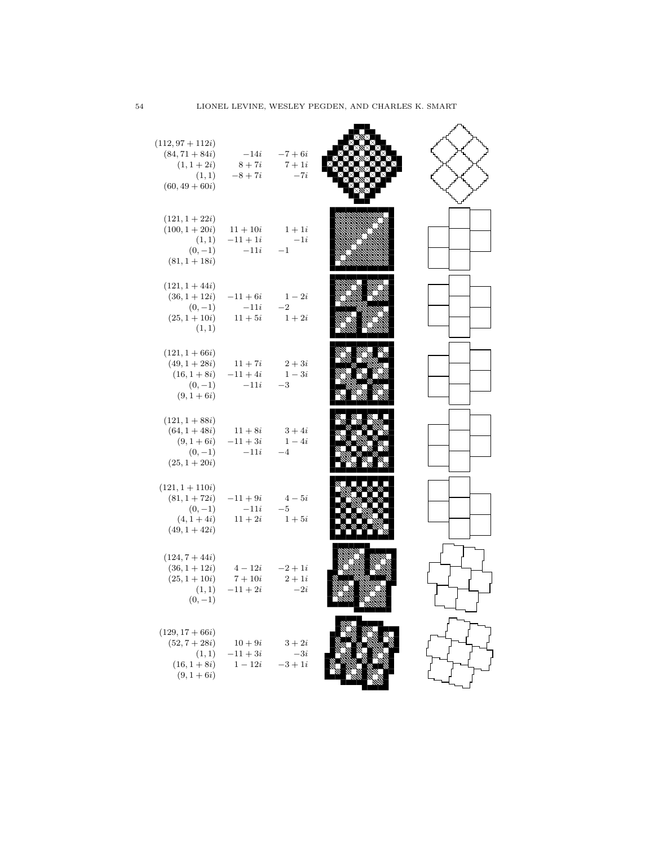| $(112, 97 + 112i)$<br>$(84, 71 + 84i)$<br>$(1, 1 + 2i)$<br>(1, 1)<br>$(60, 49 + 60i)$     | $-14i -7 + 6i$<br>$8 + 7i$ $7 + 1i$<br>$-8 + 7i$        | $-7i$                        |  |
|-------------------------------------------------------------------------------------------|---------------------------------------------------------|------------------------------|--|
| $(121, 1 + 22i)$<br>$(100, 1 + 20i)$<br>(1,1)<br>$(0,-1)$<br>$(81, 1 + 18i)$              | $11 + 10i$<br>$-11 + 1i$<br>$-11i$                      | $1+1i$<br>$-1i$<br>$-1$      |  |
| $(121, 1 + 44i)$<br>$(36, 1 + 12i)$<br>$(0,-1)$<br>$(25, 1 + 10i)$<br>(1,1)               | $-11+6i$ $1-2i$<br>$-11i$<br>$11+5i$                    | $-2$<br>$1+2i$               |  |
| $(121, 1 + 66i)$<br>$(49, 1 + 28i)$<br>$(16, 1+8i)$ $-11+4i$<br>$(0,-1)$<br>$(9, 1 + 6i)$ | $11+7i$<br>$-11i$                                       | $2+3i$<br>$1-3i$<br>$-3$     |  |
| $(121, 1 + 88i)$<br>$(64, 1 + 48i)$<br>$(0,-1)$<br>$(25, 1 + 20i)$                        | $11+8i$ $3+4i$<br>$(9, 1+6i)$ $-11+3i$ $1-4i$<br>$-11i$ | $-4$                         |  |
| $(121, 1 + 110i)$<br>$(81, 1 + 72i)$<br>$(0,-1)$<br>$(4, 1 + 4i)$<br>$(49, 1 + 42i)$      | $-11+9i$<br>$-11i$<br>$11 + 2i$                         | $4-5i$<br>$-5$<br>$1+5i$     |  |
| $(124, 7 + 44i)$<br>$(36, 1 + 12i)$<br>$(25, 1 + 10i)$<br>(1, 1)<br>$(0,-1)$              | $4-12i$<br>$7+10i$<br>$-11 + 2i$                        | $-2+1i$<br>$2+1i$<br>$-2i$   |  |
| $(129, 17 + 66i)$<br>$(52, 7 + 28i)$<br>(1, 1)<br>$(16, 1 + 8i)$<br>$(9, 1 + 6i)$         | $10 + 9i$<br>$-11+3i$<br>$1 - 12i$                      | $3+2i$<br>$-3i$<br>$-3 + 1i$ |  |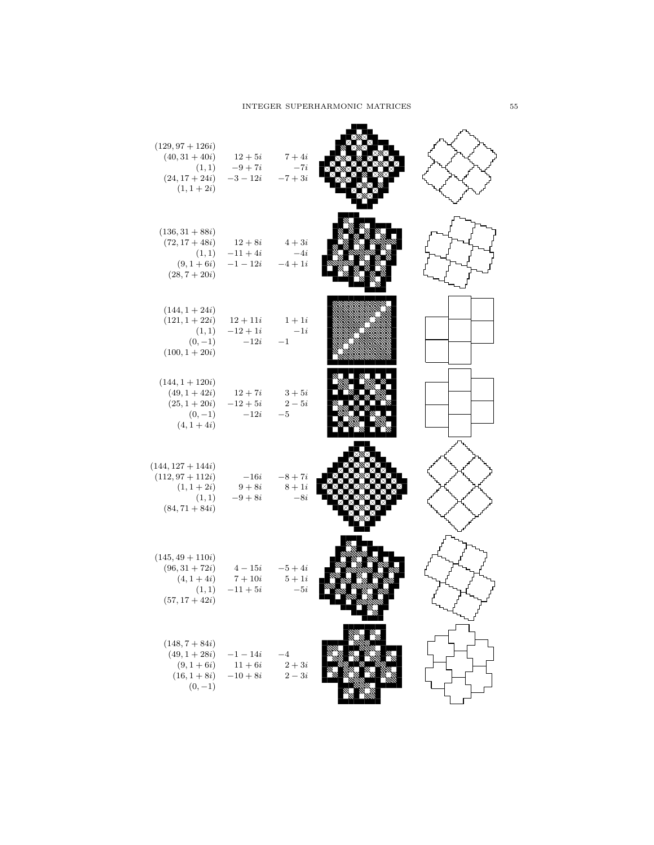